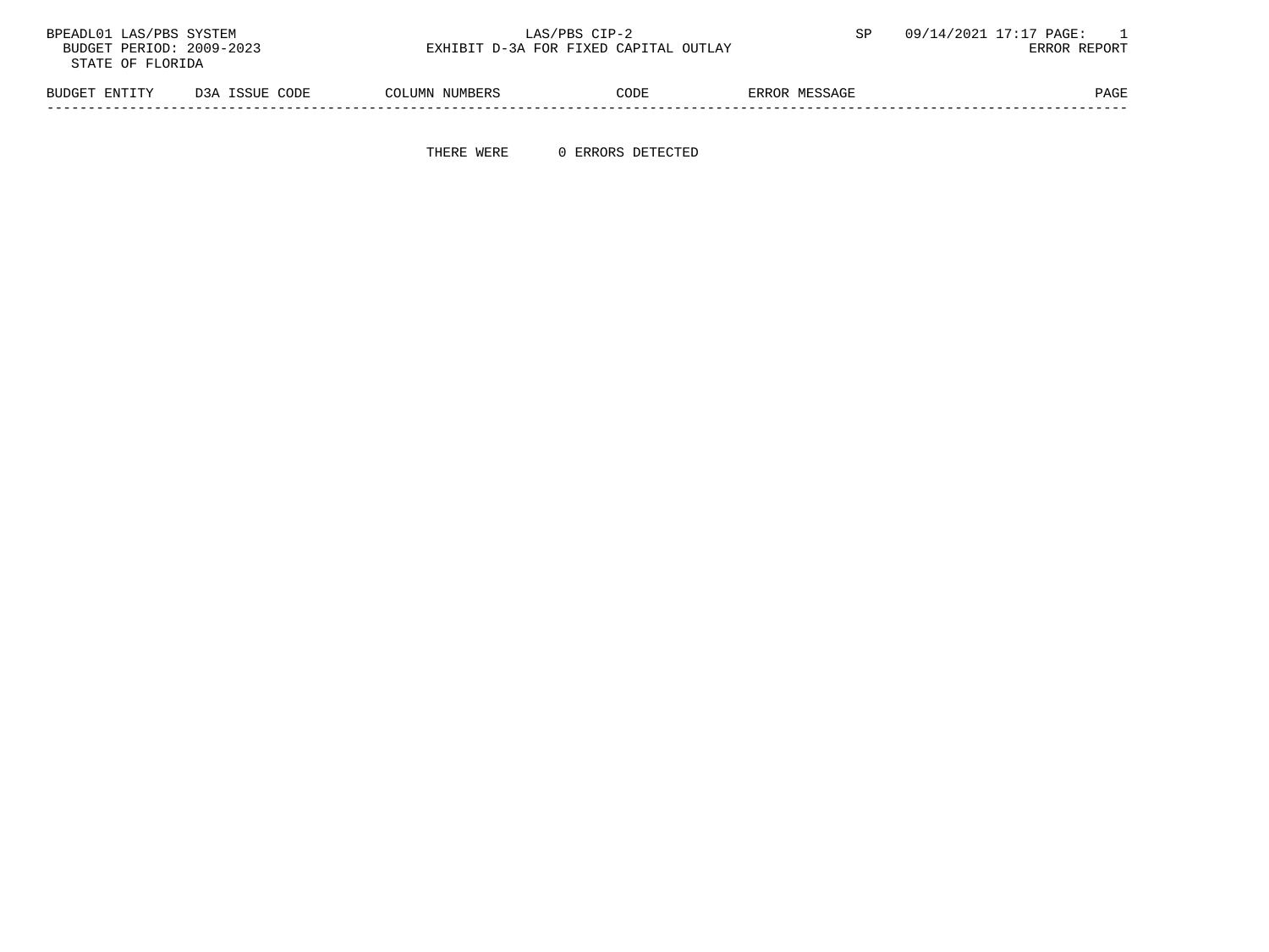| BPEADL01 LAS/PBS SYSTEM  |                | LAS/PBS CIP-2                         |      |               | 09/14/2021 17:17 PAGE: |
|--------------------------|----------------|---------------------------------------|------|---------------|------------------------|
| BUDGET PERIOD: 2009-2023 |                | EXHIBIT D-3A FOR FIXED CAPITAL OUTLAY |      |               | ERROR REPORT           |
| STATE OF FLORIDA         |                |                                       |      |               |                        |
| BUDGET ENTITY            | D3A ISSUE CODE | COLUMN NUMBERS                        | CODE | ERROR MESSAGE | PAGE                   |

-----------------------------------------------------------------------------------------------------------------------------------

THERE WERE 0 ERRORS DETECTED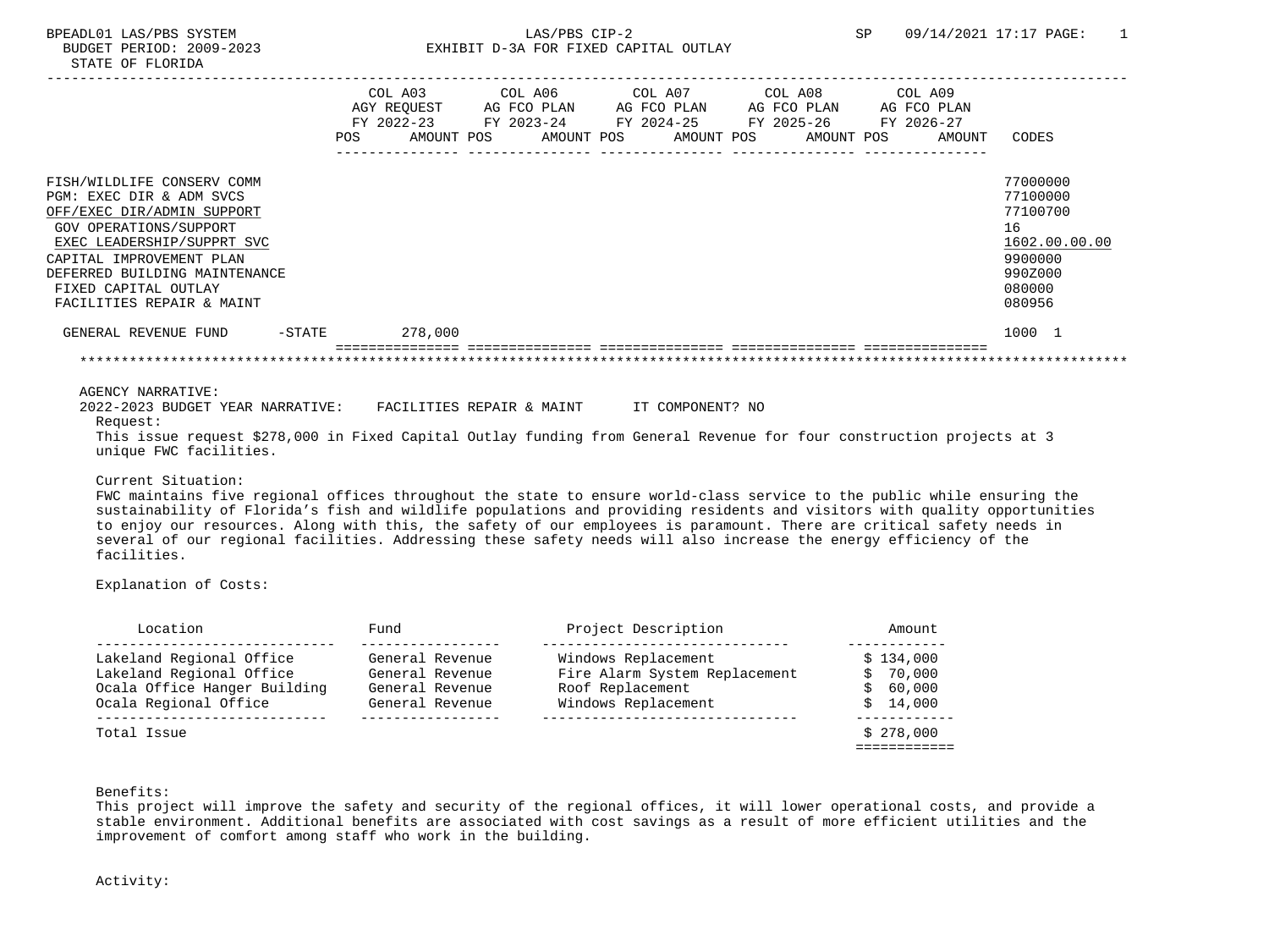|                                |     | COL A03     | COL A06                                     | COL A07                 | COL A08    | COL A09     |               |
|--------------------------------|-----|-------------|---------------------------------------------|-------------------------|------------|-------------|---------------|
|                                |     | AGY REQUEST | AG FCO PLAN                                 | AG FCO PLAN AG FCO PLAN |            | AG FCO PLAN |               |
|                                |     | FY 2022-23  | FY 2023-24 FY 2024-25 FY 2025-26 FY 2026-27 |                         |            |             |               |
|                                | POS | AMOUNT POS  | AMOUNT POS                                  | AMOUNT POS              | AMOUNT POS | AMOUNT      | CODES         |
|                                |     |             |                                             |                         |            |             |               |
| FISH/WILDLIFE CONSERV COMM     |     |             |                                             |                         |            |             | 77000000      |
| PGM: EXEC DIR & ADM SVCS       |     |             |                                             |                         |            |             | 77100000      |
| OFF/EXEC DIR/ADMIN SUPPORT     |     |             |                                             |                         |            |             | 77100700      |
| GOV OPERATIONS/SUPPORT         |     |             |                                             |                         |            |             | 16            |
| EXEC LEADERSHIP/SUPPRT SVC     |     |             |                                             |                         |            |             | 1602.00.00.00 |
| CAPITAL IMPROVEMENT PLAN       |     |             |                                             |                         |            |             | 9900000       |
| DEFERRED BUILDING MAINTENANCE  |     |             |                                             |                         |            |             | 990Z000       |
| FIXED CAPITAL OUTLAY           |     |             |                                             |                         |            |             | 080000        |
| FACILITIES REPAIR & MAINT      |     |             |                                             |                         |            |             | 080956        |
| -STATE<br>GENERAL REVENUE FUND |     | 278,000     |                                             |                         |            |             | 1000 1        |
|                                |     |             |                                             |                         |            |             |               |
|                                |     |             |                                             |                         |            |             |               |

 2022-2023 BUDGET YEAR NARRATIVE: FACILITIES REPAIR & MAINT IT COMPONENT? NO Request: This issue request \$278,000 in Fixed Capital Outlay funding from General Revenue for four construction projects at 3 unique FWC facilities.

#### Current Situation:

 FWC maintains five regional offices throughout the state to ensure world-class service to the public while ensuring the sustainability of Florida's fish and wildlife populations and providing residents and visitors with quality opportunities to enjoy our resources. Along with this, the safety of our employees is paramount. There are critical safety needs in several of our regional facilities. Addressing these safety needs will also increase the energy efficiency of the facilities.

## Explanation of Costs:

| Location                     | Fund            | Project Description           | Amount    |
|------------------------------|-----------------|-------------------------------|-----------|
| Lakeland Regional Office     | General Revenue | Windows Replacement           | \$134.000 |
| Lakeland Regional Office     | General Revenue | Fire Alarm System Replacement | \$70,000  |
| Ocala Office Hanger Building | General Revenue | Roof Replacement              | \$60,000  |
| Ocala Regional Office        | General Revenue | Windows Replacement           | \$14,000  |
| Total Issue                  |                 |                               | \$278.000 |
|                              |                 |                               |           |

Benefits:

 This project will improve the safety and security of the regional offices, it will lower operational costs, and provide a stable environment. Additional benefits are associated with cost savings as a result of more efficient utilities and the improvement of comfort among staff who work in the building.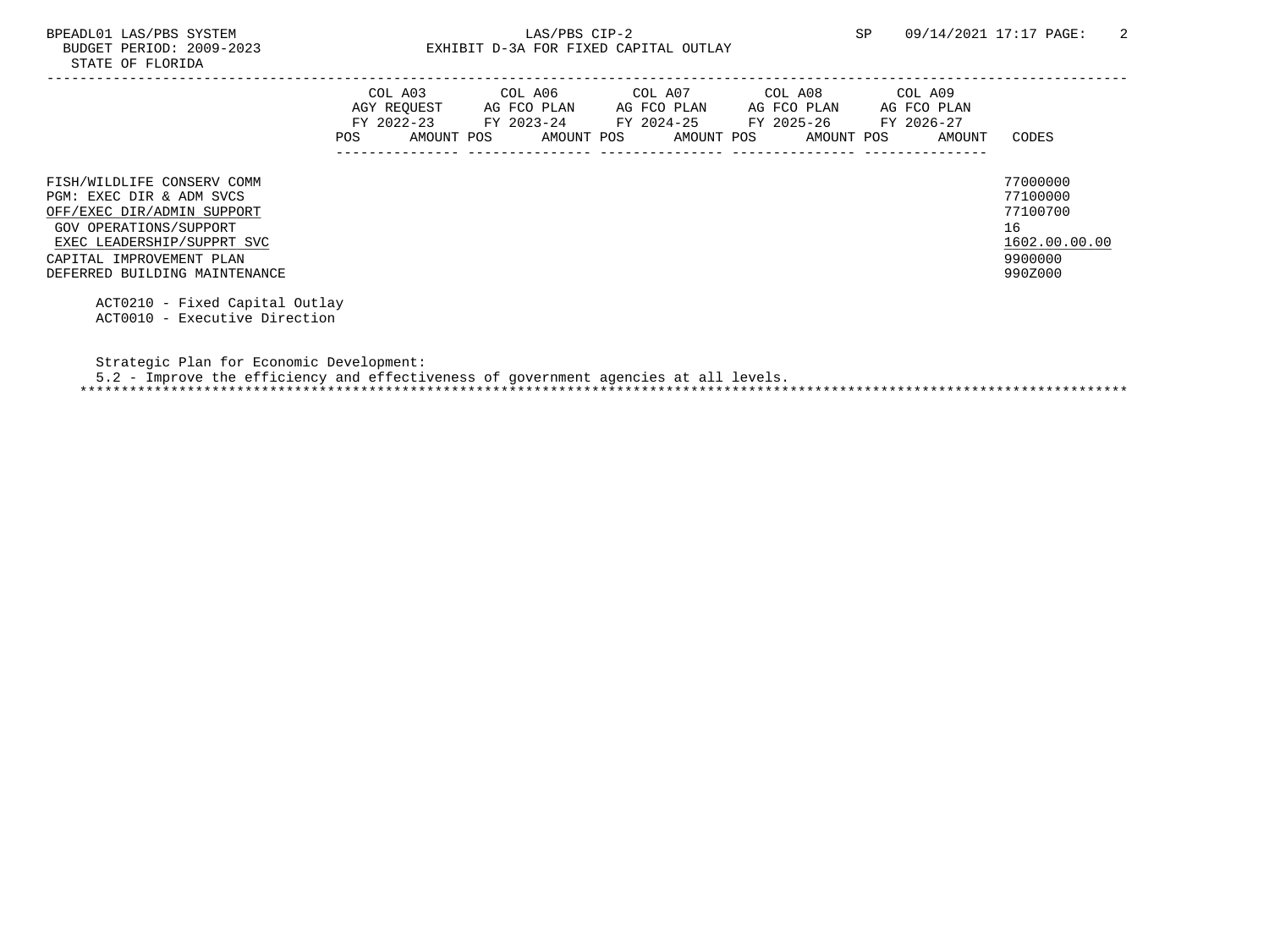# BPEADL01 LAS/PBS SYSTEM  $LAS/PBS$  CIP-2  $SP$  09/14/2021 17:17 PAGE: 2<br>BUDGET PERIOD: 2009-2023 EXHIBIT D-3A FOR FIXED CAPITAL OUTLAY EXHIBIT D-3A FOR FIXED CAPITAL OUTLAY

DEFERRED BUILDING MAINTENANCE 990Z000

|                                                                                                                | POS. | COL A03<br>AGY REOUEST<br>FY 2022-23<br>AMOUNT POS | COL A06<br>AG FCO PLAN<br>FY 2023-24<br>AMOUNT POS | COL A07<br>AG FCO PLAN<br>FY 2024-25<br>AMOUNT POS | COL A08<br>AG FCO PLAN<br>FY 2025-26<br>AMOUNT POS | COL A09<br>AG FCO PLAN<br>FY 2026-27<br>AMOUNT | CODES                                                   |
|----------------------------------------------------------------------------------------------------------------|------|----------------------------------------------------|----------------------------------------------------|----------------------------------------------------|----------------------------------------------------|------------------------------------------------|---------------------------------------------------------|
| FISH/WILDLIFE CONSERV COMM<br>PGM: EXEC DIR & ADM SVCS<br>OFF/EXEC DIR/ADMIN SUPPORT<br>GOV OPERATIONS/SUPPORT |      |                                                    |                                                    |                                                    |                                                    |                                                | 77000000<br>77100000<br>77100700<br>16<br>1602.00.00.00 |
| EXEC LEADERSHIP/SUPPRT SVC<br>CAPITAL IMPROVEMENT PLAN                                                         |      |                                                    |                                                    |                                                    |                                                    |                                                | 9900000                                                 |

 ACT0210 - Fixed Capital Outlay ACT0010 - Executive Direction

Strategic Plan for Economic Development:

5.2 - Improve the efficiency and effectiveness of government agencies at all levels.

\*\*\*\*\*\*\*\*\*\*\*\*\*\*\*\*\*\*\*\*\*\*\*\*\*\*\*\*\*\*\*\*\*\*\*\*\*\*\*\*\*\*\*\*\*\*\*\*\*\*\*\*\*\*\*\*\*\*\*\*\*\*\*\*\*\*\*\*\*\*\*\*\*\*\*\*\*\*\*\*\*\*\*\*\*\*\*\*\*\*\*\*\*\*\*\*\*\*\*\*\*\*\*\*\*\*\*\*\*\*\*\*\*\*\*\*\*\*\*\*\*\*\*\*\*\*\*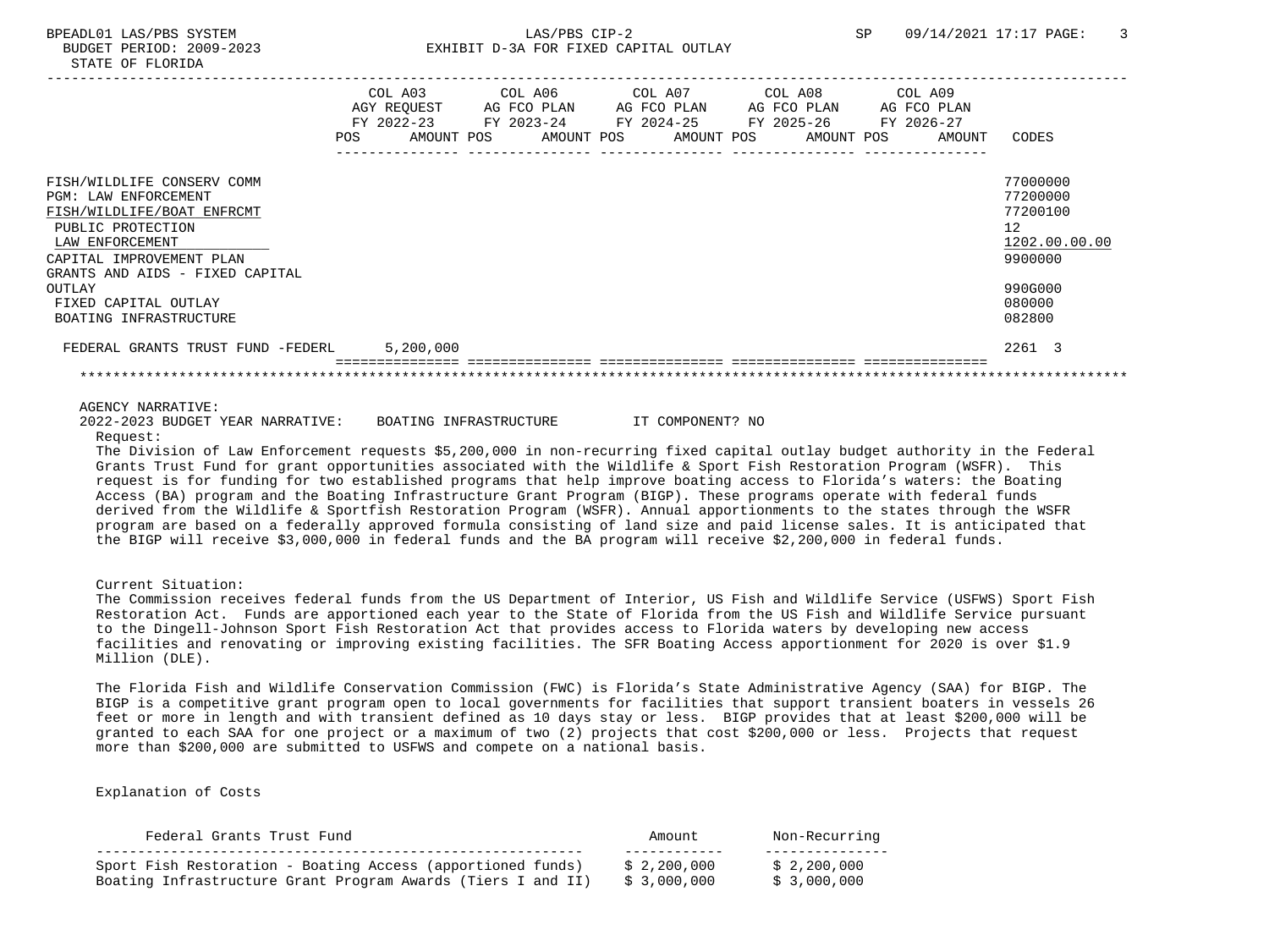|                                                                                                                                                                                                | POS | COL A03<br>AGY REOUEST<br>$FY$ 2022-23<br>AMOUNT POS | COL A06<br>AG FCO PLAN<br>FY 2023-24<br>AMOUNT POS | COL A07 | AG FCO PLAN<br>FY 2024-25<br>AMOUNT POS | COL A08<br>AG FCO PLAN<br>FY 2025-26<br>AMOUNT POS | COL A09<br>AG FCO PLAN<br>FY 2026-27 | AMOUNT | CODES                                                              |
|------------------------------------------------------------------------------------------------------------------------------------------------------------------------------------------------|-----|------------------------------------------------------|----------------------------------------------------|---------|-----------------------------------------|----------------------------------------------------|--------------------------------------|--------|--------------------------------------------------------------------|
| FISH/WILDLIFE CONSERV COMM<br><b>PGM: LAW ENFORCEMENT</b><br>FISH/WILDLIFE/BOAT ENFRCMT<br>PUBLIC PROTECTION<br>LAW ENFORCEMENT<br>CAPITAL IMPROVEMENT PLAN<br>GRANTS AND AIDS - FIXED CAPITAL |     |                                                      |                                                    |         |                                         |                                                    |                                      |        | 77000000<br>77200000<br>77200100<br>12<br>1202.00.00.00<br>9900000 |
| OUTLAY<br>FIXED CAPITAL OUTLAY<br>BOATING INFRASTRUCTURE                                                                                                                                       |     |                                                      |                                                    |         |                                         |                                                    |                                      |        | 990G000<br>080000<br>082800                                        |
| FEDERAL GRANTS TRUST FUND -FEDERL                                                                                                                                                              |     | 5,200,000                                            |                                                    |         |                                         |                                                    |                                      |        | 2261 3                                                             |
|                                                                                                                                                                                                |     |                                                      |                                                    |         |                                         |                                                    |                                      |        |                                                                    |

#### AGENCY NARRATIVE:

|          |  | 2022-2023 BUDGET YEAR NARRATIVE: | BOATING INFRASTRUCTURE | IT COMPONENT? NO |  |
|----------|--|----------------------------------|------------------------|------------------|--|
| Request: |  |                                  |                        |                  |  |

 The Division of Law Enforcement requests \$5,200,000 in non-recurring fixed capital outlay budget authority in the Federal Grants Trust Fund for grant opportunities associated with the Wildlife & Sport Fish Restoration Program (WSFR). This request is for funding for two established programs that help improve boating access to Florida's waters: the Boating Access (BA) program and the Boating Infrastructure Grant Program (BIGP). These programs operate with federal funds derived from the Wildlife & Sportfish Restoration Program (WSFR). Annual apportionments to the states through the WSFR program are based on a federally approved formula consisting of land size and paid license sales. It is anticipated that the BIGP will receive \$3,000,000 in federal funds and the BA program will receive \$2,200,000 in federal funds.

## Current Situation:

 The Commission receives federal funds from the US Department of Interior, US Fish and Wildlife Service (USFWS) Sport Fish Restoration Act. Funds are apportioned each year to the State of Florida from the US Fish and Wildlife Service pursuant to the Dingell-Johnson Sport Fish Restoration Act that provides access to Florida waters by developing new access facilities and renovating or improving existing facilities. The SFR Boating Access apportionment for 2020 is over \$1.9 Million (DLE).

 The Florida Fish and Wildlife Conservation Commission (FWC) is Florida's State Administrative Agency (SAA) for BIGP. The BIGP is a competitive grant program open to local governments for facilities that support transient boaters in vessels 26 feet or more in length and with transient defined as 10 days stay or less. BIGP provides that at least \$200,000 will be granted to each SAA for one project or a maximum of two (2) projects that cost \$200,000 or less. Projects that request more than \$200,000 are submitted to USFWS and compete on a national basis.

Explanation of Costs

| Federal Grants Trust Fund                                    | Amount      | Non-Recurring |
|--------------------------------------------------------------|-------------|---------------|
| Sport Fish Restoration - Boating Access (apportioned funds)  | \$2,200,000 | \$2,200,000   |
| Boating Infrastructure Grant Program Awards (Tiers I and II) | \$3.000.000 | \$ 3,000,000  |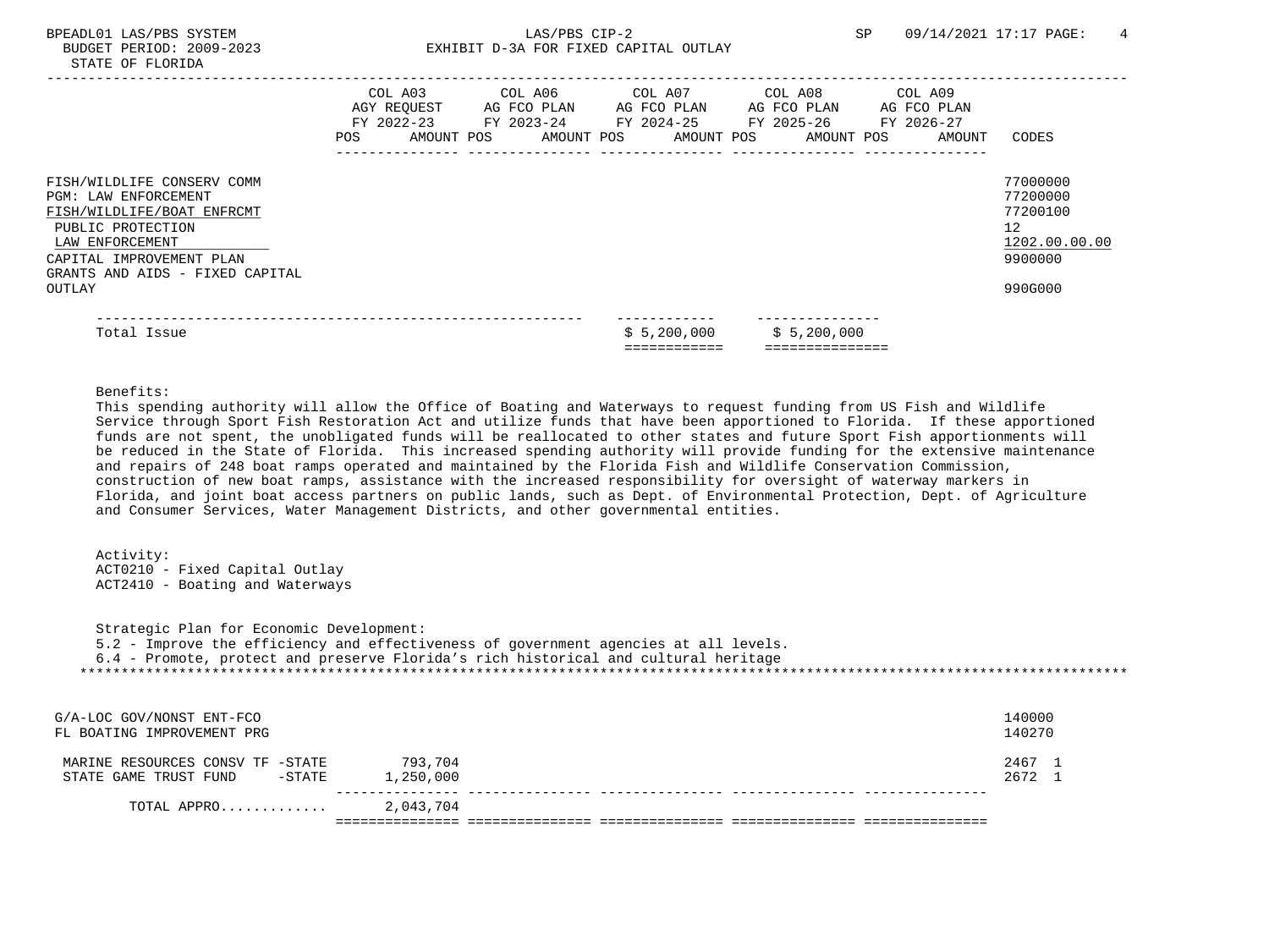|                                                                                                                                                                                                | POS. | COL A03<br>AGY REQUEST<br>FY 2022-23<br>AMOUNT POS | COL A06<br>AG FCO PLAN<br>FY 2023-24 | AMOUNT POS | COL A07 | AG FCO PLAN<br>FY 2024-25<br>AMOUNT POS | COL A08<br>AG FCO PLAN<br>FY 2025-26<br>AMOUNT POS | COL A09<br>AG FCO PLAN<br>FY 2026-27<br>AMOUNT | CODES                                                              |
|------------------------------------------------------------------------------------------------------------------------------------------------------------------------------------------------|------|----------------------------------------------------|--------------------------------------|------------|---------|-----------------------------------------|----------------------------------------------------|------------------------------------------------|--------------------------------------------------------------------|
| FISH/WILDLIFE CONSERV COMM<br><b>PGM: LAW ENFORCEMENT</b><br>FISH/WILDLIFE/BOAT ENFRCMT<br>PUBLIC PROTECTION<br>LAW ENFORCEMENT<br>CAPITAL IMPROVEMENT PLAN<br>GRANTS AND AIDS - FIXED CAPITAL |      |                                                    |                                      |            |         |                                         |                                                    |                                                | 77000000<br>77200000<br>77200100<br>12<br>1202.00.00.00<br>9900000 |
| OUTLAY                                                                                                                                                                                         |      |                                                    |                                      |            |         |                                         |                                                    |                                                | 990G000                                                            |
| Total Issue                                                                                                                                                                                    |      |                                                    |                                      |            |         | \$5,200,000                             | \$5,200,000                                        |                                                |                                                                    |

# Benefits:

 This spending authority will allow the Office of Boating and Waterways to request funding from US Fish and Wildlife Service through Sport Fish Restoration Act and utilize funds that have been apportioned to Florida. If these apportioned funds are not spent, the unobligated funds will be reallocated to other states and future Sport Fish apportionments will be reduced in the State of Florida. This increased spending authority will provide funding for the extensive maintenance and repairs of 248 boat ramps operated and maintained by the Florida Fish and Wildlife Conservation Commission, construction of new boat ramps, assistance with the increased responsibility for oversight of waterway markers in Florida, and joint boat access partners on public lands, such as Dept. of Environmental Protection, Dept. of Agriculture and Consumer Services, Water Management Districts, and other governmental entities.

## Activity: ACT0210 - Fixed Capital Outlay ACT2410 - Boating and Waterways

 Strategic Plan for Economic Development: 5.2 - Improve the efficiency and effectiveness of government agencies at all levels. 6.4 - Promote, protect and preserve Florida's rich historical and cultural heritage \*\*\*\*\*\*\*\*\*\*\*\*\*\*\*\*\*\*\*\*\*\*\*\*\*\*\*\*\*\*\*\*\*\*\*\*\*\*\*\*\*\*\*\*\*\*\*\*\*\*\*\*\*\*\*\*\*\*\*\*\*\*\*\*\*\*\*\*\*\*\*\*\*\*\*\*\*\*\*\*\*\*\*\*\*\*\*\*\*\*\*\*\*\*\*\*\*\*\*\*\*\*\*\*\*\*\*\*\*\*\*\*\*\*\*\*\*\*\*\*\*\*\*\*\*\*\*

| G/A-LOC GOV/NONST ENT-FCO<br>FL BOATING IMPROVEMENT PRG                |                      | 140000<br>140270 |
|------------------------------------------------------------------------|----------------------|------------------|
| MARINE RESOURCES CONSV TF -STATE<br>STATE GAME TRUST FUND<br>$-$ STATE | 793,704<br>1,250,000 | 2467 1<br>2672 1 |
| TOTAL APPRO                                                            | 2,043,704            |                  |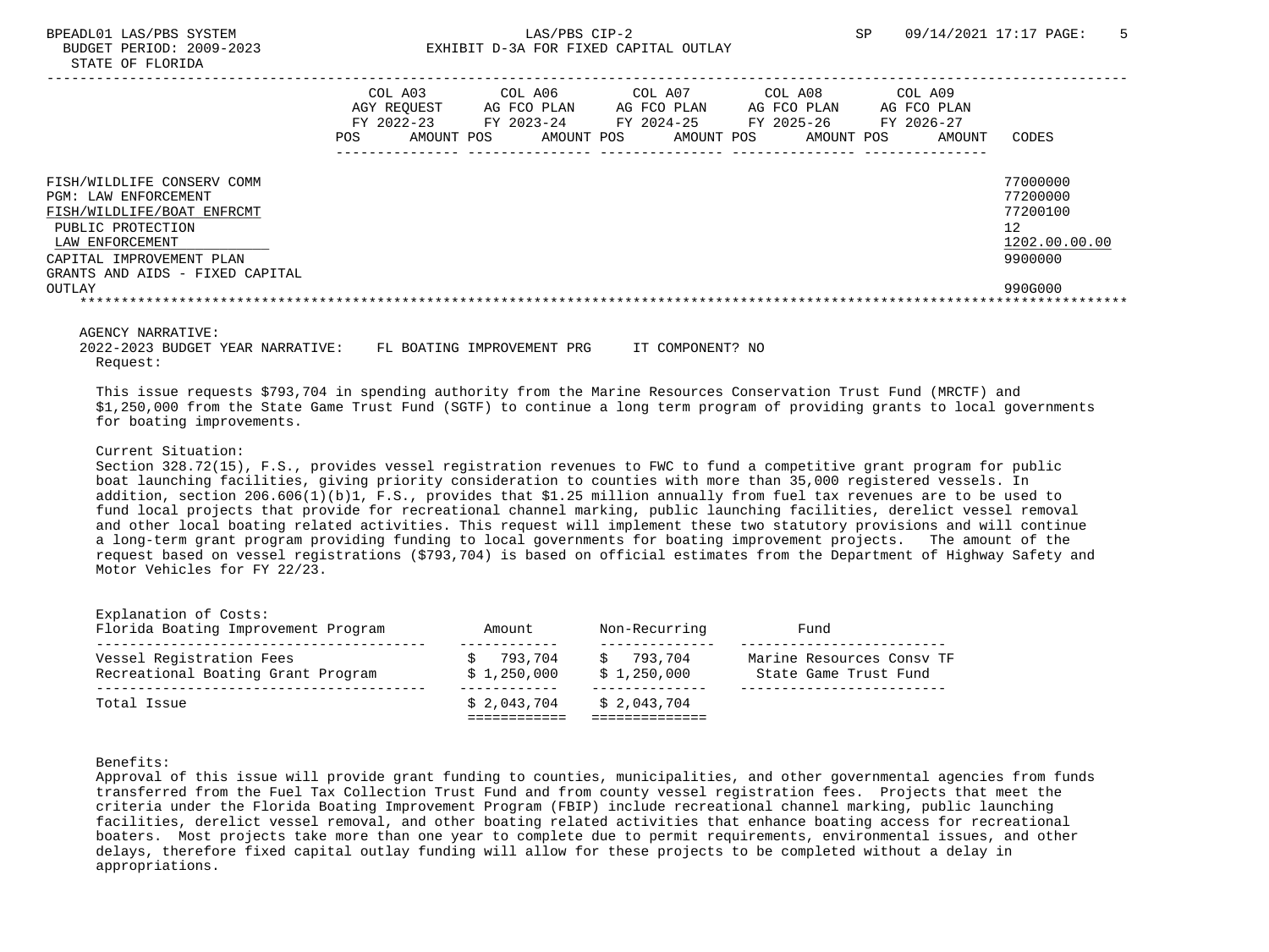|                                                                                                                                                                                         | POS. | COL A03<br>AGY REOUEST<br>FY 2022-23<br>AMOUNT POS | COL A06<br>AG FCO PLAN<br>FY 2023-24<br>AMOUNT POS | COL A07<br>AG FCO PLAN<br>FY 2024-25<br>AMOUNT POS | COL A08<br>AG FCO PLAN<br>FY 2025-26<br>AMOUNT POS | COL A09<br>AG FCO PLAN<br>FY 2026-27<br>AMOUNT | CODES                                                              |
|-----------------------------------------------------------------------------------------------------------------------------------------------------------------------------------------|------|----------------------------------------------------|----------------------------------------------------|----------------------------------------------------|----------------------------------------------------|------------------------------------------------|--------------------------------------------------------------------|
|                                                                                                                                                                                         |      |                                                    |                                                    |                                                    |                                                    |                                                |                                                                    |
|                                                                                                                                                                                         |      |                                                    |                                                    |                                                    |                                                    |                                                |                                                                    |
| FISH/WILDLIFE CONSERV COMM<br>PGM: LAW ENFORCEMENT<br>FISH/WILDLIFE/BOAT ENFRCMT<br>PUBLIC PROTECTION<br>LAW ENFORCEMENT<br>CAPITAL IMPROVEMENT PLAN<br>GRANTS AND AIDS - FIXED CAPITAL |      |                                                    |                                                    |                                                    |                                                    |                                                | 77000000<br>77200000<br>77200100<br>12<br>1202.00.00.00<br>9900000 |
| OUTLAY                                                                                                                                                                                  |      |                                                    |                                                    |                                                    |                                                    |                                                | 990G000                                                            |
|                                                                                                                                                                                         |      |                                                    |                                                    |                                                    |                                                    |                                                |                                                                    |

#### AGENCY NARRATIVE:

 2022-2023 BUDGET YEAR NARRATIVE: FL BOATING IMPROVEMENT PRG IT COMPONENT? NO Request:

 This issue requests \$793,704 in spending authority from the Marine Resources Conservation Trust Fund (MRCTF) and \$1,250,000 from the State Game Trust Fund (SGTF) to continue a long term program of providing grants to local governments for boating improvements.

### Current Situation:

 Section 328.72(15), F.S., provides vessel registration revenues to FWC to fund a competitive grant program for public boat launching facilities, giving priority consideration to counties with more than 35,000 registered vessels. In addition, section 206.606(1)(b)1, F.S., provides that \$1.25 million annually from fuel tax revenues are to be used to fund local projects that provide for recreational channel marking, public launching facilities, derelict vessel removal and other local boating related activities. This request will implement these two statutory provisions and will continue a long-term grant program providing funding to local governments for boating improvement projects. The amount of the request based on vessel registrations (\$793,704) is based on official estimates from the Department of Highway Safety and Motor Vehicles for FY 22/23.

| Total Issue                                                    | \$2.043.704            | \$2.043.704            |                                                    |
|----------------------------------------------------------------|------------------------|------------------------|----------------------------------------------------|
| Vessel Registration Fees<br>Recreational Boating Grant Program | 793.704<br>\$1.250.000 | 793.704<br>\$1,250,000 | Marine Resources Consy TF<br>State Game Trust Fund |
| Explanation of Costs:<br>Florida Boating Improvement Program   | Amount                 | Non-Recurring          | Fund                                               |

#### Benefits:

 Approval of this issue will provide grant funding to counties, municipalities, and other governmental agencies from funds transferred from the Fuel Tax Collection Trust Fund and from county vessel registration fees. Projects that meet the criteria under the Florida Boating Improvement Program (FBIP) include recreational channel marking, public launching facilities, derelict vessel removal, and other boating related activities that enhance boating access for recreational boaters. Most projects take more than one year to complete due to permit requirements, environmental issues, and other delays, therefore fixed capital outlay funding will allow for these projects to be completed without a delay in appropriations.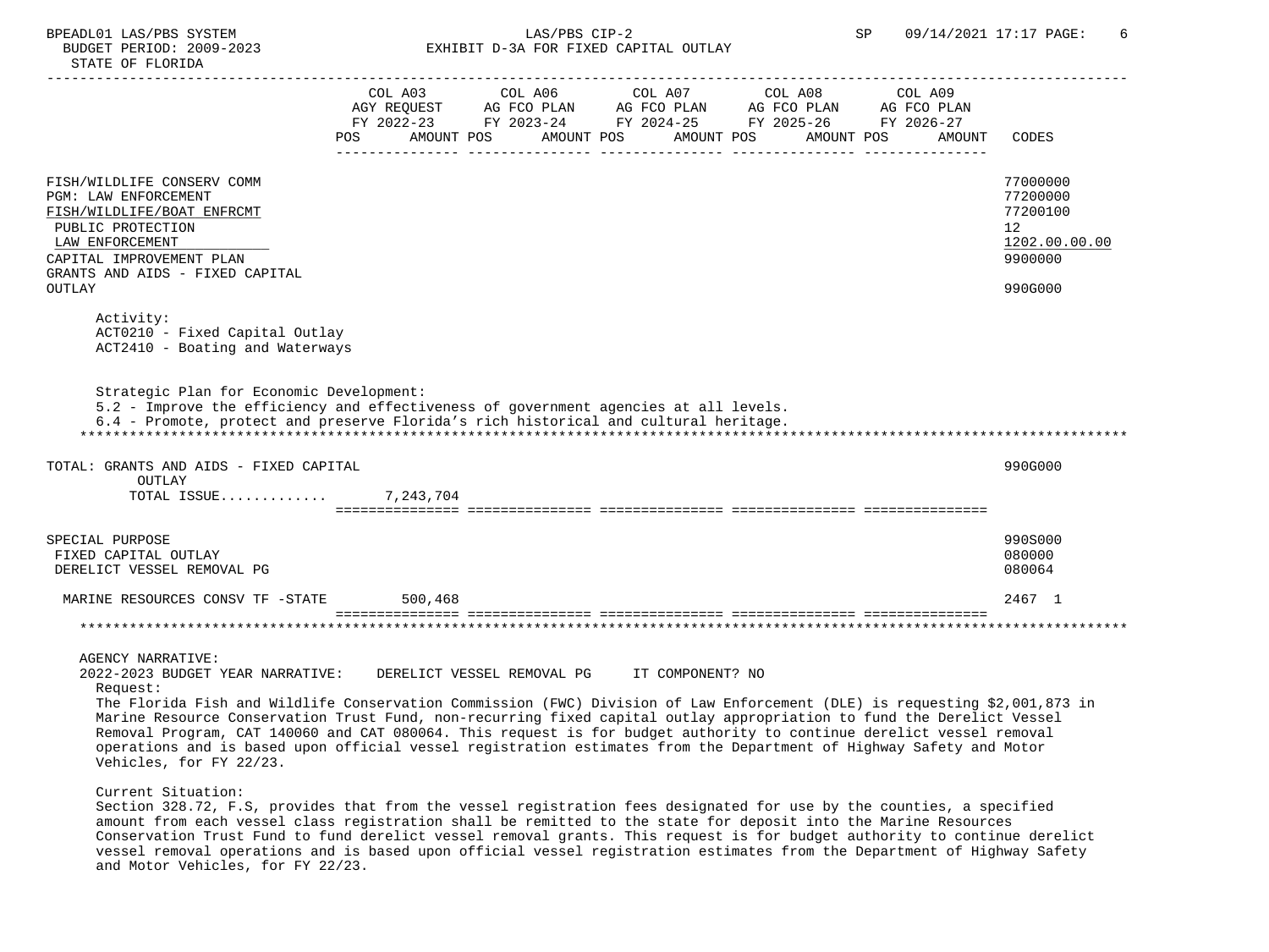## BPEADL01 LAS/PBS SYSTEM  $LAS/PBS$  CIP-2 SP 09/14/2021 17:17 PAGE: 6<br>BUDGET PERIOD: 2009-2023 SP EXHIBIT D-3A FOR FIXED CAPITAL OUTLAY EXHIBIT D-3A FOR FIXED CAPITAL OUTLAY

|                                                                                                                            |     | COL A03    | COL A06 | COL A07                                          | COL A08                                                              | COL A09 |                 |
|----------------------------------------------------------------------------------------------------------------------------|-----|------------|---------|--------------------------------------------------|----------------------------------------------------------------------|---------|-----------------|
|                                                                                                                            |     |            |         |                                                  | AGY REQUEST AG FCO PLAN AG FCO PLAN AG FCO PLAN AG FCO PLAN          |         |                 |
|                                                                                                                            | POS | AMOUNT POS |         | AMOUNT POS AMOUNT POS                            | FY 2022-23 FY 2023-24 FY 2024-25 FY 2025-26 FY 2026-27<br>AMOUNT POS | AMOUNT  | CODES           |
|                                                                                                                            |     |            |         |                                                  |                                                                      |         |                 |
|                                                                                                                            |     |            |         |                                                  |                                                                      |         |                 |
| FISH/WILDLIFE CONSERV COMM                                                                                                 |     |            |         |                                                  |                                                                      |         | 77000000        |
| PGM: LAW ENFORCEMENT                                                                                                       |     |            |         |                                                  |                                                                      |         | 77200000        |
| FISH/WILDLIFE/BOAT ENFRCMT                                                                                                 |     |            |         |                                                  |                                                                      |         | 77200100        |
| PUBLIC PROTECTION                                                                                                          |     |            |         |                                                  |                                                                      |         | 12 <sup>°</sup> |
| LAW ENFORCEMENT                                                                                                            |     |            |         |                                                  |                                                                      |         | 1202.00.00.00   |
| CAPITAL IMPROVEMENT PLAN                                                                                                   |     |            |         |                                                  |                                                                      |         | 9900000         |
| GRANTS AND AIDS - FIXED CAPITAL                                                                                            |     |            |         |                                                  |                                                                      |         |                 |
| OUTLAY                                                                                                                     |     |            |         |                                                  |                                                                      |         | 990G000         |
| Activity:                                                                                                                  |     |            |         |                                                  |                                                                      |         |                 |
| ACT0210 - Fixed Capital Outlay                                                                                             |     |            |         |                                                  |                                                                      |         |                 |
| ACT2410 - Boating and Waterways                                                                                            |     |            |         |                                                  |                                                                      |         |                 |
|                                                                                                                            |     |            |         |                                                  |                                                                      |         |                 |
|                                                                                                                            |     |            |         |                                                  |                                                                      |         |                 |
| Strategic Plan for Economic Development:                                                                                   |     |            |         |                                                  |                                                                      |         |                 |
| 5.2 - Improve the efficiency and effectiveness of government agencies at all levels.                                       |     |            |         |                                                  |                                                                      |         |                 |
| 6.4 - Promote, protect and preserve Florida's rich historical and cultural heritage.                                       |     |            |         |                                                  |                                                                      |         |                 |
|                                                                                                                            |     |            |         |                                                  |                                                                      |         |                 |
| TOTAL: GRANTS AND AIDS - FIXED CAPITAL                                                                                     |     |            |         |                                                  |                                                                      |         | 990G000         |
| OUTLAY                                                                                                                     |     |            |         |                                                  |                                                                      |         |                 |
| TOTAL ISSUE                                                                                                                |     | 7,243,704  |         |                                                  |                                                                      |         |                 |
|                                                                                                                            |     |            |         |                                                  |                                                                      |         |                 |
|                                                                                                                            |     |            |         |                                                  |                                                                      |         |                 |
| SPECIAL PURPOSE                                                                                                            |     |            |         |                                                  |                                                                      |         | 990S000         |
| FIXED CAPITAL OUTLAY                                                                                                       |     |            |         |                                                  |                                                                      |         | 080000          |
| DERELICT VESSEL REMOVAL PG                                                                                                 |     |            |         |                                                  |                                                                      |         | 080064          |
| MARINE RESOURCES CONSV TF -STATE                                                                                           |     | 500,468    |         |                                                  |                                                                      |         | 2467 1          |
|                                                                                                                            |     |            |         |                                                  |                                                                      |         |                 |
|                                                                                                                            |     |            |         |                                                  |                                                                      |         |                 |
|                                                                                                                            |     |            |         |                                                  |                                                                      |         |                 |
| <b>AGENCY NARRATIVE:</b>                                                                                                   |     |            |         |                                                  |                                                                      |         |                 |
| 2022-2023 BUDGET YEAR NARRATIVE:                                                                                           |     |            |         | DERELICT VESSEL REMOVAL PG      IT COMPONENT? NO |                                                                      |         |                 |
| Request:                                                                                                                   |     |            |         |                                                  |                                                                      |         |                 |
| The Florida Fish and Wildlife Conservation Commission (FWC) Division of Law Enforcement (DLE) is requesting \$2,001,873 in |     |            |         |                                                  |                                                                      |         |                 |
| Marine Resource Conservation Trust Fund, non-recurring fixed capital outlay appropriation to fund the Derelict Vessel      |     |            |         |                                                  |                                                                      |         |                 |
| Removal Program. CAT 140060 and CAT 080064. This request is for budget authority to continue derelict vessel removal       |     |            |         |                                                  |                                                                      |         |                 |

 Removal Program, CAT 140060 and CAT 080064. This request is for budget authority to continue derelict vessel removal operations and is based upon official vessel registration estimates from the Department of Highway Safety and Motor Vehicles, for FY 22/23.

Current Situation:

 Section 328.72, F.S, provides that from the vessel registration fees designated for use by the counties, a specified amount from each vessel class registration shall be remitted to the state for deposit into the Marine Resources Conservation Trust Fund to fund derelict vessel removal grants. This request is for budget authority to continue derelict vessel removal operations and is based upon official vessel registration estimates from the Department of Highway Safety and Motor Vehicles, for FY 22/23.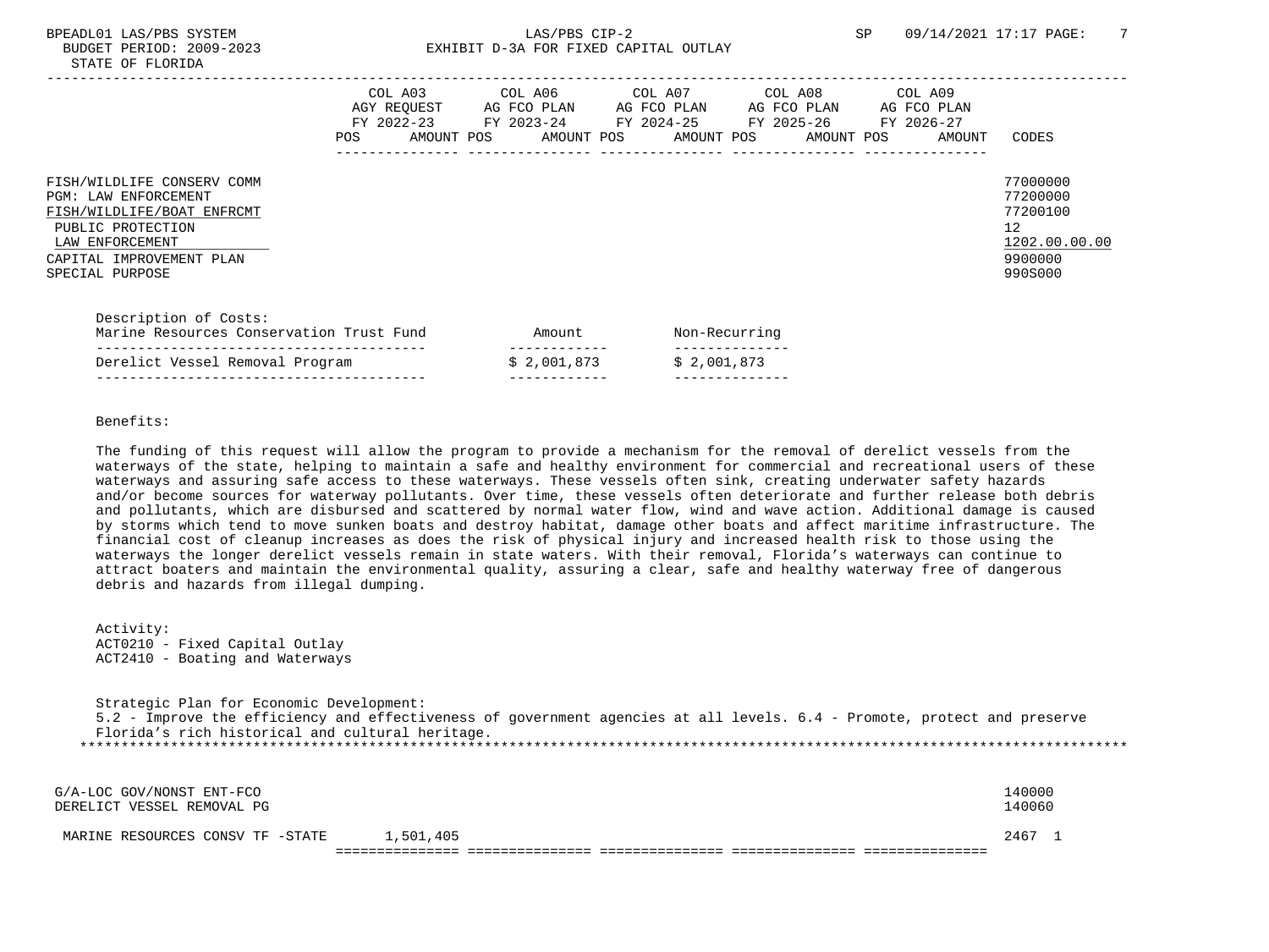# BPEADL01 LAS/PBS SYSTEM SALLAS/PBS CIP-2 SP 09/14/2021 17:17 PAGE: 7 BUDGET PERIOD: 2009-2023 EXHIBIT D-3A FOR FIXED CAPITAL OUTLAY

|                                                                                                                                                                                | COL A03<br>AGY REQUEST<br>$FY$ 2022-23<br>POS. | AMOUNT POS | COL A06<br>AG FCO PLAN<br>FY 2023-24<br>AMOUNT POS | COL A07<br>AG FCO PLAN<br>FY 2024-25<br>AMOUNT POS | COL A08<br>AG FCO PLAN<br>FY 2025-26<br>AMOUNT POS | COL A09<br>AG FCO PLAN<br>FY 2026-27<br>AMOUNT | <b>CODES</b>                                                                  |
|--------------------------------------------------------------------------------------------------------------------------------------------------------------------------------|------------------------------------------------|------------|----------------------------------------------------|----------------------------------------------------|----------------------------------------------------|------------------------------------------------|-------------------------------------------------------------------------------|
| FISH/WILDLIFE CONSERV COMM<br><b>PGM: LAW ENFORCEMENT</b><br>FISH/WILDLIFE/BOAT ENFRCMT<br>PUBLIC PROTECTION<br>LAW ENFORCEMENT<br>CAPITAL IMPROVEMENT PLAN<br>SPECIAL PURPOSE |                                                |            |                                                    |                                                    |                                                    |                                                | 77000000<br>77200000<br>77200100<br>12<br>1202.00.00.00<br>9900000<br>990S000 |
| Description of Costs:<br>Marine Resources Conservation Trust Fund                                                                                                              |                                                |            | Amount                                             | Non-Recurring                                      |                                                    |                                                |                                                                               |

| Marine Resources Conservation Trust Fund |             | Non-kecurri |
|------------------------------------------|-------------|-------------|
|                                          |             |             |
| Derelict Vessel Removal Program          | \$2,001,873 | \$2.001.873 |
|                                          |             |             |

Benefits:

 The funding of this request will allow the program to provide a mechanism for the removal of derelict vessels from the waterways of the state, helping to maintain a safe and healthy environment for commercial and recreational users of these waterways and assuring safe access to these waterways. These vessels often sink, creating underwater safety hazards and/or become sources for waterway pollutants. Over time, these vessels often deteriorate and further release both debris and pollutants, which are disbursed and scattered by normal water flow, wind and wave action. Additional damage is caused by storms which tend to move sunken boats and destroy habitat, damage other boats and affect maritime infrastructure. The financial cost of cleanup increases as does the risk of physical injury and increased health risk to those using the waterways the longer derelict vessels remain in state waters. With their removal, Florida's waterways can continue to attract boaters and maintain the environmental quality, assuring a clear, safe and healthy waterway free of dangerous debris and hazards from illegal dumping.

 Activity: ACT0210 - Fixed Capital Outlay ACT2410 - Boating and Waterways

 Strategic Plan for Economic Development: 5.2 - Improve the efficiency and effectiveness of government agencies at all levels. 6.4 - Promote, protect and preserve Florida's rich historical and cultural heritage. \*\*\*\*\*\*\*\*\*\*\*\*\*\*\*\*\*\*\*\*\*\*\*\*\*\*\*\*\*\*\*\*\*\*\*\*\*\*\*\*\*\*\*\*\*\*\*\*\*\*\*\*\*\*\*\*\*\*\*\*\*\*\*\*\*\*\*\*\*\*\*\*\*\*\*\*\*\*\*\*\*\*\*\*\*\*\*\*\*\*\*\*\*\*\*\*\*\*\*\*\*\*\*\*\*\*\*\*\*\*\*\*\*\*\*\*\*\*\*\*\*\*\*\*\*\*\*

| G/A-LOC GOV/NONST ENT-FCO<br>DERELICT VESSEL REMOVAL PG |           | 140000<br>140060 |  |
|---------------------------------------------------------|-----------|------------------|--|
| MARINE RESOURCES CONSV TF -STATE                        | 1,501,405 | 2467             |  |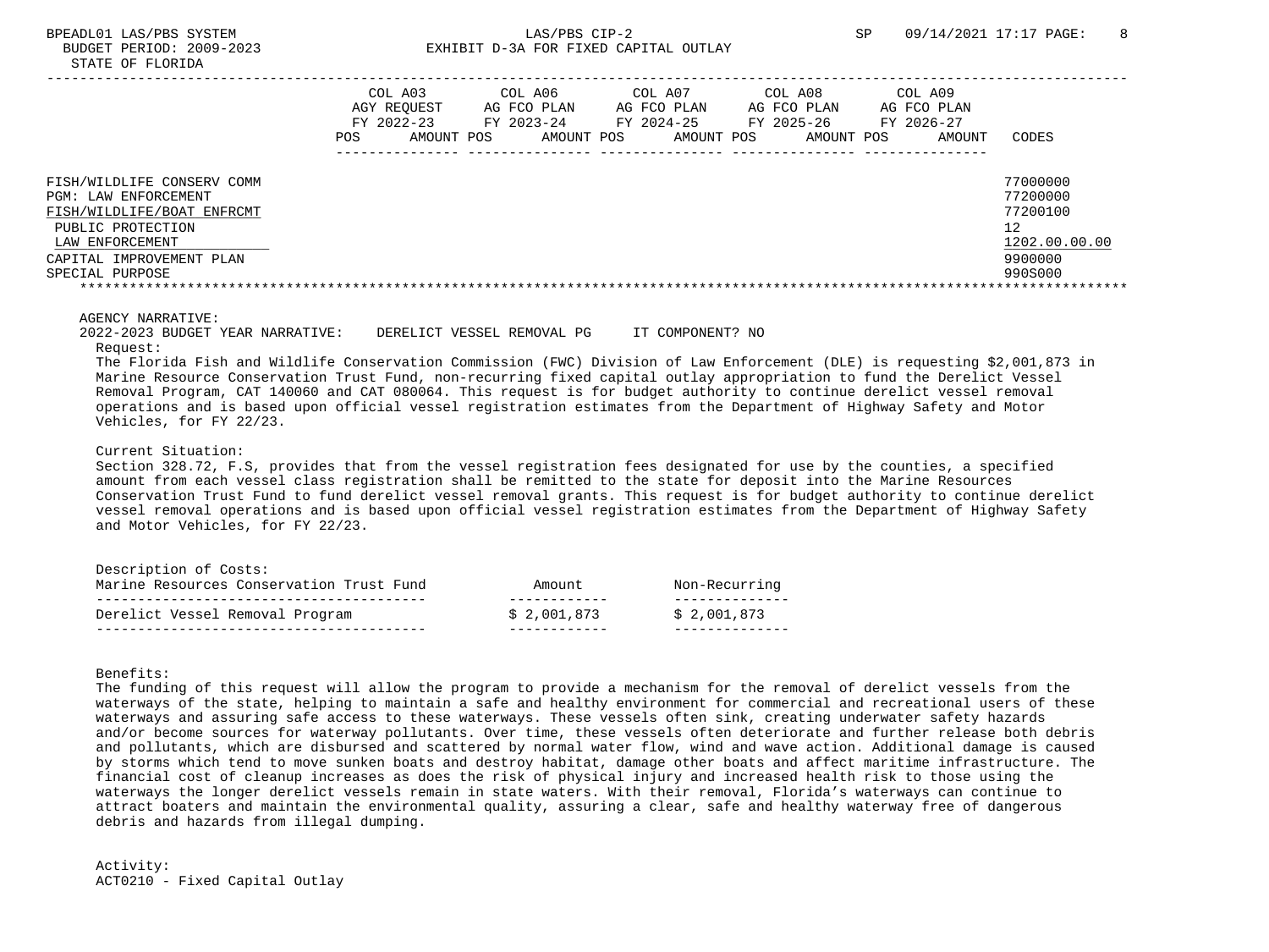|                                                                                                                                                                         | COL A03<br>AGY REOUEST<br>FY 2022-23<br>POS.<br>AMOUNT POS | COL A06<br>AG FCO PLAN<br>FY 2023-24<br>AMOUNT POS | COL A07<br>AG FCO PLAN<br>FY 2024-25<br>AMOUNT POS | COL A08<br>AG FCO PLAN<br>FY 2025-26<br>AMOUNT POS | COL A09<br>AG FCO PLAN<br>FY 2026-27<br>AMOUNT | CODES                                                                         |
|-------------------------------------------------------------------------------------------------------------------------------------------------------------------------|------------------------------------------------------------|----------------------------------------------------|----------------------------------------------------|----------------------------------------------------|------------------------------------------------|-------------------------------------------------------------------------------|
| FISH/WILDLIFE CONSERV COMM<br>PGM: LAW ENFORCEMENT<br>FISH/WILDLIFE/BOAT ENFRCMT<br>PUBLIC PROTECTION<br>LAW ENFORCEMENT<br>CAPITAL IMPROVEMENT PLAN<br>SPECIAL PURPOSE |                                                            |                                                    |                                                    |                                                    |                                                | 77000000<br>77200000<br>77200100<br>12<br>1202.00.00.00<br>9900000<br>990S000 |

#### AGENCY NARRATIVE:

 2022-2023 BUDGET YEAR NARRATIVE: DERELICT VESSEL REMOVAL PG IT COMPONENT? NO Request:

 The Florida Fish and Wildlife Conservation Commission (FWC) Division of Law Enforcement (DLE) is requesting \$2,001,873 in Marine Resource Conservation Trust Fund, non-recurring fixed capital outlay appropriation to fund the Derelict Vessel Removal Program, CAT 140060 and CAT 080064. This request is for budget authority to continue derelict vessel removal operations and is based upon official vessel registration estimates from the Department of Highway Safety and Motor Vehicles, for FY 22/23.

#### Current Situation:

 Section 328.72, F.S, provides that from the vessel registration fees designated for use by the counties, a specified amount from each vessel class registration shall be remitted to the state for deposit into the Marine Resources Conservation Trust Fund to fund derelict vessel removal grants. This request is for budget authority to continue derelict vessel removal operations and is based upon official vessel registration estimates from the Department of Highway Safety and Motor Vehicles, for FY 22/23.

| Description of Costs:                    |             |               |
|------------------------------------------|-------------|---------------|
| Marine Resources Conservation Trust Fund | Amount      | Non-Recurring |
|                                          |             |               |
| Derelict Vessel Removal Program          | \$2,001,873 | \$2.001.873   |
|                                          |             |               |

Benefits:

 The funding of this request will allow the program to provide a mechanism for the removal of derelict vessels from the waterways of the state, helping to maintain a safe and healthy environment for commercial and recreational users of these waterways and assuring safe access to these waterways. These vessels often sink, creating underwater safety hazards and/or become sources for waterway pollutants. Over time, these vessels often deteriorate and further release both debris and pollutants, which are disbursed and scattered by normal water flow, wind and wave action. Additional damage is caused by storms which tend to move sunken boats and destroy habitat, damage other boats and affect maritime infrastructure. The financial cost of cleanup increases as does the risk of physical injury and increased health risk to those using the waterways the longer derelict vessels remain in state waters. With their removal, Florida's waterways can continue to attract boaters and maintain the environmental quality, assuring a clear, safe and healthy waterway free of dangerous debris and hazards from illegal dumping.

 Activity: ACT0210 - Fixed Capital Outlay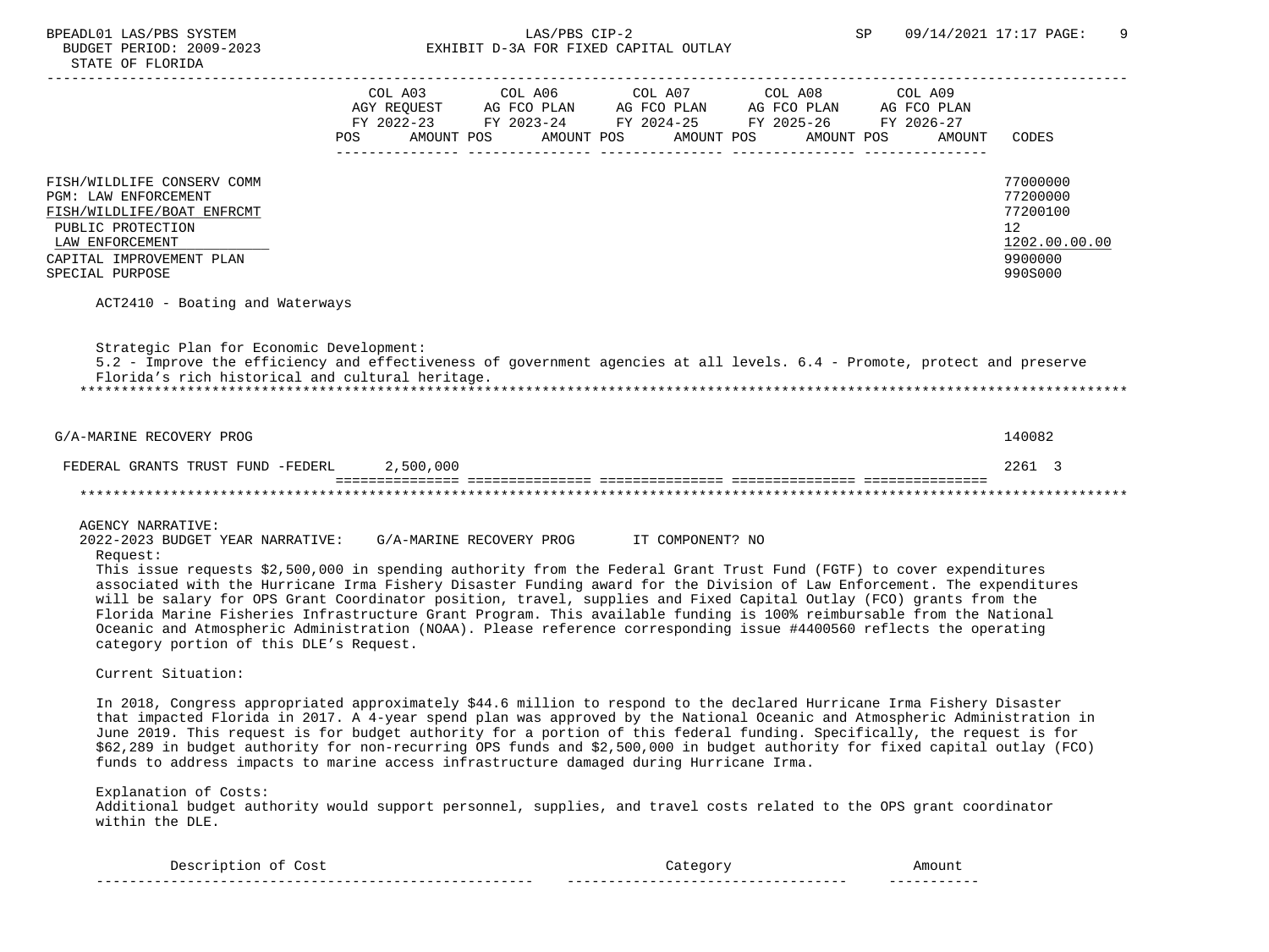|                                                                                                                                                                                                                                                                                                                                                                                                                                                                                                                                                                                                                                                                                                                                             | COL A03 |                                           | COL A06 COL A07 COL A08 COL A09<br>AGY REQUEST AG FCO PLAN AG FCO PLAN AG FCO PLAN AG FCO PLAN<br>FY 2022-23 FY 2023-24 FY 2024-25 FY 2025-26 FY 2026-27 |                                 |                                                                               |
|---------------------------------------------------------------------------------------------------------------------------------------------------------------------------------------------------------------------------------------------------------------------------------------------------------------------------------------------------------------------------------------------------------------------------------------------------------------------------------------------------------------------------------------------------------------------------------------------------------------------------------------------------------------------------------------------------------------------------------------------|---------|-------------------------------------------|----------------------------------------------------------------------------------------------------------------------------------------------------------|---------------------------------|-------------------------------------------------------------------------------|
|                                                                                                                                                                                                                                                                                                                                                                                                                                                                                                                                                                                                                                                                                                                                             |         | POS AMOUNT POS AMOUNT POS AMOUNT POS      |                                                                                                                                                          | AMOUNT POS<br>AMOUNT            | CODES                                                                         |
| FISH/WILDLIFE CONSERV COMM<br>PGM: LAW ENFORCEMENT<br>FISH/WILDLIFE/BOAT ENFRCMT<br>PUBLIC PROTECTION<br>LAW ENFORCEMENT<br>CAPITAL IMPROVEMENT PLAN<br>SPECIAL PURPOSE                                                                                                                                                                                                                                                                                                                                                                                                                                                                                                                                                                     |         |                                           |                                                                                                                                                          |                                 | 77000000<br>77200000<br>77200100<br>12<br>1202.00.00.00<br>9900000<br>990S000 |
| ACT2410 - Boating and Waterways                                                                                                                                                                                                                                                                                                                                                                                                                                                                                                                                                                                                                                                                                                             |         |                                           |                                                                                                                                                          |                                 |                                                                               |
| Strategic Plan for Economic Development:<br>5.2 - Improve the efficiency and effectiveness of government agencies at all levels. 6.4 - Promote, protect and preserve<br>Florida's rich historical and cultural heritage.<br>G/A-MARINE RECOVERY PROG                                                                                                                                                                                                                                                                                                                                                                                                                                                                                        |         |                                           |                                                                                                                                                          |                                 | 140082                                                                        |
|                                                                                                                                                                                                                                                                                                                                                                                                                                                                                                                                                                                                                                                                                                                                             |         |                                           |                                                                                                                                                          |                                 |                                                                               |
| FEDERAL GRANTS TRUST FUND -FEDERL 2,500,000                                                                                                                                                                                                                                                                                                                                                                                                                                                                                                                                                                                                                                                                                                 |         |                                           |                                                                                                                                                          |                                 | 2261 3                                                                        |
|                                                                                                                                                                                                                                                                                                                                                                                                                                                                                                                                                                                                                                                                                                                                             |         |                                           |                                                                                                                                                          | ******************************* |                                                                               |
| <b>AGENCY NARRATIVE:</b><br>2022-2023 BUDGET YEAR NARRATIVE:<br>Request:<br>This issue requests \$2,500,000 in spending authority from the Federal Grant Trust Fund (FGTF) to cover expenditures<br>associated with the Hurricane Irma Fishery Disaster Funding award for the Division of Law Enforcement. The expenditures<br>will be salary for OPS Grant Coordinator position, travel, supplies and Fixed Capital Outlay (FCO) grants from the<br>Florida Marine Fisheries Infrastructure Grant Program. This available funding is 100% reimbursable from the National<br>Oceanic and Atmospheric Administration (NOAA). Please reference corresponding issue #4400560 reflects the operating<br>category portion of this DLE's Request. |         | G/A-MARINE RECOVERY PROG TT COMPONENT? NO |                                                                                                                                                          |                                 |                                                                               |
| Current Situation:                                                                                                                                                                                                                                                                                                                                                                                                                                                                                                                                                                                                                                                                                                                          |         |                                           |                                                                                                                                                          |                                 |                                                                               |
| In 2018, Congress appropriated approximately \$44.6 million to respond to the declared Hurricane Irma Fishery Disaster<br>that impacted Florida in 2017. A 4-year spend plan was approved by the National Oceanic and Atmospheric Administration in<br>June 2019. This request is for budget authority for a portion of this federal funding. Specifically, the request is for<br>\$62,289 in budget authority for non-recurring OPS funds and \$2,500,000 in budget authority for fixed capital outlay (FCO)<br>funds to address impacts to marine access infrastructure damaged during Hurricane Irma.                                                                                                                                    |         |                                           |                                                                                                                                                          |                                 |                                                                               |
| Explanation of Costs:<br>Additional budget authority would support personnel, supplies, and travel costs related to the OPS grant coordinator<br>within the DLE.                                                                                                                                                                                                                                                                                                                                                                                                                                                                                                                                                                            |         |                                           |                                                                                                                                                          |                                 |                                                                               |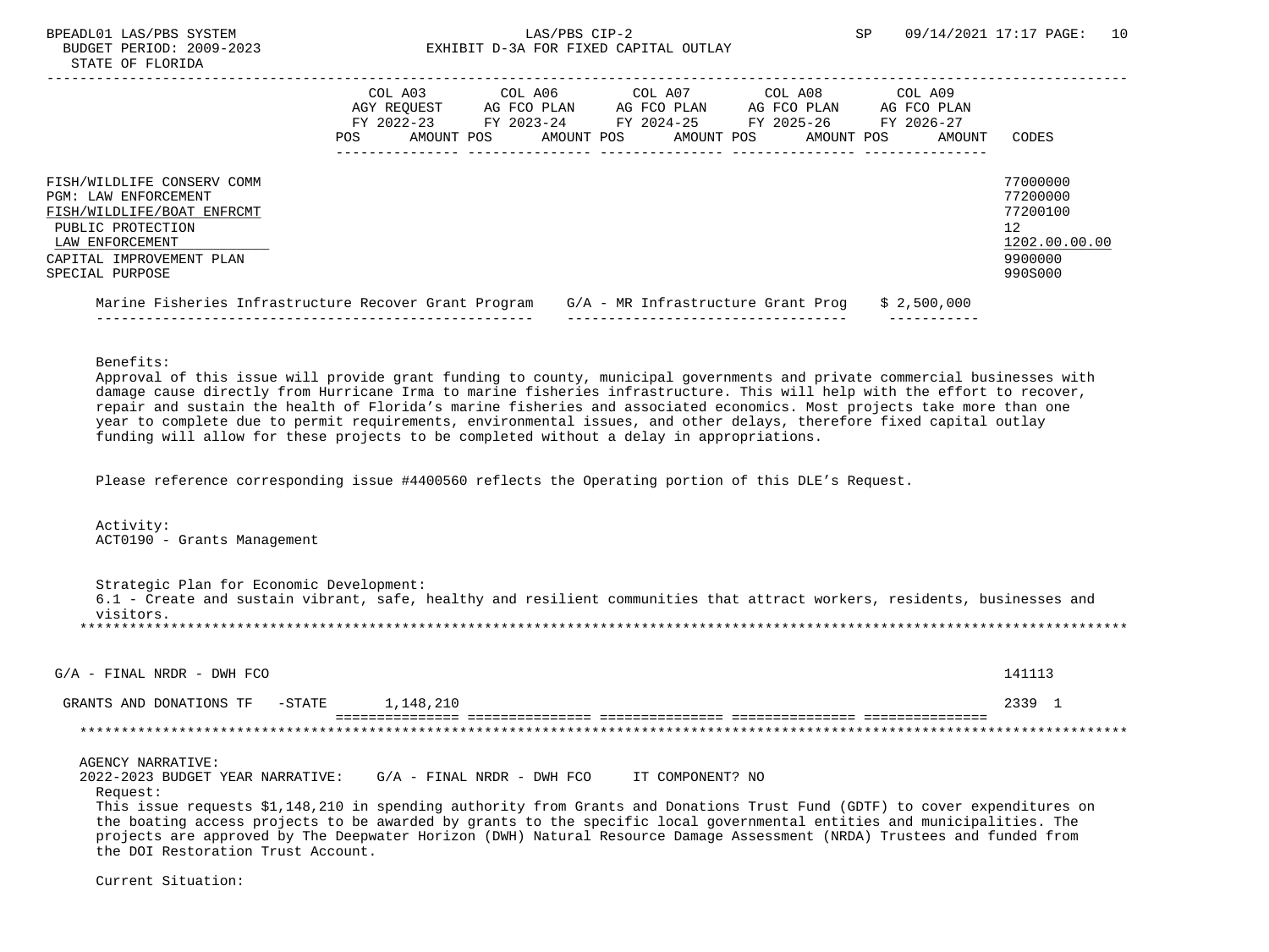|                                                                                                                                                                         | COL A03<br>AGY REOUEST<br>FY 2022-23<br>POS. | AMOUNT POS | COL A06<br>AG FCO PLAN<br>FY 2023-24<br>AMOUNT POS | COL A07<br>AG FCO PLAN<br>FY 2024-25 | AMOUNT POS | COL A08<br>AG FCO PLAN<br>FY 2025-26<br>AMOUNT POS | COL A09<br>AG FCO PLAN<br>FY 2026-27<br>AMOUNT | CODES                                                                         |
|-------------------------------------------------------------------------------------------------------------------------------------------------------------------------|----------------------------------------------|------------|----------------------------------------------------|--------------------------------------|------------|----------------------------------------------------|------------------------------------------------|-------------------------------------------------------------------------------|
| FISH/WILDLIFE CONSERV COMM<br>PGM: LAW ENFORCEMENT<br>FISH/WILDLIFE/BOAT ENFRCMT<br>PUBLIC PROTECTION<br>LAW ENFORCEMENT<br>CAPITAL IMPROVEMENT PLAN<br>SPECIAL PURPOSE |                                              |            |                                                    |                                      |            |                                                    |                                                | 77000000<br>77200000<br>77200100<br>12<br>1202.00.00.00<br>9900000<br>990S000 |
| Marine Fisheries Infrastructure Recover Grant Program                                                                                                                   |                                              |            |                                                    |                                      |            | $G/A$ - MR Infrastructure Grant Prog               | \$2,500,000                                    |                                                                               |

Benefits:

 Approval of this issue will provide grant funding to county, municipal governments and private commercial businesses with damage cause directly from Hurricane Irma to marine fisheries infrastructure. This will help with the effort to recover, repair and sustain the health of Florida's marine fisheries and associated economics. Most projects take more than one year to complete due to permit requirements, environmental issues, and other delays, therefore fixed capital outlay funding will allow for these projects to be completed without a delay in appropriations.

Please reference corresponding issue #4400560 reflects the Operating portion of this DLE's Request.

 Activity: ACT0190 - Grants Management

 Strategic Plan for Economic Development: 6.1 - Create and sustain vibrant, safe, healthy and resilient communities that attract workers, residents, businesses and visitors. \*\*\*\*\*\*\*\*\*\*\*\*\*\*\*\*\*\*\*\*\*\*\*\*\*\*\*\*\*\*\*\*\*\*\*\*\*\*\*\*\*\*\*\*\*\*\*\*\*\*\*\*\*\*\*\*\*\*\*\*\*\*\*\*\*\*\*\*\*\*\*\*\*\*\*\*\*\*\*\*\*\*\*\*\*\*\*\*\*\*\*\*\*\*\*\*\*\*\*\*\*\*\*\*\*\*\*\*\*\*\*\*\*\*\*\*\*\*\*\*\*\*\*\*\*\*\*

 $G/A$  - FINAL NRDR - DWH FCO 141113

| ANI<br>∩NA .<br>ONS<br>וווΩ קירי | $G$ ma $\pi$ m<br>$\overline{\phantom{0}}$ | <u>д</u>                                                 |                                                            |  |
|----------------------------------|--------------------------------------------|----------------------------------------------------------|------------------------------------------------------------|--|
|                                  |                                            | _____<br>_ _ _ _ _ _ _ _ _ _ _ _<br>-----------<br>----- | ---------<br>-----<br>-----<br>-----<br>------<br>-------- |  |

#### AGENCY NARRATIVE:

 2022-2023 BUDGET YEAR NARRATIVE: G/A - FINAL NRDR - DWH FCO IT COMPONENT? NO Request:

 This issue requests \$1,148,210 in spending authority from Grants and Donations Trust Fund (GDTF) to cover expenditures on the boating access projects to be awarded by grants to the specific local governmental entities and municipalities. The projects are approved by The Deepwater Horizon (DWH) Natural Resource Damage Assessment (NRDA) Trustees and funded from the DOI Restoration Trust Account.

Current Situation: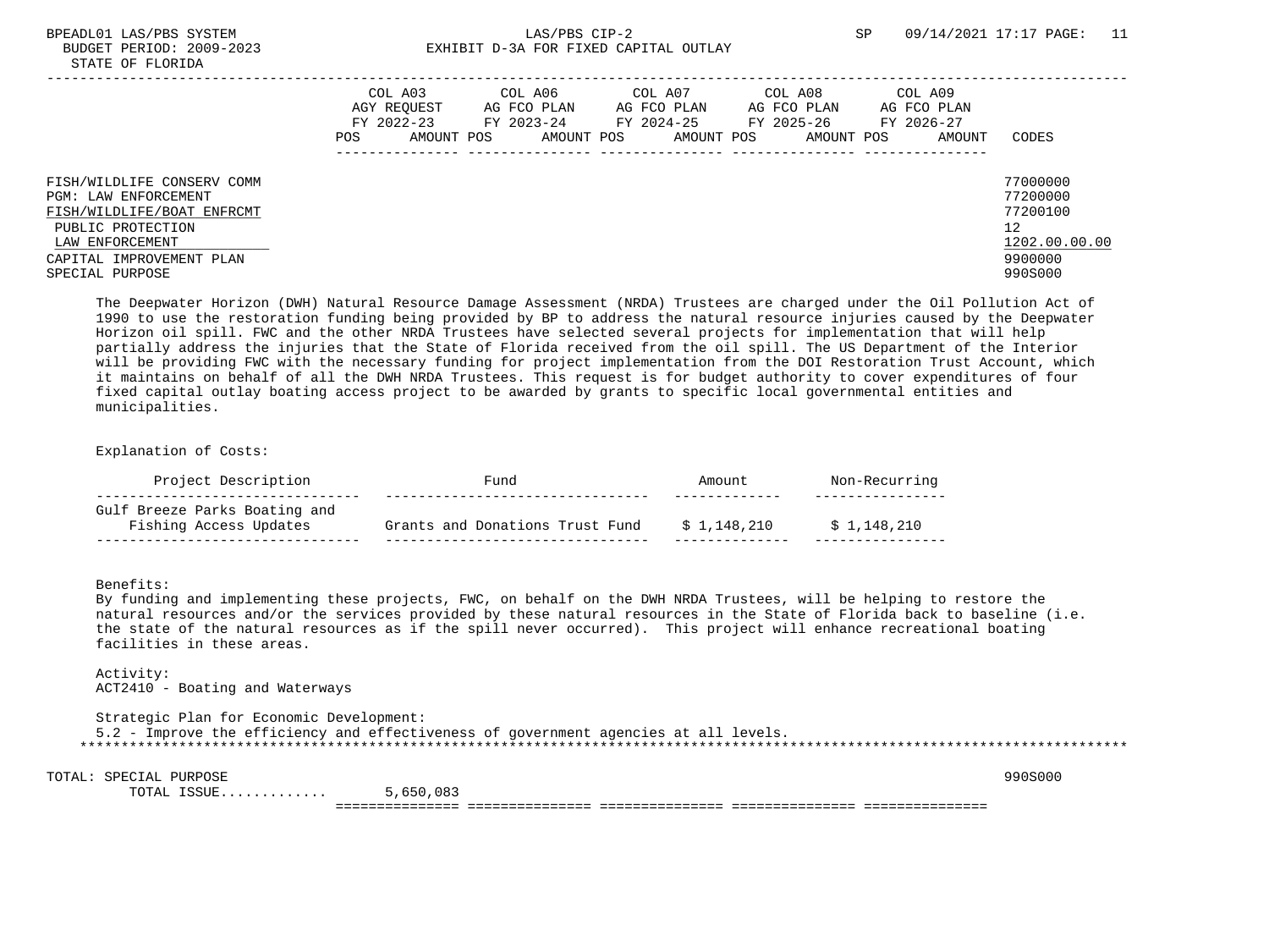## BPEADL01 LAS/PBS SYSTEM SALLAS/PBS CIP-2 SP 09/14/2021 17:17 PAGE: 11 BUDGET PERIOD: 2009-2023 EXHIBIT D-3A FOR FIXED CAPITAL OUTLAY

|                                                                                                                                                                         | COL A03<br>AGY REQUEST<br>FY 2022-23<br>POS.<br>AMOUNT POS | COL A06<br>AG FCO PLAN<br>FY 2023-24<br>AMOUNT POS | COL A07<br>AG FCO PLAN<br>FY 2024-25<br>AMOUNT POS | COL A08<br>AG FCO PLAN<br>FY 2025-26<br>AMOUNT POS | COL A09<br>AG FCO PLAN<br>FY 2026-27<br>AMOUNT | CODES                                                                         |
|-------------------------------------------------------------------------------------------------------------------------------------------------------------------------|------------------------------------------------------------|----------------------------------------------------|----------------------------------------------------|----------------------------------------------------|------------------------------------------------|-------------------------------------------------------------------------------|
| FISH/WILDLIFE CONSERV COMM<br>PGM: LAW ENFORCEMENT<br>FISH/WILDLIFE/BOAT ENFRCMT<br>PUBLIC PROTECTION<br>LAW ENFORCEMENT<br>CAPITAL IMPROVEMENT PLAN<br>SPECIAL PURPOSE |                                                            |                                                    |                                                    |                                                    |                                                | 77000000<br>77200000<br>77200100<br>12<br>1202.00.00.00<br>9900000<br>990S000 |

 The Deepwater Horizon (DWH) Natural Resource Damage Assessment (NRDA) Trustees are charged under the Oil Pollution Act of 1990 to use the restoration funding being provided by BP to address the natural resource injuries caused by the Deepwater Horizon oil spill. FWC and the other NRDA Trustees have selected several projects for implementation that will help partially address the injuries that the State of Florida received from the oil spill. The US Department of the Interior will be providing FWC with the necessary funding for project implementation from the DOI Restoration Trust Account, which it maintains on behalf of all the DWH NRDA Trustees. This request is for budget authority to cover expenditures of four fixed capital outlay boating access project to be awarded by grants to specific local governmental entities and municipalities.

Explanation of Costs:

| Project Description                                     | Fund                            | Amount.     | Non-Recurring |
|---------------------------------------------------------|---------------------------------|-------------|---------------|
| Gulf Breeze Parks Boating and<br>Fishing Access Updates | Grants and Donations Trust Fund | \$1,148,210 | \$1,148,210   |

Benefits:

 By funding and implementing these projects, FWC, on behalf on the DWH NRDA Trustees, will be helping to restore the natural resources and/or the services provided by these natural resources in the State of Florida back to baseline (i.e. the state of the natural resources as if the spill never occurred). This project will enhance recreational boating facilities in these areas.

 Activity: ACT2410 - Boating and Waterways

 Strategic Plan for Economic Development: 5.2 - Improve the efficiency and effectiveness of government agencies at all levels. \*\*\*\*\*\*\*\*\*\*\*\*\*\*\*\*\*\*\*\*\*\*\*\*\*\*\*\*\*\*\*\*\*\*\*\*\*\*\*\*\*\*\*\*\*\*\*\*\*\*\*\*\*\*\*\*\*\*\*\*\*\*\*\*\*\*\*\*\*\*\*\*\*\*\*\*\*\*\*\*\*\*\*\*\*\*\*\*\*\*\*\*\*\*\*\*\*\*\*\*\*\*\*\*\*\*\*\*\*\*\*\*\*\*\*\*\*\*\*\*\*\*\*\*\*\*\*

TOTAL: SPECIAL PURPOSE 990S000

 TOTAL ISSUE............. 5,650,083 =============== =============== =============== =============== ===============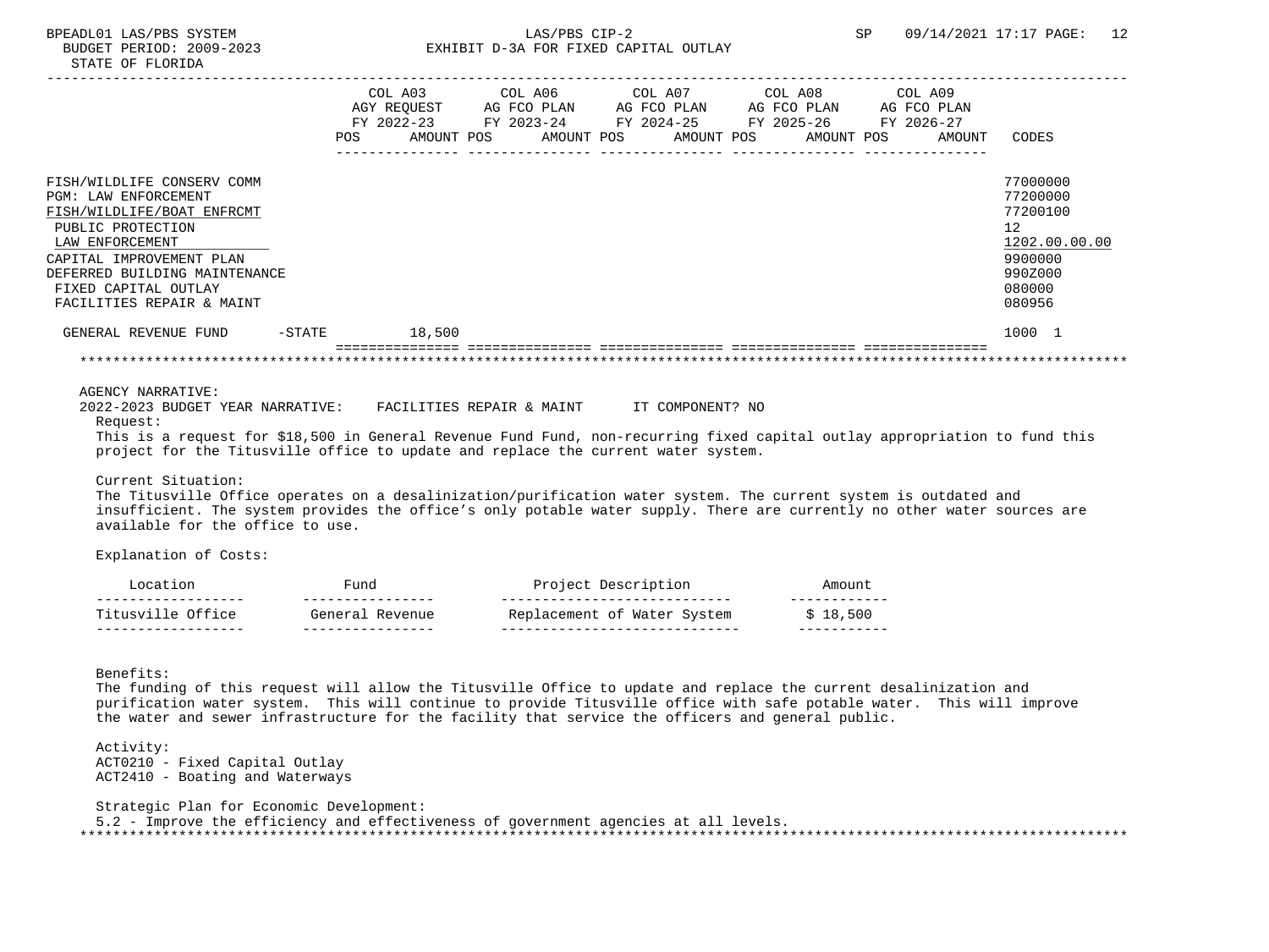|                                                                                                                            |            | COL A03                  | COL A06<br>AGY REOUEST AG FCO PLAN | COL A07<br>AG FCO PLAN              | COL A08<br>AG FCO PLAN   | COL A09<br>AG FCO PLAN |               |
|----------------------------------------------------------------------------------------------------------------------------|------------|--------------------------|------------------------------------|-------------------------------------|--------------------------|------------------------|---------------|
|                                                                                                                            | <b>POS</b> | FY 2022-23<br>AMOUNT POS | AMOUNT POS                         | FY 2023-24 FY 2024-25<br>AMOUNT POS | FY 2025-26<br>AMOUNT POS | FY 2026-27<br>AMOUNT   | CODES         |
| FISH/WILDLIFE CONSERV COMM                                                                                                 |            |                          |                                    |                                     |                          |                        | 77000000      |
| PGM: LAW ENFORCEMENT                                                                                                       |            |                          |                                    |                                     |                          |                        | 77200000      |
| FISH/WILDLIFE/BOAT ENFRCMT                                                                                                 |            |                          |                                    |                                     |                          |                        | 77200100      |
| PUBLIC PROTECTION                                                                                                          |            |                          |                                    |                                     |                          |                        | 12            |
| LAW ENFORCEMENT                                                                                                            |            |                          |                                    |                                     |                          |                        | 1202.00.00.00 |
| CAPITAL IMPROVEMENT PLAN                                                                                                   |            |                          |                                    |                                     |                          |                        | 9900000       |
| DEFERRED BUILDING MAINTENANCE                                                                                              |            |                          |                                    |                                     |                          |                        | 990Z000       |
| FIXED CAPITAL OUTLAY                                                                                                       |            |                          |                                    |                                     |                          |                        | 080000        |
| FACILITIES REPAIR & MAINT                                                                                                  |            |                          |                                    |                                     |                          |                        | 080956        |
| GENERAL REVENUE FUND                                                                                                       | $-$ STATE  | 18,500                   |                                    |                                     |                          |                        | 1000 1        |
|                                                                                                                            |            |                          |                                    |                                     |                          |                        |               |
| AGENCY NARRATIVE:                                                                                                          |            |                          |                                    |                                     |                          |                        |               |
| 2022-2023 BUDGET YEAR NARRATIVE: FACILITIES REPAIR & MAINT TI COMPONENT? NO<br>Request:                                    |            |                          |                                    |                                     |                          |                        |               |
| This is a request for \$18,500 in General Revenue Fund Fund, non-recurring fixed capital outlay appropriation to fund this |            |                          |                                    |                                     |                          |                        |               |
| project for the Titusville office to update and replace the current water system.                                          |            |                          |                                    |                                     |                          |                        |               |

Current Situation:

 The Titusville Office operates on a desalinization/purification water system. The current system is outdated and insufficient. The system provides the office's only potable water supply. There are currently no other water sources are available for the office to use.

Explanation of Costs:

| Titusville Office  | General<br>Revenue | Replacement of Water System | \$18.500 |
|--------------------|--------------------|-----------------------------|----------|
| __________________ | ________________   |                             |          |
|                    | 'uno               | Project Description         | Amount   |

Benefits:

 The funding of this request will allow the Titusville Office to update and replace the current desalinization and purification water system. This will continue to provide Titusville office with safe potable water. This will improve the water and sewer infrastructure for the facility that service the officers and general public.

 Activity: ACT0210 - Fixed Capital Outlay ACT2410 - Boating and Waterways

 Strategic Plan for Economic Development: 5.2 - Improve the efficiency and effectiveness of government agencies at all levels. \*\*\*\*\*\*\*\*\*\*\*\*\*\*\*\*\*\*\*\*\*\*\*\*\*\*\*\*\*\*\*\*\*\*\*\*\*\*\*\*\*\*\*\*\*\*\*\*\*\*\*\*\*\*\*\*\*\*\*\*\*\*\*\*\*\*\*\*\*\*\*\*\*\*\*\*\*\*\*\*\*\*\*\*\*\*\*\*\*\*\*\*\*\*\*\*\*\*\*\*\*\*\*\*\*\*\*\*\*\*\*\*\*\*\*\*\*\*\*\*\*\*\*\*\*\*\*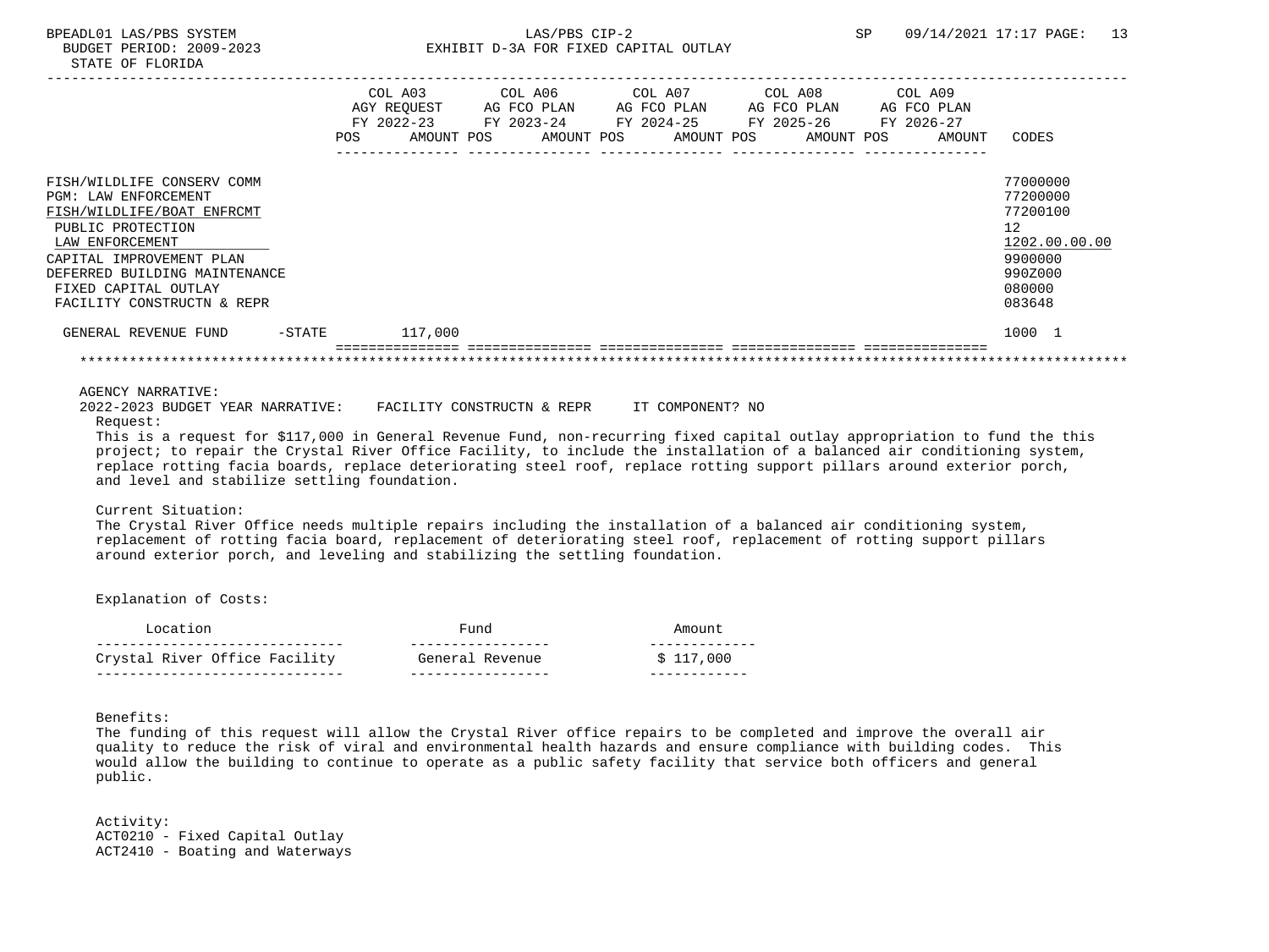## BPEADL01 LAS/PBS SYSTEM SALLAS/PBS CIP-2 SP 09/14/2021 17:17 PAGE: 13 BUDGET PERIOD: 2009-2023 EXHIBIT D-3A FOR FIXED CAPITAL OUTLAY

|                               |           |     | COL A03                  | COL A06 COL A07                                |  |             | COL A08 |                       | COL A09              |               |
|-------------------------------|-----------|-----|--------------------------|------------------------------------------------|--|-------------|---------|-----------------------|----------------------|---------------|
|                               |           |     | AGY REOUEST              | AG FCO PLAN                                    |  | AG FCO PLAN |         | AG FCO PLAN           | AG FCO PLAN          |               |
|                               |           | POS | FY 2022-23<br>AMOUNT POS | FY 2023-24<br>AMOUNT POS AMOUNT POS AMOUNT POS |  |             |         | FY 2024-25 FY 2025-26 | FY 2026-27<br>AMOUNT | CODES         |
|                               |           |     |                          |                                                |  |             |         |                       |                      |               |
|                               |           |     |                          |                                                |  |             |         |                       |                      |               |
| FISH/WILDLIFE CONSERV COMM    |           |     |                          |                                                |  |             |         |                       |                      | 77000000      |
| PGM: LAW ENFORCEMENT          |           |     |                          |                                                |  |             |         |                       |                      | 77200000      |
| FISH/WILDLIFE/BOAT ENFRCMT    |           |     |                          |                                                |  |             |         |                       |                      | 77200100      |
| PUBLIC PROTECTION             |           |     |                          |                                                |  |             |         |                       |                      | 12            |
| LAW ENFORCEMENT               |           |     |                          |                                                |  |             |         |                       |                      | 1202.00.00.00 |
| CAPITAL IMPROVEMENT PLAN      |           |     |                          |                                                |  |             |         |                       |                      | 9900000       |
| DEFERRED BUILDING MAINTENANCE |           |     |                          |                                                |  |             |         |                       |                      | 990Z000       |
| FIXED CAPITAL OUTLAY          |           |     |                          |                                                |  |             |         |                       |                      | 080000        |
| FACILITY CONSTRUCTN & REPR    |           |     |                          |                                                |  |             |         |                       |                      | 083648        |
| GENERAL REVENUE FUND          | $-$ STATE |     | 117,000                  |                                                |  |             |         |                       |                      | 1000 1        |
|                               |           |     |                          |                                                |  |             |         |                       |                      |               |

AGENCY NARRATIVE:

2022-2023 BUDGET YEAR NARRATIVE: FACILITY CONSTRUCTN & REPR IT COMPONENT? NO

Request:

 This is a request for \$117,000 in General Revenue Fund, non-recurring fixed capital outlay appropriation to fund the this project; to repair the Crystal River Office Facility, to include the installation of a balanced air conditioning system, replace rotting facia boards, replace deteriorating steel roof, replace rotting support pillars around exterior porch, and level and stabilize settling foundation.

Current Situation:

 The Crystal River Office needs multiple repairs including the installation of a balanced air conditioning system, replacement of rotting facia board, replacement of deteriorating steel roof, replacement of rotting support pillars around exterior porch, and leveling and stabilizing the settling foundation.

Explanation of Costs:

| Location                      | Fund            | Amount    |
|-------------------------------|-----------------|-----------|
| Crystal River Office Facility | General Revenue | \$117,000 |

Benefits:

 The funding of this request will allow the Crystal River office repairs to be completed and improve the overall air quality to reduce the risk of viral and environmental health hazards and ensure compliance with building codes. This would allow the building to continue to operate as a public safety facility that service both officers and general public.

 Activity: ACT0210 - Fixed Capital Outlay ACT2410 - Boating and Waterways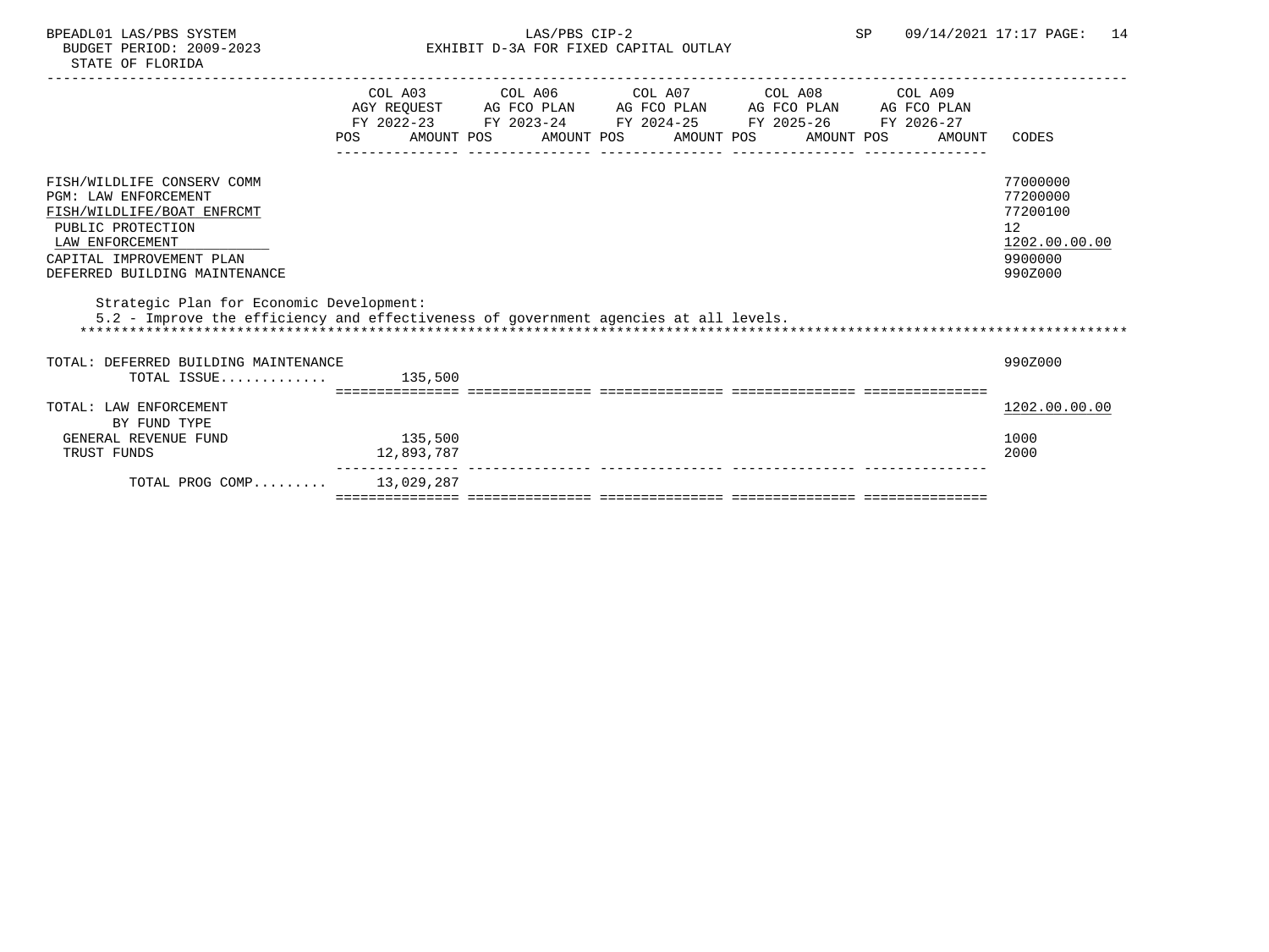# BPEADL01 LAS/PBS SYSTEM 14<br>BUDGET PERIOD: 2009-2023 EXHIBIT D-3A FOR FIXED CAPITAL OUTLAY SP 09/14/2021 17:17 PAGE: 14 EXHIBIT D-3A FOR FIXED CAPITAL OUTLAY

|                                                                                                                                                                                       | POS                   | COL A03 COL A06 COL A07 COL A08 COL A09<br>AGY REQUEST AG FCO PLAN AG FCO PLAN AG FCO PLAN AG FCO PLAN<br>FY 2022-23 FY 2023-24 FY 2024-25 FY 2025-26 FY 2026-27<br>AMOUNT POS AMOUNT POS AMOUNT POS AMOUNT POS |  | AMOUNT | CODES                                                                         |
|---------------------------------------------------------------------------------------------------------------------------------------------------------------------------------------|-----------------------|-----------------------------------------------------------------------------------------------------------------------------------------------------------------------------------------------------------------|--|--------|-------------------------------------------------------------------------------|
| FISH/WILDLIFE CONSERV COMM<br>PGM: LAW ENFORCEMENT<br>FISH/WILDLIFE/BOAT ENFRCMT<br>PUBLIC PROTECTION<br>LAW ENFORCEMENT<br>CAPITAL IMPROVEMENT PLAN<br>DEFERRED BUILDING MAINTENANCE |                       |                                                                                                                                                                                                                 |  |        | 77000000<br>77200000<br>77200100<br>12<br>1202.00.00.00<br>9900000<br>990Z000 |
| Strategic Plan for Economic Development:<br>5.2 - Improve the efficiency and effectiveness of government agencies at all levels.                                                      |                       |                                                                                                                                                                                                                 |  |        |                                                                               |
| TOTAL: DEFERRED BUILDING MAINTENANCE<br>TOTAL ISSUE                                                                                                                                   | 135,500               |                                                                                                                                                                                                                 |  |        | 990Z000                                                                       |
| TOTAL: LAW ENFORCEMENT<br>BY FUND TYPE<br>GENERAL REVENUE FUND<br>TRUST FUNDS                                                                                                         | 135,500<br>12,893,787 |                                                                                                                                                                                                                 |  |        | 1202.00.00.00<br>1000<br>2000                                                 |
| TOTAL PROG COMP                                                                                                                                                                       | 13,029,287            |                                                                                                                                                                                                                 |  |        |                                                                               |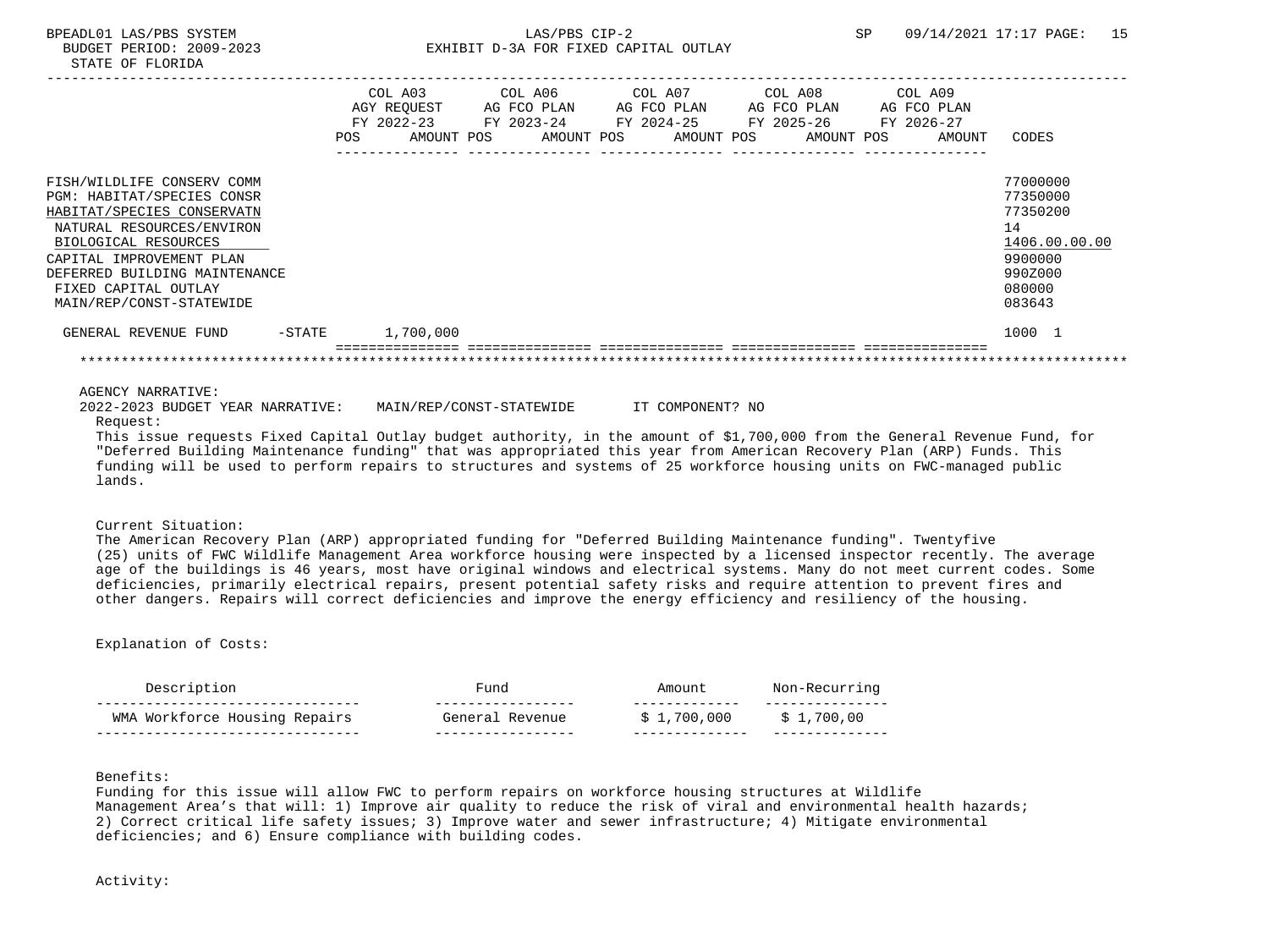# BPEADL01 LAS/PBS SYSTEM SALLAS/PBS CIP-2 SP 09/14/2021 17:17 PAGE: 15 BUDGET PERIOD: 2009-2023 EXHIBIT D-3A FOR FIXED CAPITAL OUTLAY

|                               |           |            | COL A03<br>AGY REQUEST<br>$FY$ 2022-23 | COL A06<br>AG FCO PLAN<br>FY 2023-24 |  | COL A07<br>AG FCO PLAN | COL A08<br>AG FCO PLAN<br>FY 2024-25 FY 2025-26 | COL A09<br>AG FCO PLAN<br>FY 2026-27 |               |
|-------------------------------|-----------|------------|----------------------------------------|--------------------------------------|--|------------------------|-------------------------------------------------|--------------------------------------|---------------|
|                               |           | <b>POS</b> | AMOUNT POS                             | AMOUNT POS                           |  | AMOUNT POS             | AMOUNT POS                                      | AMOUNT                               | CODES         |
| FISH/WILDLIFE CONSERV COMM    |           |            |                                        |                                      |  |                        |                                                 |                                      | 77000000      |
| PGM: HABITAT/SPECIES CONSR    |           |            |                                        |                                      |  |                        |                                                 |                                      | 77350000      |
| HABITAT/SPECIES CONSERVATN    |           |            |                                        |                                      |  |                        |                                                 |                                      | 77350200      |
| NATURAL RESOURCES/ENVIRON     |           |            |                                        |                                      |  |                        |                                                 |                                      | 14            |
| BIOLOGICAL RESOURCES          |           |            |                                        |                                      |  |                        |                                                 |                                      | 1406.00.00.00 |
| CAPITAL IMPROVEMENT PLAN      |           |            |                                        |                                      |  |                        |                                                 |                                      | 9900000       |
| DEFERRED BUILDING MAINTENANCE |           |            |                                        |                                      |  |                        |                                                 |                                      | 990Z000       |
| FIXED CAPITAL OUTLAY          |           |            |                                        |                                      |  |                        |                                                 |                                      | 080000        |
| MAIN/REP/CONST-STATEWIDE      |           |            |                                        |                                      |  |                        |                                                 |                                      | 083643        |
| GENERAL REVENUE FUND          | $-$ STATE |            | 1,700,000                              |                                      |  |                        |                                                 |                                      | 1000 1        |
|                               |           |            |                                        |                                      |  |                        |                                                 |                                      |               |

AGENCY NARRATIVE:

 2022-2023 BUDGET YEAR NARRATIVE: MAIN/REP/CONST-STATEWIDE IT COMPONENT? NO Request:

 This issue requests Fixed Capital Outlay budget authority, in the amount of \$1,700,000 from the General Revenue Fund, for "Deferred Building Maintenance funding" that was appropriated this year from American Recovery Plan (ARP) Funds. This funding will be used to perform repairs to structures and systems of 25 workforce housing units on FWC-managed public lands.

### Current Situation:

 The American Recovery Plan (ARP) appropriated funding for "Deferred Building Maintenance funding". Twentyfive (25) units of FWC Wildlife Management Area workforce housing were inspected by a licensed inspector recently. The average age of the buildings is 46 years, most have original windows and electrical systems. Many do not meet current codes. Some deficiencies, primarily electrical repairs, present potential safety risks and require attention to prevent fires and other dangers. Repairs will correct deficiencies and improve the energy efficiency and resiliency of the housing.

## Explanation of Costs:

| Description                   | Fund            | ∖m∩unt           | Non-Recurring |
|-------------------------------|-----------------|------------------|---------------|
| WMA Workforce Housing Repairs | General Revenue | . 000<br>. . 700 | .,700,00      |

Benefits:

 Funding for this issue will allow FWC to perform repairs on workforce housing structures at Wildlife Management Area's that will: 1) Improve air quality to reduce the risk of viral and environmental health hazards; 2) Correct critical life safety issues; 3) Improve water and sewer infrastructure; 4) Mitigate environmental deficiencies; and 6) Ensure compliance with building codes.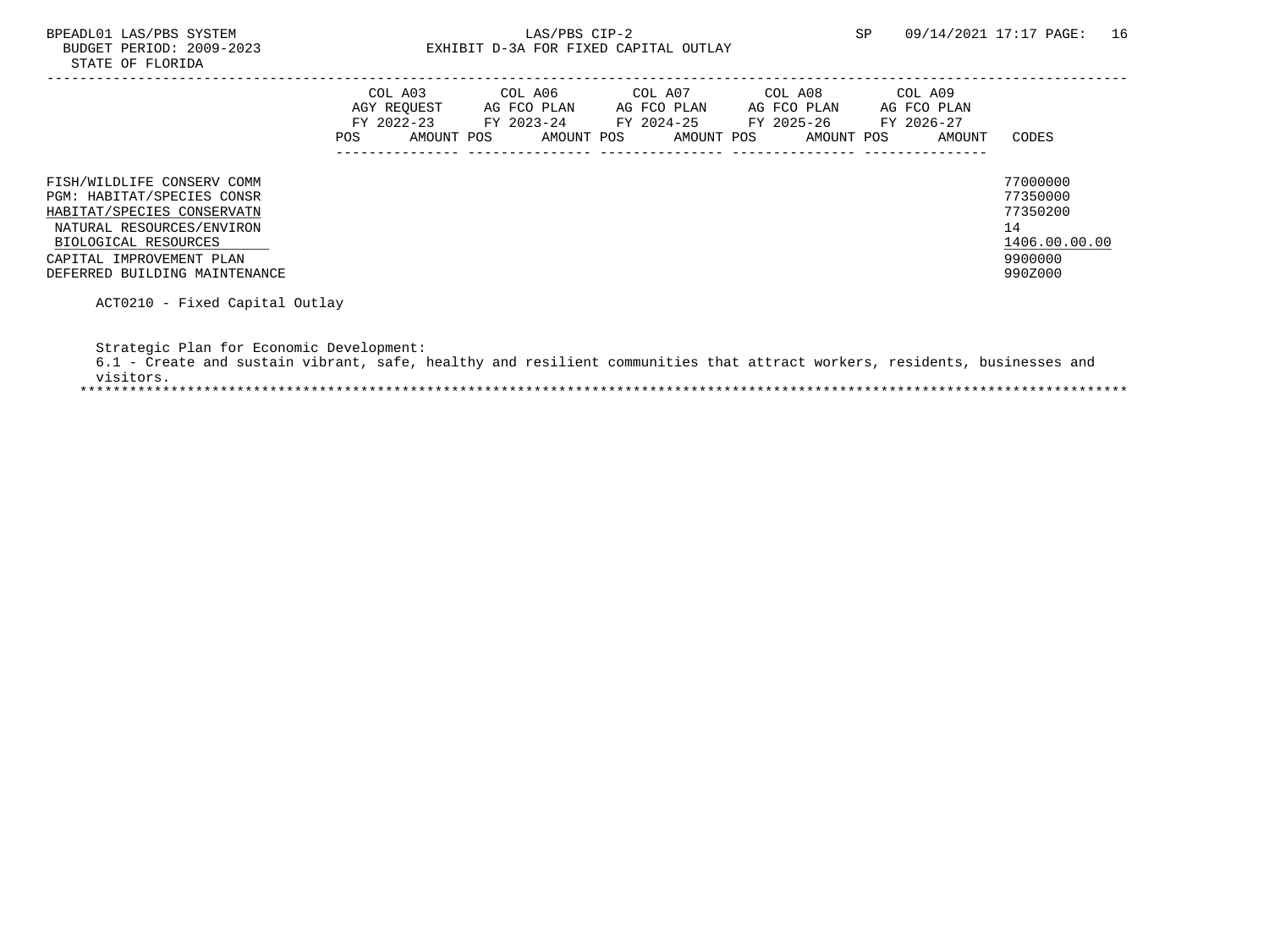# BPEADL01 LAS/PBS SYSTEM 16<br>BUDGET PERIOD: 2009-2023 EXHIBIT D-3A FOR FIXED CAPITAL OUTLAY SP 09/14/2021 17:17 PAGE: 16 EXHIBIT D-3A FOR FIXED CAPITAL OUTLAY

|                                                                                                                                             | COL A03<br>AGY REOUEST<br>FY 2022-23<br>AMOUNT POS<br>POS | COL A06<br>AG FCO PLAN<br>FY 2023-24<br>AMOUNT POS | COL A07<br>AG FCO PLAN<br>FY 2024-25<br>AMOUNT POS | COL A08<br>AG FCO PLAN<br>FY 2025-26<br>AMOUNT POS | COL A09<br>AG FCO PLAN<br>FY 2026-27<br>AMOUNT | CODES                                                   |
|---------------------------------------------------------------------------------------------------------------------------------------------|-----------------------------------------------------------|----------------------------------------------------|----------------------------------------------------|----------------------------------------------------|------------------------------------------------|---------------------------------------------------------|
| FISH/WILDLIFE CONSERV COMM<br>PGM: HABITAT/SPECIES CONSR<br>HABITAT/SPECIES CONSERVATN<br>NATURAL RESOURCES/ENVIRON<br>BIOLOGICAL RESOURCES |                                                           |                                                    |                                                    |                                                    |                                                | 77000000<br>77350000<br>77350200<br>14<br>1406.00.00.00 |
| CAPITAL IMPROVEMENT PLAN<br>DEFERRED BUILDING MAINTENANCE                                                                                   |                                                           |                                                    |                                                    |                                                    |                                                | 9900000<br>990Z000                                      |

ACT0210 - Fixed Capital Outlay

Strategic Plan for Economic Development:

|           |  |  |  | 6.1 - Create and sustain vibrant, safe, healthy and resilient communities that attract workers, residents, businesses and |  |  |  |
|-----------|--|--|--|---------------------------------------------------------------------------------------------------------------------------|--|--|--|
| visitors. |  |  |  |                                                                                                                           |  |  |  |
|           |  |  |  |                                                                                                                           |  |  |  |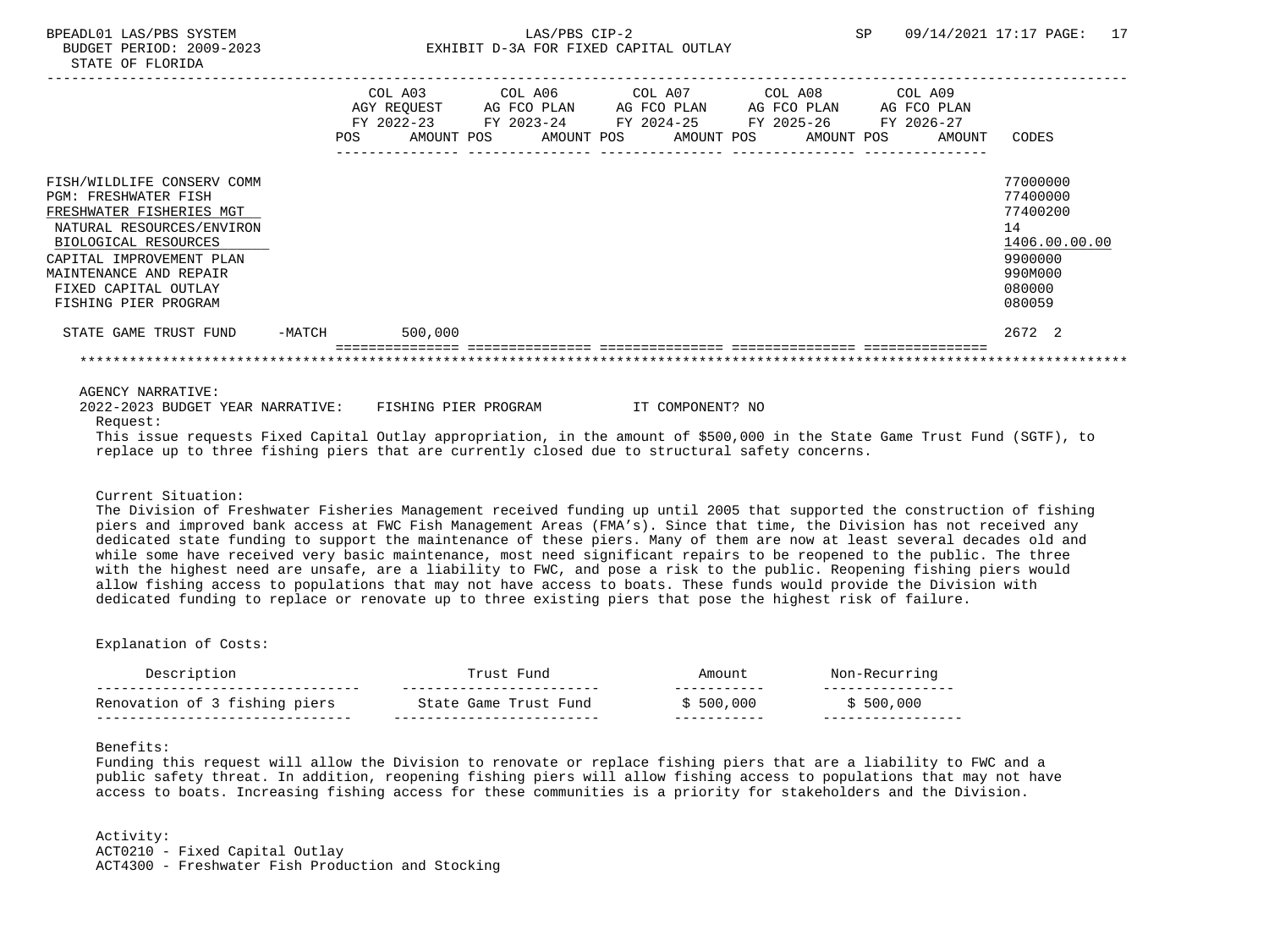# BPEADL01 LAS/PBS SYSTEM SALLAS/PBS CIP-2 SP 09/14/2021 17:17 PAGE: 17 BUDGET PERIOD: 2009-2023 EXHIBIT D-3A FOR FIXED CAPITAL OUTLAY

|                                                                                                                            |            | COL A03               |            |                                                | AGY REQUEST AG FCO PLAN AG FCO PLAN AG FCO PLAN AG FCO PLAN |            |  |                      |                      |
|----------------------------------------------------------------------------------------------------------------------------|------------|-----------------------|------------|------------------------------------------------|-------------------------------------------------------------|------------|--|----------------------|----------------------|
|                                                                                                                            | <b>POS</b> | FY 2022-23 FY 2023-24 | AMOUNT POS | FY 2024-25 FY 2025-26<br>AMOUNT POS AMOUNT POS |                                                             | AMOUNT POS |  | FY 2026-27<br>AMOUNT | CODES                |
| FISH/WILDLIFE CONSERV COMM                                                                                                 |            |                       |            |                                                |                                                             |            |  |                      | 77000000             |
| <b>PGM: FRESHWATER FISH</b><br>FRESHWATER FISHERIES MGT                                                                    |            |                       |            |                                                |                                                             |            |  |                      | 77400000<br>77400200 |
| NATURAL RESOURCES/ENVIRON                                                                                                  |            |                       |            |                                                |                                                             |            |  |                      | 14                   |
| BIOLOGICAL RESOURCES                                                                                                       |            |                       |            |                                                |                                                             |            |  |                      | 1406.00.00.00        |
| CAPITAL IMPROVEMENT PLAN                                                                                                   |            |                       |            |                                                |                                                             |            |  |                      | 9900000              |
| MAINTENANCE AND REPAIR                                                                                                     |            |                       |            |                                                |                                                             |            |  |                      | 990M000              |
| FIXED CAPITAL OUTLAY<br>FISHING PIER PROGRAM                                                                               |            |                       |            |                                                |                                                             |            |  |                      | 080000<br>080059     |
| STATE GAME TRUST FUND -MATCH 500,000                                                                                       |            |                       |            |                                                |                                                             |            |  |                      | 2672 2               |
|                                                                                                                            |            |                       |            |                                                |                                                             |            |  |                      |                      |
| AGENCY NARRATIVE:                                                                                                          |            |                       |            |                                                |                                                             |            |  |                      |                      |
| 2022-2023 BUDGET YEAR NARRATIVE: FISHING PIER PROGRAM THE COMPONENT? NO<br>Request:                                        |            |                       |            |                                                |                                                             |            |  |                      |                      |
| This issue requests Fixed Capital Outlay appropriation, in the amount of \$500,000 in the State Game Trust Fund (SGTF), to |            |                       |            |                                                |                                                             |            |  |                      |                      |
| replace up to three fishing piers that are currently closed due to structural safety concerns.                             |            |                       |            |                                                |                                                             |            |  |                      |                      |

Current Situation:

 The Division of Freshwater Fisheries Management received funding up until 2005 that supported the construction of fishing piers and improved bank access at FWC Fish Management Areas (FMA's). Since that time, the Division has not received any dedicated state funding to support the maintenance of these piers. Many of them are now at least several decades old and while some have received very basic maintenance, most need significant repairs to be reopened to the public. The three with the highest need are unsafe, are a liability to FWC, and pose a risk to the public. Reopening fishing piers would allow fishing access to populations that may not have access to boats. These funds would provide the Division with dedicated funding to replace or renovate up to three existing piers that pose the highest risk of failure.

### Explanation of Costs:

| Description                   | Fund                  | Amount                  |           |
|-------------------------------|-----------------------|-------------------------|-----------|
| Renovation of 3 fishing piers | State Game Trust Fund | ----------<br>\$500.000 | \$500,000 |
|                               |                       |                         |           |

## Benefits:

 Funding this request will allow the Division to renovate or replace fishing piers that are a liability to FWC and a public safety threat. In addition, reopening fishing piers will allow fishing access to populations that may not have access to boats. Increasing fishing access for these communities is a priority for stakeholders and the Division.

 Activity: ACT0210 - Fixed Capital Outlay ACT4300 - Freshwater Fish Production and Stocking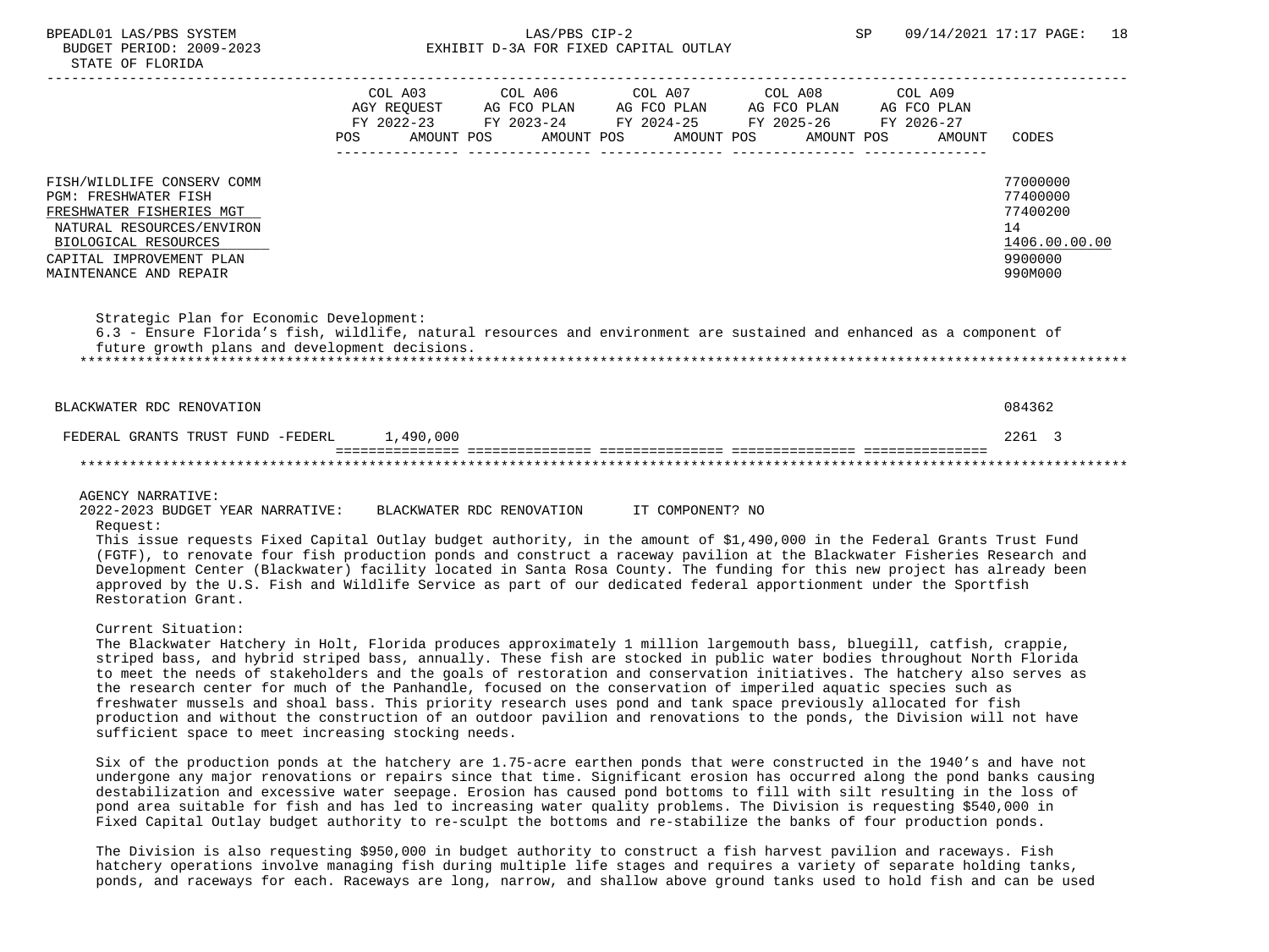|                                                                                                                                                                                                                                                                                                                                                                                                                         | <b>POS</b> | COL A03<br>AGY REQUEST AG FCO PLAN<br>FY 2022-23<br>AMOUNT POS | COL A06<br>FY 2023-24<br>AMOUNT POS | COL A07<br>FY 2024-25 FY 2025-26<br>AMOUNT POS | COL A08<br>AG FCO PLAN AG FCO PLAN<br>AMOUNT POS | COL A09<br>AG FCO PLAN<br>FY 2026-27<br>AMOUNT | CODES                                                                         |
|-------------------------------------------------------------------------------------------------------------------------------------------------------------------------------------------------------------------------------------------------------------------------------------------------------------------------------------------------------------------------------------------------------------------------|------------|----------------------------------------------------------------|-------------------------------------|------------------------------------------------|--------------------------------------------------|------------------------------------------------|-------------------------------------------------------------------------------|
| FISH/WILDLIFE CONSERV COMM<br><b>PGM: FRESHWATER FISH</b><br>FRESHWATER FISHERIES MGT<br>NATURAL RESOURCES/ENVIRON<br>BIOLOGICAL RESOURCES<br>CAPITAL IMPROVEMENT PLAN<br>MAINTENANCE AND REPAIR<br>Strategic Plan for Economic Development:<br>6.3 - Ensure Florida's fish, wildlife, natural resources and environment are sustained and enhanced as a component of<br>future growth plans and development decisions. |            |                                                                |                                     |                                                |                                                  |                                                | 77000000<br>77400000<br>77400200<br>14<br>1406.00.00.00<br>9900000<br>990M000 |
| BLACKWATER RDC RENOVATION                                                                                                                                                                                                                                                                                                                                                                                               |            |                                                                |                                     |                                                |                                                  |                                                | 084362                                                                        |
| FEDERAL GRANTS TRUST FUND -FEDERL                                                                                                                                                                                                                                                                                                                                                                                       |            | 1,490,000                                                      |                                     |                                                |                                                  |                                                | 2261 3                                                                        |
|                                                                                                                                                                                                                                                                                                                                                                                                                         |            |                                                                |                                     |                                                |                                                  |                                                |                                                                               |

#### AGENCY NARRATIVE:

 2022-2023 BUDGET YEAR NARRATIVE: BLACKWATER RDC RENOVATION IT COMPONENT? NO Request:

 This issue requests Fixed Capital Outlay budget authority, in the amount of \$1,490,000 in the Federal Grants Trust Fund (FGTF), to renovate four fish production ponds and construct a raceway pavilion at the Blackwater Fisheries Research and Development Center (Blackwater) facility located in Santa Rosa County. The funding for this new project has already been approved by the U.S. Fish and Wildlife Service as part of our dedicated federal apportionment under the Sportfish Restoration Grant.

\*\*\*\*\*\*\*\*\*\*\*\*\*\*\*\*\*\*\*\*\*\*\*\*\*\*\*\*\*\*\*\*\*\*\*\*\*\*\*\*\*\*\*\*\*\*\*\*\*\*\*\*\*\*\*\*\*\*\*\*\*\*\*\*\*\*\*\*\*\*\*\*\*\*\*\*\*\*\*\*\*\*\*\*\*\*\*\*\*\*\*\*\*\*\*\*\*\*\*\*\*\*\*\*\*\*\*\*\*\*\*\*\*\*\*\*\*\*\*\*\*\*\*\*\*\*\*

## Current Situation:

 The Blackwater Hatchery in Holt, Florida produces approximately 1 million largemouth bass, bluegill, catfish, crappie, striped bass, and hybrid striped bass, annually. These fish are stocked in public water bodies throughout North Florida to meet the needs of stakeholders and the goals of restoration and conservation initiatives. The hatchery also serves as the research center for much of the Panhandle, focused on the conservation of imperiled aquatic species such as freshwater mussels and shoal bass. This priority research uses pond and tank space previously allocated for fish production and without the construction of an outdoor pavilion and renovations to the ponds, the Division will not have sufficient space to meet increasing stocking needs.

 Six of the production ponds at the hatchery are 1.75-acre earthen ponds that were constructed in the 1940's and have not undergone any major renovations or repairs since that time. Significant erosion has occurred along the pond banks causing destabilization and excessive water seepage. Erosion has caused pond bottoms to fill with silt resulting in the loss of pond area suitable for fish and has led to increasing water quality problems. The Division is requesting \$540,000 in Fixed Capital Outlay budget authority to re-sculpt the bottoms and re-stabilize the banks of four production ponds.

 The Division is also requesting \$950,000 in budget authority to construct a fish harvest pavilion and raceways. Fish hatchery operations involve managing fish during multiple life stages and requires a variety of separate holding tanks, ponds, and raceways for each. Raceways are long, narrow, and shallow above ground tanks used to hold fish and can be used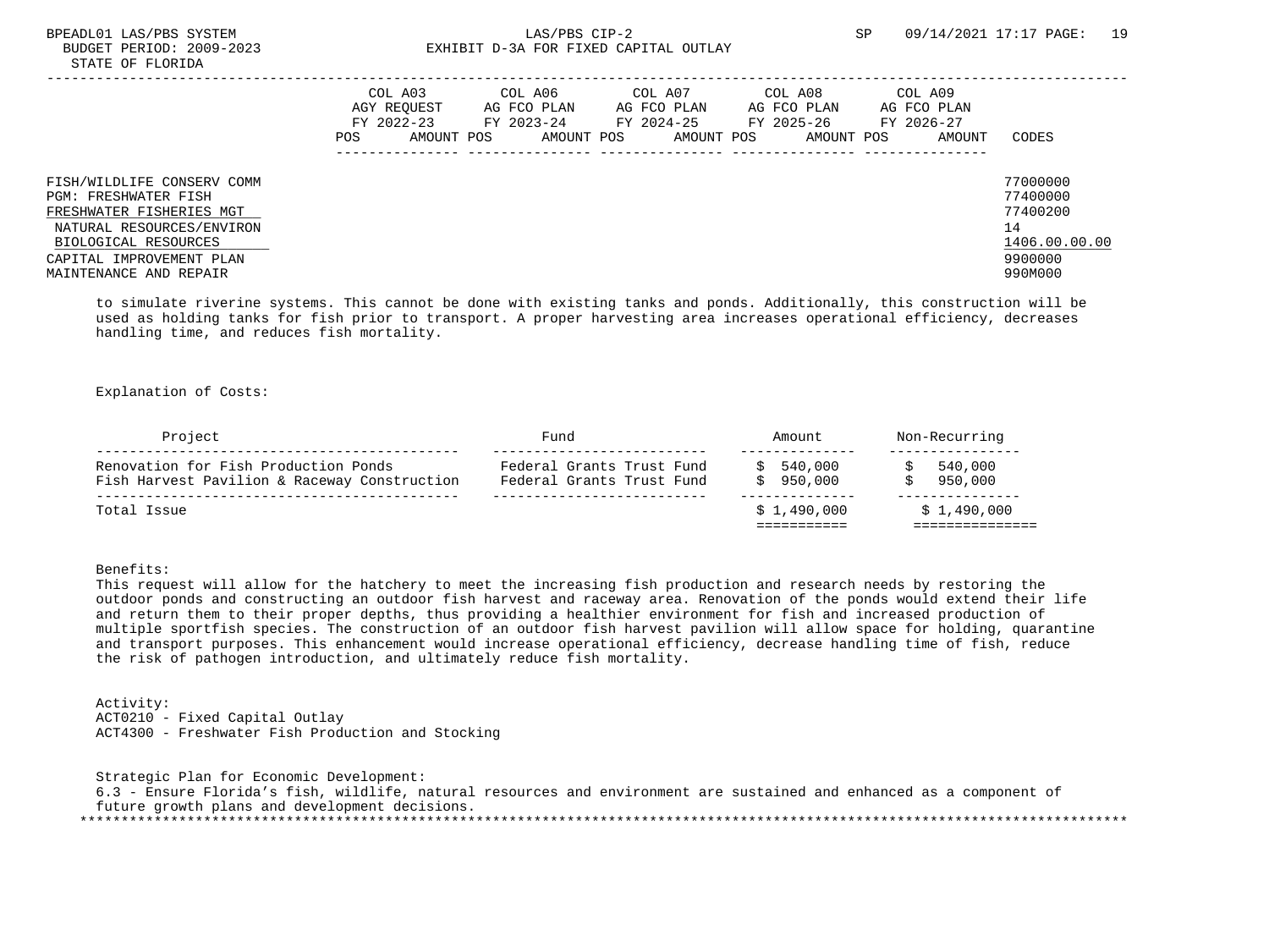## BPEADL01 LAS/PBS SYSTEM SALLAS/PBS CIP-2 SP 09/14/2021 17:17 PAGE: 19 BUDGET PERIOD: 2009-2023 EXHIBIT D-3A FOR FIXED CAPITAL OUTLAY

|                                                                                                                                                                                           | POS | COL A03<br>AGY REOUEST<br>FY 2022-23<br>AMOUNT POS | COL A06<br>AG FCO PLAN<br>FY 2023-24<br>AMOUNT POS | COL A07<br>AG FCO PLAN<br>FY 2024-25<br>AMOUNT POS | COL A08<br>AG FCO PLAN<br>FY 2025-26<br>AMOUNT POS | COL A09<br>AG FCO PLAN<br>FY 2026-27<br>AMOUNT | CODES                                                                         |
|-------------------------------------------------------------------------------------------------------------------------------------------------------------------------------------------|-----|----------------------------------------------------|----------------------------------------------------|----------------------------------------------------|----------------------------------------------------|------------------------------------------------|-------------------------------------------------------------------------------|
| FISH/WILDLIFE CONSERV COMM<br>PGM: FRESHWATER FISH<br>FRESHWATER FISHERIES MGT<br>NATURAL RESOURCES/ENVIRON<br>BIOLOGICAL RESOURCES<br>CAPITAL IMPROVEMENT PLAN<br>MAINTENANCE AND REPAIR |     |                                                    |                                                    |                                                    |                                                    |                                                | 77000000<br>77400000<br>77400200<br>14<br>1406.00.00.00<br>9900000<br>990M000 |

 to simulate riverine systems. This cannot be done with existing tanks and ponds. Additionally, this construction will be used as holding tanks for fish prior to transport. A proper harvesting area increases operational efficiency, decreases handling time, and reduces fish mortality.

Explanation of Costs:

| Project                                                                              | Fund                                                   | Amount               | Non-Recurring      |  |  |  |
|--------------------------------------------------------------------------------------|--------------------------------------------------------|----------------------|--------------------|--|--|--|
| Renovation for Fish Production Ponds<br>Fish Harvest Pavilion & Raceway Construction | Federal Grants Trust Fund<br>Federal Grants Trust Fund | 540,000<br>\$950.000 | 540,000<br>950,000 |  |  |  |
| Total Issue                                                                          |                                                        | \$1.490.000          | \$1.490.000        |  |  |  |

## Benefits:

 This request will allow for the hatchery to meet the increasing fish production and research needs by restoring the outdoor ponds and constructing an outdoor fish harvest and raceway area. Renovation of the ponds would extend their life and return them to their proper depths, thus providing a healthier environment for fish and increased production of multiple sportfish species. The construction of an outdoor fish harvest pavilion will allow space for holding, quarantine and transport purposes. This enhancement would increase operational efficiency, decrease handling time of fish, reduce the risk of pathogen introduction, and ultimately reduce fish mortality.

 Activity: ACT0210 - Fixed Capital Outlay ACT4300 - Freshwater Fish Production and Stocking

 Strategic Plan for Economic Development: 6.3 - Ensure Florida's fish, wildlife, natural resources and environment are sustained and enhanced as a component of future growth plans and development decisions. \*\*\*\*\*\*\*\*\*\*\*\*\*\*\*\*\*\*\*\*\*\*\*\*\*\*\*\*\*\*\*\*\*\*\*\*\*\*\*\*\*\*\*\*\*\*\*\*\*\*\*\*\*\*\*\*\*\*\*\*\*\*\*\*\*\*\*\*\*\*\*\*\*\*\*\*\*\*\*\*\*\*\*\*\*\*\*\*\*\*\*\*\*\*\*\*\*\*\*\*\*\*\*\*\*\*\*\*\*\*\*\*\*\*\*\*\*\*\*\*\*\*\*\*\*\*\*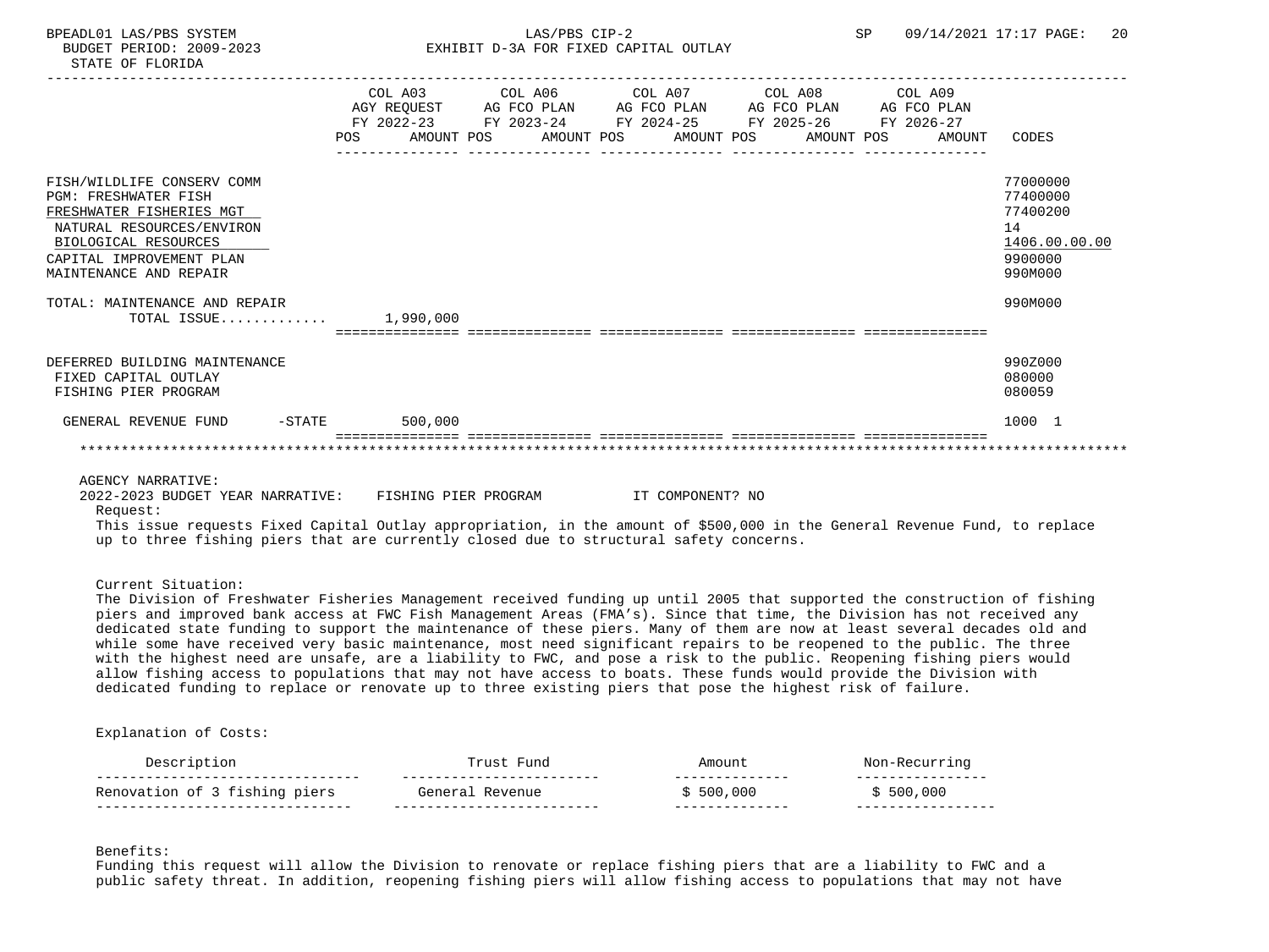|                                                                                                                                                                                                  | COL A03<br>FY 2022-23<br><b>POS</b> | COL A06<br>AGY REQUEST AG FCO PLAN<br>FY 2023-24 | COL A07<br>AG FCO PLAN AG FCO PLAN<br>FY 2024-25<br>AMOUNT POS AMOUNT POS AMOUNT POS AMOUNT POS | COL A08<br>FY 2025-26 | COL A09<br>AG FCO PLAN<br>FY 2026-27<br>AMOUNT | CODES                                                                         |
|--------------------------------------------------------------------------------------------------------------------------------------------------------------------------------------------------|-------------------------------------|--------------------------------------------------|-------------------------------------------------------------------------------------------------|-----------------------|------------------------------------------------|-------------------------------------------------------------------------------|
| FISH/WILDLIFE CONSERV COMM<br><b>PGM: FRESHWATER FISH</b><br>FRESHWATER FISHERIES MGT<br>NATURAL RESOURCES/ENVIRON<br>BIOLOGICAL RESOURCES<br>CAPITAL IMPROVEMENT PLAN<br>MAINTENANCE AND REPAIR |                                     |                                                  |                                                                                                 |                       |                                                | 77000000<br>77400000<br>77400200<br>14<br>1406.00.00.00<br>9900000<br>990M000 |
| TOTAL: MAINTENANCE AND REPAIR<br>TOTAL ISSUE                                                                                                                                                     | 1,990,000                           |                                                  |                                                                                                 |                       |                                                | 990M000                                                                       |
| DEFERRED BUILDING MAINTENANCE<br>FIXED CAPITAL OUTLAY<br>FISHING PIER PROGRAM                                                                                                                    |                                     |                                                  |                                                                                                 |                       |                                                | 990Z000<br>080000<br>080059                                                   |
| GENERAL REVENUE FUND<br>$-$ STATE                                                                                                                                                                | 500,000                             |                                                  |                                                                                                 |                       |                                                | 1000 1                                                                        |
|                                                                                                                                                                                                  |                                     |                                                  |                                                                                                 |                       |                                                |                                                                               |

# AGENCY NARRATIVE:

 2022-2023 BUDGET YEAR NARRATIVE: FISHING PIER PROGRAM IT COMPONENT? NO Request:

 This issue requests Fixed Capital Outlay appropriation, in the amount of \$500,000 in the General Revenue Fund, to replace up to three fishing piers that are currently closed due to structural safety concerns.

Current Situation:

 The Division of Freshwater Fisheries Management received funding up until 2005 that supported the construction of fishing piers and improved bank access at FWC Fish Management Areas (FMA's). Since that time, the Division has not received any dedicated state funding to support the maintenance of these piers. Many of them are now at least several decades old and while some have received very basic maintenance, most need significant repairs to be reopened to the public. The three with the highest need are unsafe, are a liability to FWC, and pose a risk to the public. Reopening fishing piers would allow fishing access to populations that may not have access to boats. These funds would provide the Division with dedicated funding to replace or renovate up to three existing piers that pose the highest risk of failure.

### Explanation of Costs:

| $- -$                           | ___ | - - - -<br>___ |                       |
|---------------------------------|-----|----------------|-----------------------|
| ion of 3 fishing piers<br>17CT. |     | 500<br>.000    | $\cap$ $\cap$<br>-000 |
| - - -<br>$ -$                   |     | ___            |                       |
|                                 |     | $m \cap m$     |                       |

Benefits:

 Funding this request will allow the Division to renovate or replace fishing piers that are a liability to FWC and a public safety threat. In addition, reopening fishing piers will allow fishing access to populations that may not have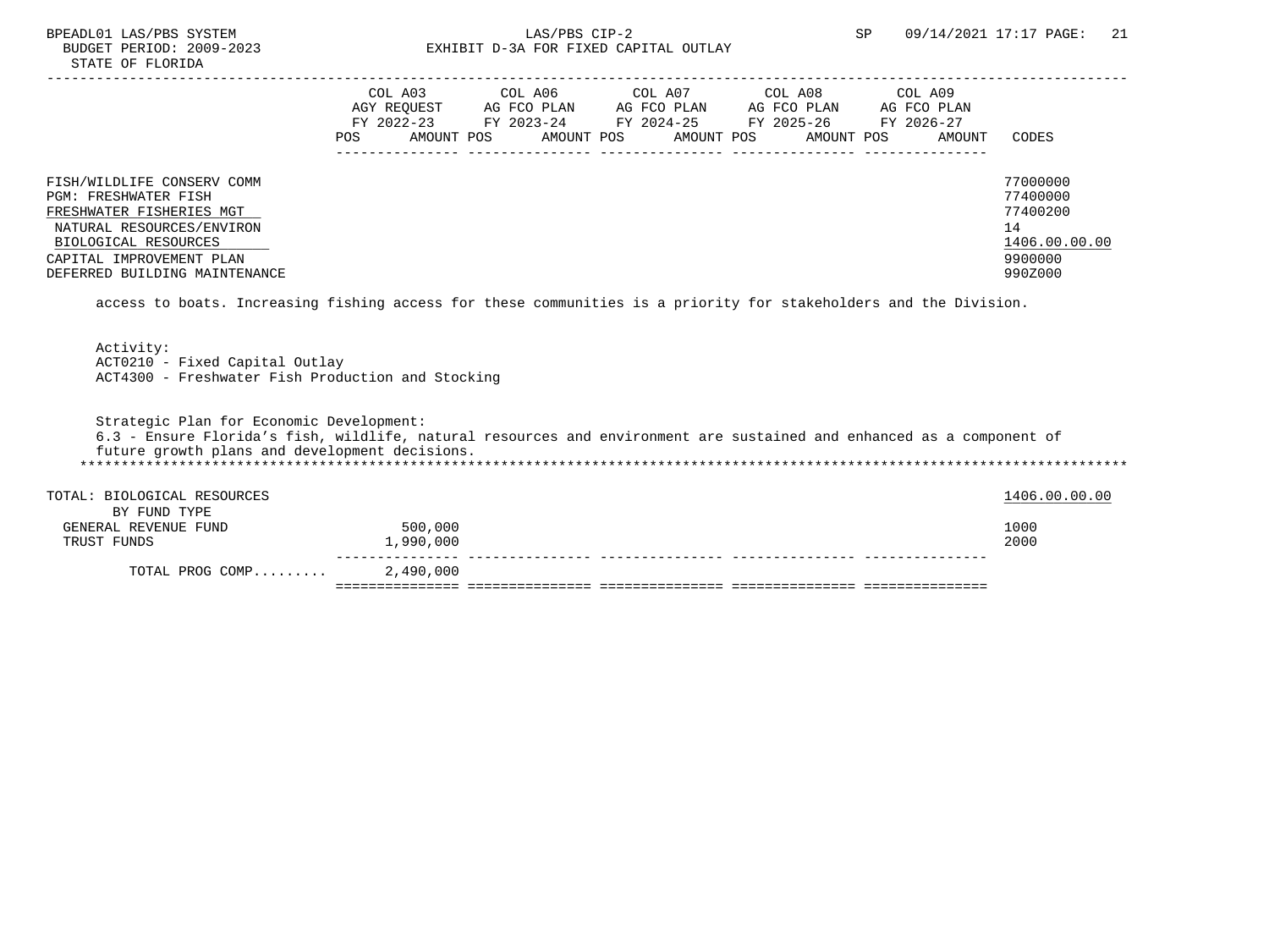## BPEADL01 LAS/PBS SYSTEM  $LAS/PBS$  CIP-2  $SP$  09/14/2021 17:17 PAGE: 21 BIDGET PERIOD: 2009-2023 SP 09/14/2021 17:17 PAGE: 21 EXHIBIT D-3A FOR FIXED CAPITAL OUTLAY

|                                                                                                                                                                                                  | COL A03<br>AGY REOUEST<br>FY 2022-23 |            | COL A06<br>AG FCO PLAN<br>FY 2023-24 | COL A07<br>AG FCO PLAN<br>FY 2024-25 | COL A08<br>AG FCO PLAN<br>FY 2025-26 | COL A09<br>AG FCO PLAN<br>FY 2026-27 |                                                                               |
|--------------------------------------------------------------------------------------------------------------------------------------------------------------------------------------------------|--------------------------------------|------------|--------------------------------------|--------------------------------------|--------------------------------------|--------------------------------------|-------------------------------------------------------------------------------|
|                                                                                                                                                                                                  | POS.                                 | AMOUNT POS | AMOUNT POS                           | AMOUNT POS                           | AMOUNT POS                           | AMOUNT                               | CODES                                                                         |
| FISH/WILDLIFE CONSERV COMM<br>PGM: FRESHWATER FISH<br>FRESHWATER FISHERIES MGT<br>NATURAL RESOURCES/ENVIRON<br>BIOLOGICAL RESOURCES<br>CAPITAL IMPROVEMENT PLAN<br>DEFERRED BUILDING MAINTENANCE |                                      |            |                                      |                                      |                                      |                                      | 77000000<br>77400000<br>77400200<br>14<br>1406.00.00.00<br>9900000<br>990Z000 |

access to boats. Increasing fishing access for these communities is a priority for stakeholders and the Division.

 Activity: ACT0210 - Fixed Capital Outlay ACT4300 - Freshwater Fish Production and Stocking

 Strategic Plan for Economic Development: 6.3 - Ensure Florida's fish, wildlife, natural resources and environment are sustained and enhanced as a component of future growth plans and development decisions. \*\*\*\*\*\*\*\*\*\*\*\*\*\*\*\*\*\*\*\*\*\*\*\*\*\*\*\*\*\*\*\*\*\*\*\*\*\*\*\*\*\*\*\*\*\*\*\*\*\*\*\*\*\*\*\*\*\*\*\*\*\*\*\*\*\*\*\*\*\*\*\*\*\*\*\*\*\*\*\*\*\*\*\*\*\*\*\*\*\*\*\*\*\*\*\*\*\*\*\*\*\*\*\*\*\*\*\*\*\*\*\*\*\*\*\*\*\*\*\*\*\*\*\*\*\*\* TOTAL: BIOLOGICAL RESOURCES 1406.00.00 POTAL: BIOLOGICAL RESOURCES BY FUND TYPE GENERAL REVENUE FUND 500,000<br>TRUST FUNDS 500,000 1,990,000 TRUST FUNDS 1,990,000 2000 --------------- --------------- --------------- --------------- --------------- TOTAL PROG COMP......... =============== =============== =============== =============== ===============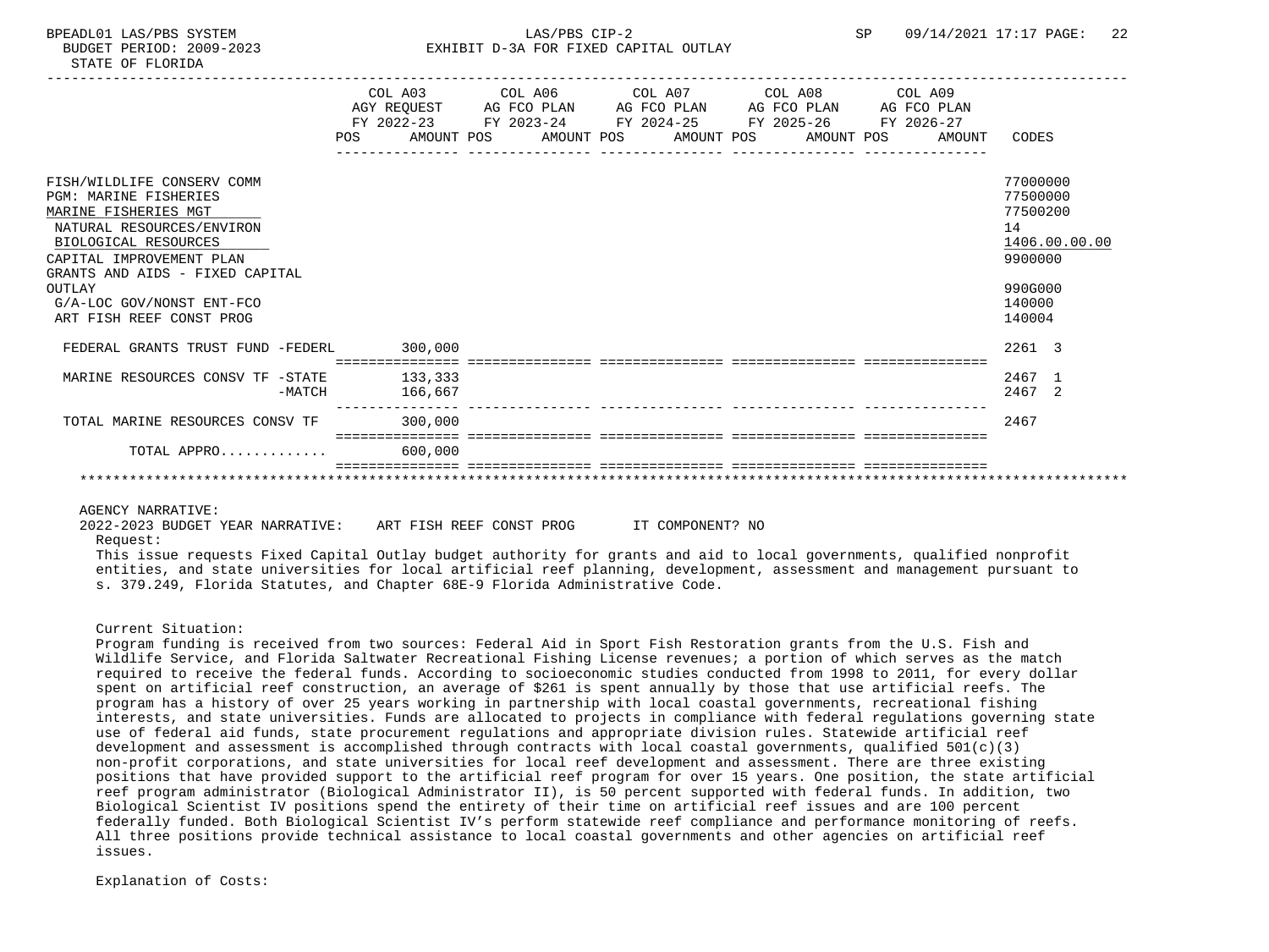|                                   |            |                                        | COL A03 COL A06 COL A07 COL A08 COL A09         |  |            |            |             |          |               |
|-----------------------------------|------------|----------------------------------------|-------------------------------------------------|--|------------|------------|-------------|----------|---------------|
|                                   |            |                                        | AGY REQUEST AG FCO PLAN AG FCO PLAN AG FCO PLAN |  |            |            | AG FCO PLAN |          |               |
|                                   |            | FY 2022-23                             | FY 2023-24 FY 2024-25 FY 2025-26                |  |            |            | FY 2026-27  |          |               |
|                                   | <b>POS</b> | AMOUNT POS                             | AMOUNT POS                                      |  | AMOUNT POS | AMOUNT POS | AMOUNT      | CODES    |               |
|                                   |            |                                        |                                                 |  |            |            |             |          |               |
|                                   |            |                                        |                                                 |  |            |            |             |          |               |
| FISH/WILDLIFE CONSERV COMM        |            |                                        |                                                 |  |            |            |             | 77000000 |               |
| <b>PGM: MARINE FISHERIES</b>      |            |                                        |                                                 |  |            |            |             | 77500000 |               |
| MARINE FISHERIES MGT              |            |                                        |                                                 |  |            |            |             | 77500200 |               |
| NATURAL RESOURCES/ENVIRON         |            |                                        |                                                 |  |            |            |             | 14       |               |
| BIOLOGICAL RESOURCES              |            |                                        |                                                 |  |            |            |             |          | 1406.00.00.00 |
| CAPITAL IMPROVEMENT PLAN          |            |                                        |                                                 |  |            |            |             | 9900000  |               |
| GRANTS AND AIDS - FIXED CAPITAL   |            |                                        |                                                 |  |            |            |             |          |               |
| OUTLAY                            |            |                                        |                                                 |  |            |            |             | 990G000  |               |
| G/A-LOC GOV/NONST ENT-FCO         |            |                                        |                                                 |  |            |            |             | 140000   |               |
| ART FISH REEF CONST PROG          |            |                                        |                                                 |  |            |            |             | 140004   |               |
|                                   |            |                                        |                                                 |  |            |            |             |          |               |
| FEDERAL GRANTS TRUST FUND -FEDERL |            | 300,000                                |                                                 |  |            |            |             | 2261 3   |               |
|                                   |            | ===========================<br>133,333 |                                                 |  |            |            |             | 2467 1   |               |
| MARINE RESOURCES CONSV TF -STATE  |            |                                        |                                                 |  |            |            |             | 2467 2   |               |
| $-MATCH$                          |            | 166,667                                |                                                 |  |            |            |             |          |               |
| TOTAL MARINE RESOURCES CONSV TF   |            | 300,000                                |                                                 |  |            |            |             | 2467     |               |
|                                   |            |                                        | ==================================              |  |            |            |             |          |               |
| TOTAL APPRO                       |            | 600,000                                |                                                 |  |            |            |             |          |               |
|                                   |            |                                        |                                                 |  |            |            |             |          |               |
|                                   |            |                                        |                                                 |  |            |            |             |          |               |

### AGENCY NARRATIVE:

2022-2023 BUDGET YEAR NARRATIVE: ART FISH REEF CONST PROG IT COMPONENT? NO

## Request:

 This issue requests Fixed Capital Outlay budget authority for grants and aid to local governments, qualified nonprofit entities, and state universities for local artificial reef planning, development, assessment and management pursuant to s. 379.249, Florida Statutes, and Chapter 68E-9 Florida Administrative Code.

## Current Situation:

 Program funding is received from two sources: Federal Aid in Sport Fish Restoration grants from the U.S. Fish and Wildlife Service, and Florida Saltwater Recreational Fishing License revenues; a portion of which serves as the match required to receive the federal funds. According to socioeconomic studies conducted from 1998 to 2011, for every dollar spent on artificial reef construction, an average of \$261 is spent annually by those that use artificial reefs. The program has a history of over 25 years working in partnership with local coastal governments, recreational fishing interests, and state universities. Funds are allocated to projects in compliance with federal regulations governing state use of federal aid funds, state procurement regulations and appropriate division rules. Statewide artificial reef development and assessment is accomplished through contracts with local coastal governments, qualified 501(c)(3) non-profit corporations, and state universities for local reef development and assessment. There are three existing positions that have provided support to the artificial reef program for over 15 years. One position, the state artificial reef program administrator (Biological Administrator II), is 50 percent supported with federal funds. In addition, two Biological Scientist IV positions spend the entirety of their time on artificial reef issues and are 100 percent federally funded. Both Biological Scientist IV's perform statewide reef compliance and performance monitoring of reefs. All three positions provide technical assistance to local coastal governments and other agencies on artificial reef issues.

Explanation of Costs: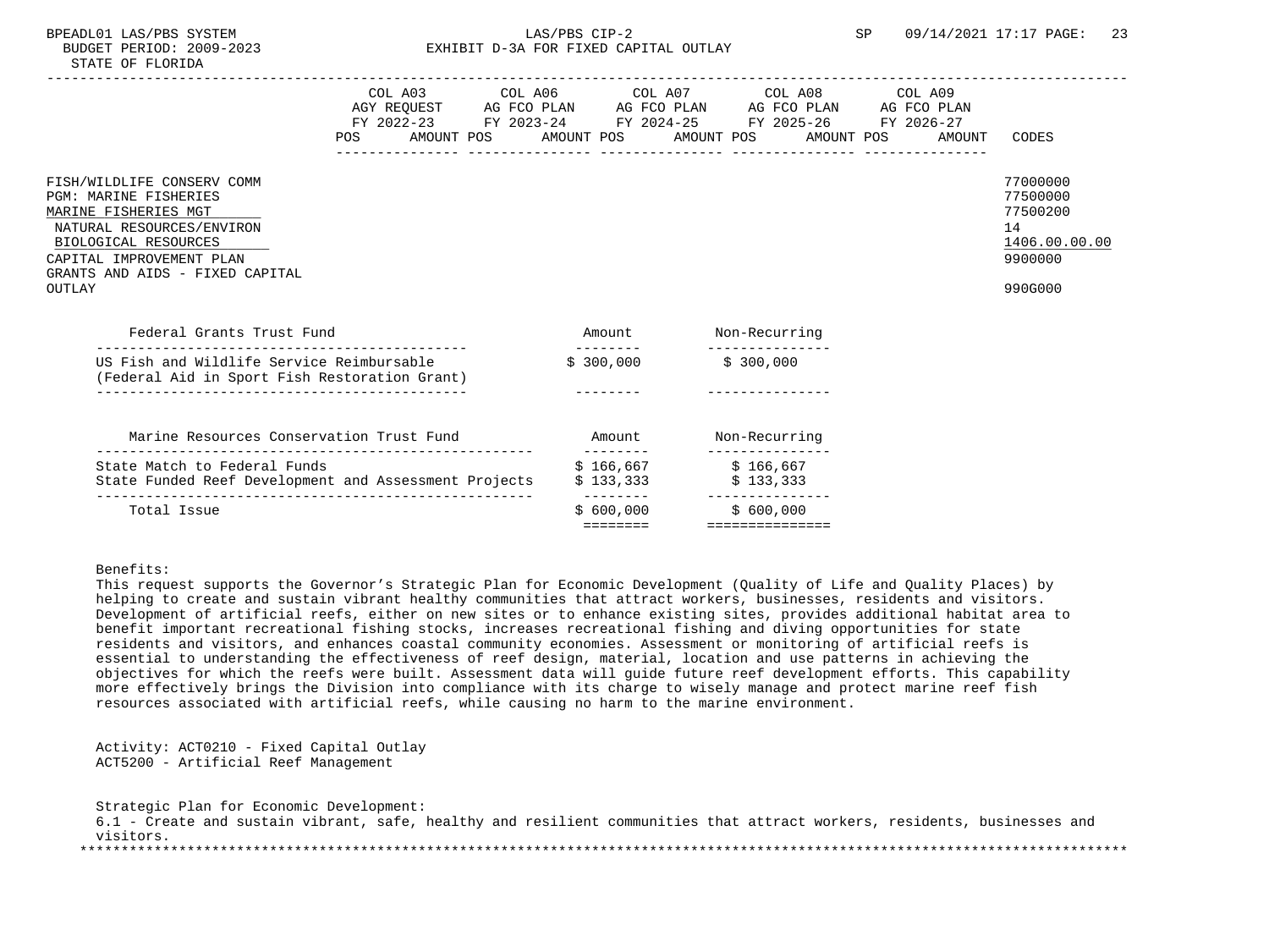| POS                                                                                                                                                                                                              | COL A03 COL A06 COL A07 COL A08 COL A09<br>AGY REQUEST AG FCO PLAN AG FCO PLAN AG FCO PLAN AG FCO PLAN<br>FY 2022-23 FY 2023-24 FY 2024-25 FY 2025-26 FY 2026-27<br>AMOUNT POS      AMOUNT POS     AMOUNT POS     AMOUNT POS |                                    |                                                 |                 | AMOUNT | CODES                                                                         |
|------------------------------------------------------------------------------------------------------------------------------------------------------------------------------------------------------------------|------------------------------------------------------------------------------------------------------------------------------------------------------------------------------------------------------------------------------|------------------------------------|-------------------------------------------------|-----------------|--------|-------------------------------------------------------------------------------|
| FISH/WILDLIFE CONSERV COMM<br><b>PGM: MARINE FISHERIES</b><br>MARINE FISHERIES MGT<br>NATURAL RESOURCES/ENVIRON<br>BIOLOGICAL RESOURCES<br>CAPITAL IMPROVEMENT PLAN<br>GRANTS AND AIDS - FIXED CAPITAL<br>OUTLAY | ---------------                                                                                                                                                                                                              | ----------------                   |                                                 | --------------- |        | 77000000<br>77500000<br>77500200<br>14<br>1406.00.00.00<br>9900000<br>990G000 |
| Federal Grants Trust Fund                                                                                                                                                                                        |                                                                                                                                                                                                                              |                                    | Amount Non-Recurring                            |                 |        |                                                                               |
| US Fish and Wildlife Service Reimbursable<br>(Federal Aid in Sport Fish Restoration Grant)                                                                                                                       |                                                                                                                                                                                                                              | ---------<br>\$300,000             | \$300.000                                       |                 |        |                                                                               |
| Marine Resources Conservation Trust Fund                                                                                                                                                                         | Amount Non-Recurring                                                                                                                                                                                                         | ---------                          |                                                 |                 |        |                                                                               |
| State Match to Federal Funds<br>State Funded Reef Development and Assessment Projects                                                                                                                            |                                                                                                                                                                                                                              | \$166,667<br>\$133,333             | \$166,667<br>\$133,333                          |                 |        |                                                                               |
| Total Issue                                                                                                                                                                                                      |                                                                                                                                                                                                                              | ---------<br>\$600.000<br>======== | ---------------<br>\$600.000<br>=============== |                 |        |                                                                               |

# Benefits:

 This request supports the Governor's Strategic Plan for Economic Development (Quality of Life and Quality Places) by helping to create and sustain vibrant healthy communities that attract workers, businesses, residents and visitors. Development of artificial reefs, either on new sites or to enhance existing sites, provides additional habitat area to benefit important recreational fishing stocks, increases recreational fishing and diving opportunities for state residents and visitors, and enhances coastal community economies. Assessment or monitoring of artificial reefs is essential to understanding the effectiveness of reef design, material, location and use patterns in achieving the objectives for which the reefs were built. Assessment data will guide future reef development efforts. This capability more effectively brings the Division into compliance with its charge to wisely manage and protect marine reef fish resources associated with artificial reefs, while causing no harm to the marine environment.

 Activity: ACT0210 - Fixed Capital Outlay ACT5200 - Artificial Reef Management

 Strategic Plan for Economic Development: 6.1 - Create and sustain vibrant, safe, healthy and resilient communities that attract workers, residents, businesses and visitors. \*\*\*\*\*\*\*\*\*\*\*\*\*\*\*\*\*\*\*\*\*\*\*\*\*\*\*\*\*\*\*\*\*\*\*\*\*\*\*\*\*\*\*\*\*\*\*\*\*\*\*\*\*\*\*\*\*\*\*\*\*\*\*\*\*\*\*\*\*\*\*\*\*\*\*\*\*\*\*\*\*\*\*\*\*\*\*\*\*\*\*\*\*\*\*\*\*\*\*\*\*\*\*\*\*\*\*\*\*\*\*\*\*\*\*\*\*\*\*\*\*\*\*\*\*\*\*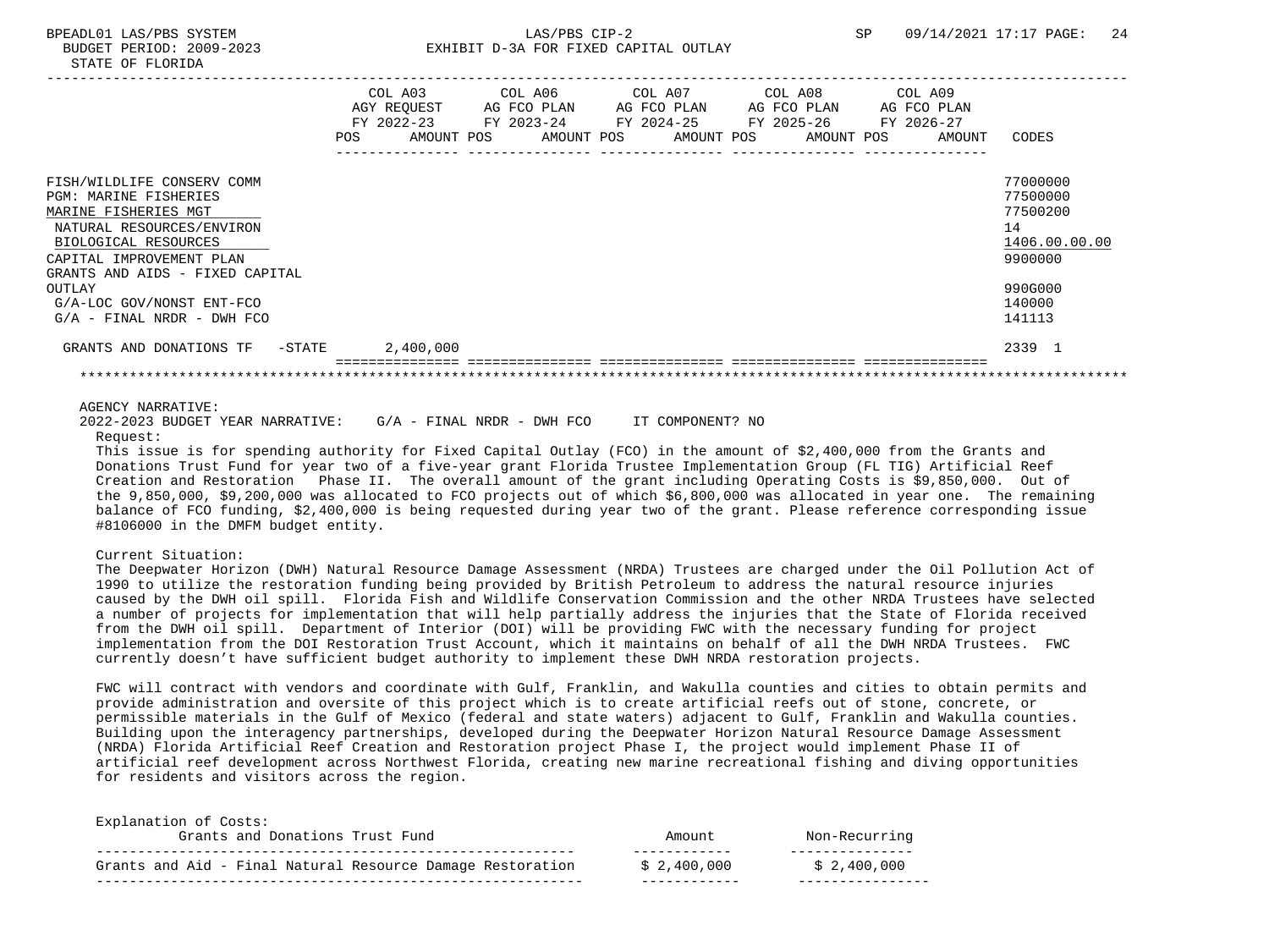|                                                                                                                                                                                                                  | POS | COL A03<br>AGY REOUEST<br>FY 2022-23<br>AMOUNT POS | COL A06<br>AG FCO PLAN<br>FY 2023-24<br>AMOUNT POS | COL A07 | AG FCO PLAN<br>FY 2024-25<br>AMOUNT POS | COL A08<br>AG FCO PLAN<br>FY 2025-26<br>AMOUNT POS | COL A09<br>AG FCO PLAN<br>FY 2026-27<br>AMOUNT | CODES                                                                         |
|------------------------------------------------------------------------------------------------------------------------------------------------------------------------------------------------------------------|-----|----------------------------------------------------|----------------------------------------------------|---------|-----------------------------------------|----------------------------------------------------|------------------------------------------------|-------------------------------------------------------------------------------|
| FISH/WILDLIFE CONSERV COMM<br><b>PGM: MARINE FISHERIES</b><br>MARINE FISHERIES MGT<br>NATURAL RESOURCES/ENVIRON<br>BIOLOGICAL RESOURCES<br>CAPITAL IMPROVEMENT PLAN<br>GRANTS AND AIDS - FIXED CAPITAL<br>OUTLAY |     |                                                    |                                                    |         |                                         |                                                    |                                                | 77000000<br>77500000<br>77500200<br>14<br>1406.00.00.00<br>9900000<br>990G000 |
| G/A-LOC GOV/NONST ENT-FCO<br>$G/A$ - FINAL NRDR - DWH FCO                                                                                                                                                        |     |                                                    |                                                    |         |                                         |                                                    |                                                | 140000<br>141113                                                              |
| GRANTS AND DONATIONS TF<br>$-$ STATE                                                                                                                                                                             |     | 2,400,000                                          |                                                    |         |                                         |                                                    |                                                | 2339 1                                                                        |
|                                                                                                                                                                                                                  |     |                                                    |                                                    |         |                                         |                                                    |                                                |                                                                               |

AGENCY NARRATIVE:

 2022-2023 BUDGET YEAR NARRATIVE: G/A - FINAL NRDR - DWH FCO IT COMPONENT? NO Request:

 This issue is for spending authority for Fixed Capital Outlay (FCO) in the amount of \$2,400,000 from the Grants and Donations Trust Fund for year two of a five-year grant Florida Trustee Implementation Group (FL TIG) Artificial Reef Creation and Restoration Phase II. The overall amount of the grant including Operating Costs is \$9,850,000. Out of the 9,850,000, \$9,200,000 was allocated to FCO projects out of which \$6,800,000 was allocated in year one. The remaining balance of FCO funding, \$2,400,000 is being requested during year two of the grant. Please reference corresponding issue #8106000 in the DMFM budget entity.

#### Current Situation:

Explanation of Costs:

 The Deepwater Horizon (DWH) Natural Resource Damage Assessment (NRDA) Trustees are charged under the Oil Pollution Act of 1990 to utilize the restoration funding being provided by British Petroleum to address the natural resource injuries caused by the DWH oil spill. Florida Fish and Wildlife Conservation Commission and the other NRDA Trustees have selected a number of projects for implementation that will help partially address the injuries that the State of Florida received from the DWH oil spill. Department of Interior (DOI) will be providing FWC with the necessary funding for project implementation from the DOI Restoration Trust Account, which it maintains on behalf of all the DWH NRDA Trustees. FWC currently doesn't have sufficient budget authority to implement these DWH NRDA restoration projects.

 FWC will contract with vendors and coordinate with Gulf, Franklin, and Wakulla counties and cities to obtain permits and provide administration and oversite of this project which is to create artificial reefs out of stone, concrete, or permissible materials in the Gulf of Mexico (federal and state waters) adjacent to Gulf, Franklin and Wakulla counties. Building upon the interagency partnerships, developed during the Deepwater Horizon Natural Resource Damage Assessment (NRDA) Florida Artificial Reef Creation and Restoration project Phase I, the project would implement Phase II of artificial reef development across Northwest Florida, creating new marine recreational fishing and diving opportunities for residents and visitors across the region.

| Grants and Aid - Final Natural Resource Damage Restoration | \$2,400,000 | \$2,400,000   |
|------------------------------------------------------------|-------------|---------------|
| Grants and Donations Trust Fund                            | Amount      | Non-Recurring |
| Explanation of Costs:                                      |             |               |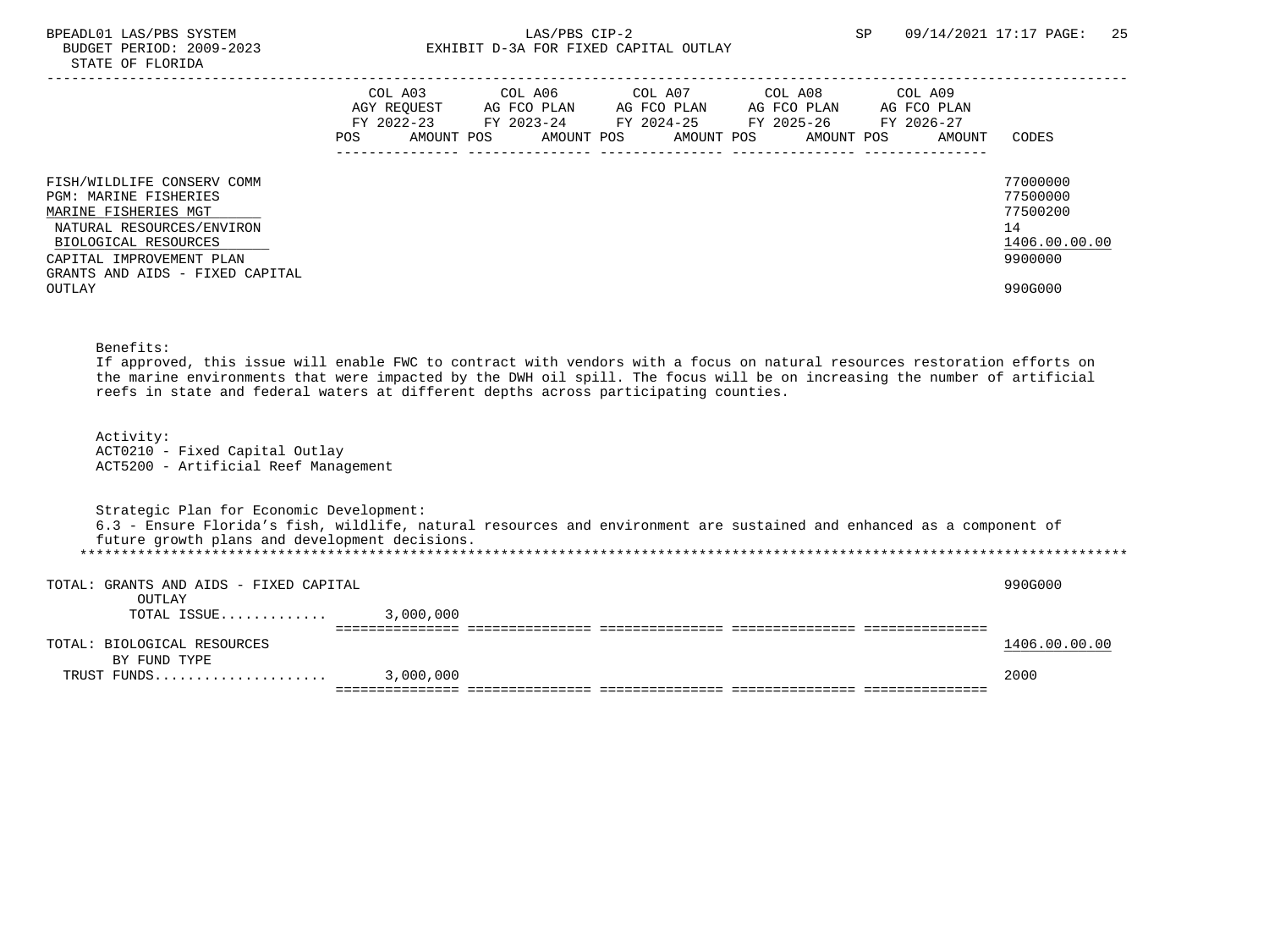## BPEADL01 LAS/PBS SYSTEM  $LAS/PBS$  CIP-2 SP 09/14/2021 17:17 PAGE: 25<br>BUDGET PERIOD: 2009-2023 SP EXHIBIT D-3A FOR FIXED CAPITAL OUTLAY EXHIBIT D-3A FOR FIXED CAPITAL OUTLAY

|                                                                                                                                                              | POS. | COL A03<br>AGY REOUEST<br>FY 2022-23<br>AMOUNT POS | COL A06<br>AG FCO PLAN<br>FY 2023-24<br>AMOUNT POS | COL A07<br>AG FCO PLAN<br>FY 2024-25<br>AMOUNT POS | COL A08<br>AG FCO PLAN<br>FY 2025-26<br>AMOUNT POS | COL A09<br>AG FCO PLAN<br>FY 2026-27<br>AMOUNT | CODES                                                              |
|--------------------------------------------------------------------------------------------------------------------------------------------------------------|------|----------------------------------------------------|----------------------------------------------------|----------------------------------------------------|----------------------------------------------------|------------------------------------------------|--------------------------------------------------------------------|
| FISH/WILDLIFE CONSERV COMM<br>PGM: MARINE FISHERIES<br>MARINE FISHERIES MGT<br>NATURAL RESOURCES/ENVIRON<br>BIOLOGICAL RESOURCES<br>CAPITAL IMPROVEMENT PLAN |      |                                                    |                                                    |                                                    |                                                    |                                                | 77000000<br>77500000<br>77500200<br>14<br>1406.00.00.00<br>9900000 |
| GRANTS AND AIDS - FIXED CAPITAL<br>OUTLAY                                                                                                                    |      |                                                    |                                                    |                                                    |                                                    |                                                | 990G000                                                            |

# Benefits:

 If approved, this issue will enable FWC to contract with vendors with a focus on natural resources restoration efforts on the marine environments that were impacted by the DWH oil spill. The focus will be on increasing the number of artificial reefs in state and federal waters at different depths across participating counties.

 Activity: ACT0210 - Fixed Capital Outlay ACT5200 - Artificial Reef Management

| Strategic Plan for Economic Development:         |           |                                                                                                                       |               |
|--------------------------------------------------|-----------|-----------------------------------------------------------------------------------------------------------------------|---------------|
|                                                  |           | 6.3 - Ensure Florida's fish, wildlife, natural resources and environment are sustained and enhanced as a component of |               |
| future growth plans and development decisions.   |           |                                                                                                                       |               |
|                                                  |           |                                                                                                                       |               |
| TOTAL: GRANTS AND AIDS - FIXED CAPITAL<br>OUTLAY |           |                                                                                                                       | 990G000       |
| TOTAL ISSUE                                      | 3,000,000 |                                                                                                                       |               |
|                                                  |           |                                                                                                                       |               |
| TOTAL: BIOLOGICAL RESOURCES                      |           |                                                                                                                       | 1406.00.00.00 |
| BY FUND TYPE                                     |           |                                                                                                                       |               |
| TRUST FUNDS                                      | 3,000,000 |                                                                                                                       | 2000          |
|                                                  |           |                                                                                                                       |               |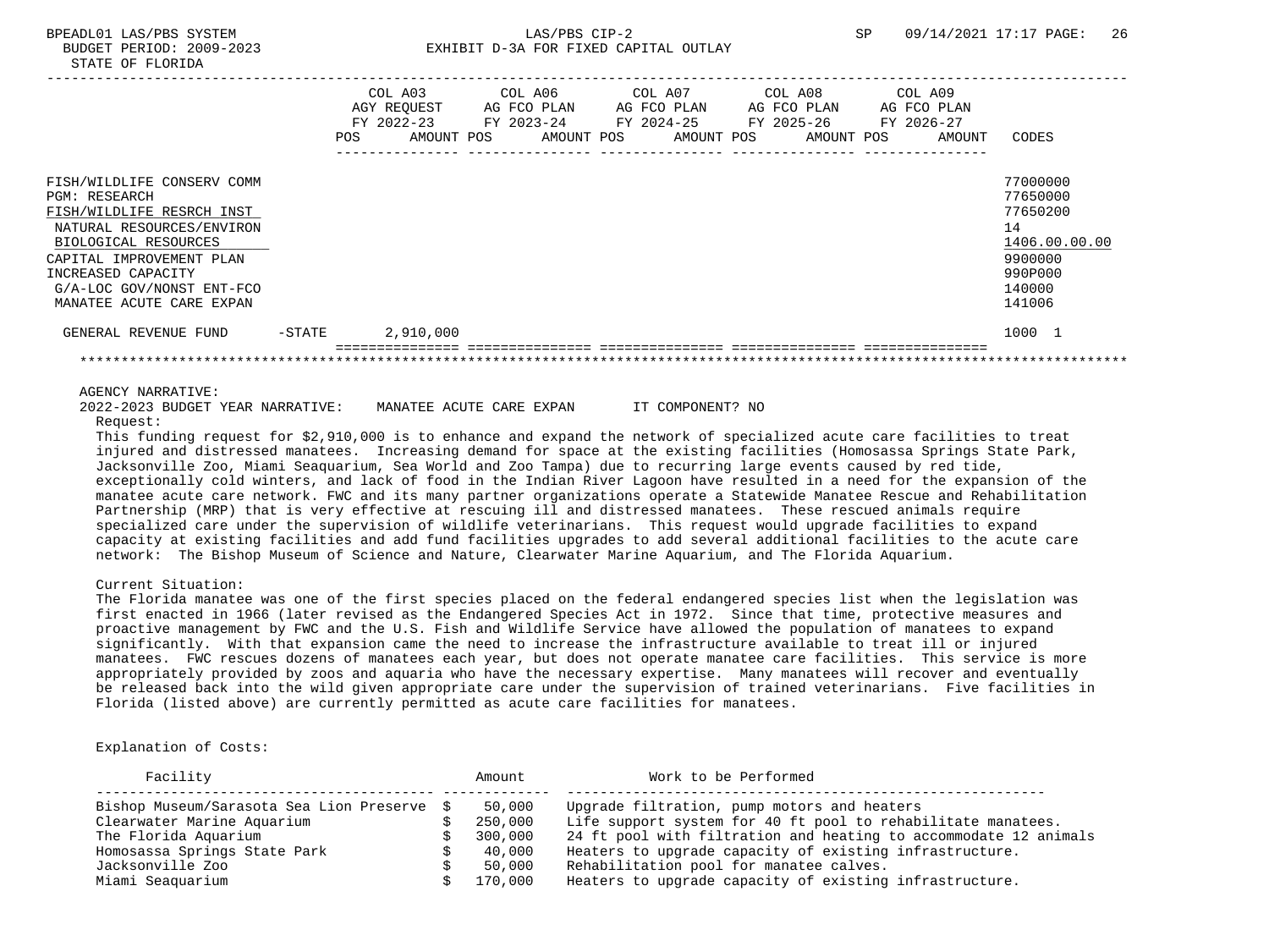|                                                                                                                                                                                                                                                 |        | POS. | COL A03<br>AGY REQUEST<br>$FY$ 2022-23<br>AMOUNT POS | COL A06<br>AG FCO PLAN<br>FY 2023-24<br>AMOUNT POS |  | COL A07<br>AG FCO PLAN<br>FY 2024-25<br>AMOUNT POS | COL A08<br>FY 2025-26 | AG FCO PLAN<br>AMOUNT POS | COL A09<br>AG FCO PLAN<br>FY 2026-27 | AMOUNT | CODES                                                                                             |
|-------------------------------------------------------------------------------------------------------------------------------------------------------------------------------------------------------------------------------------------------|--------|------|------------------------------------------------------|----------------------------------------------------|--|----------------------------------------------------|-----------------------|---------------------------|--------------------------------------|--------|---------------------------------------------------------------------------------------------------|
| FISH/WILDLIFE CONSERV COMM<br><b>PGM: RESEARCH</b><br>FISH/WILDLIFE RESRCH INST<br>NATURAL RESOURCES/ENVIRON<br>BIOLOGICAL RESOURCES<br>CAPITAL IMPROVEMENT PLAN<br>INCREASED CAPACITY<br>G/A-LOC GOV/NONST ENT-FCO<br>MANATEE ACUTE CARE EXPAN |        |      |                                                      |                                                    |  |                                                    |                       |                           |                                      |        | 77000000<br>77650000<br>77650200<br>14<br>1406.00.00.00<br>9900000<br>990P000<br>140000<br>141006 |
| GENERAL REVENUE FUND                                                                                                                                                                                                                            | -STATE |      | 2,910,000                                            |                                                    |  |                                                    |                       |                           |                                      |        | 1000 1                                                                                            |
|                                                                                                                                                                                                                                                 |        |      |                                                      |                                                    |  |                                                    |                       |                           |                                      |        |                                                                                                   |

### AGENCY NARRATIVE:

 2022-2023 BUDGET YEAR NARRATIVE: MANATEE ACUTE CARE EXPAN IT COMPONENT? NO Request:

 This funding request for \$2,910,000 is to enhance and expand the network of specialized acute care facilities to treat injured and distressed manatees. Increasing demand for space at the existing facilities (Homosassa Springs State Park, Jacksonville Zoo, Miami Seaquarium, Sea World and Zoo Tampa) due to recurring large events caused by red tide, exceptionally cold winters, and lack of food in the Indian River Lagoon have resulted in a need for the expansion of the manatee acute care network. FWC and its many partner organizations operate a Statewide Manatee Rescue and Rehabilitation Partnership (MRP) that is very effective at rescuing ill and distressed manatees. These rescued animals require specialized care under the supervision of wildlife veterinarians. This request would upgrade facilities to expand capacity at existing facilities and add fund facilities upgrades to add several additional facilities to the acute care network: The Bishop Museum of Science and Nature, Clearwater Marine Aquarium, and The Florida Aquarium.

## Current Situation:

 The Florida manatee was one of the first species placed on the federal endangered species list when the legislation was first enacted in 1966 (later revised as the Endangered Species Act in 1972. Since that time, protective measures and proactive management by FWC and the U.S. Fish and Wildlife Service have allowed the population of manatees to expand significantly. With that expansion came the need to increase the infrastructure available to treat ill or injured manatees. FWC rescues dozens of manatees each year, but does not operate manatee care facilities. This service is more appropriately provided by zoos and aquaria who have the necessary expertise. Many manatees will recover and eventually be released back into the wild given appropriate care under the supervision of trained veterinarians. Five facilities in Florida (listed above) are currently permitted as acute care facilities for manatees.

#### Explanation of Costs:

| Facility                                    | Amount  | Work to be Performed                                             |
|---------------------------------------------|---------|------------------------------------------------------------------|
| Bishop Museum/Sarasota Sea Lion Preserve \$ | 50,000  | Upgrade filtration, pump motors and heaters                      |
| Clearwater Marine Aquarium                  | 250,000 | Life support system for 40 ft pool to rehabilitate manatees.     |
| The Florida Aquarium                        | 300,000 | 24 ft pool with filtration and heating to accommodate 12 animals |
| Homosassa Springs State Park                | 40,000  | Heaters to upgrade capacity of existing infrastructure.          |
| Jacksonville Zoo                            | 50,000  | Rehabilitation pool for manatee calves.                          |
| Miami Seaquarium                            | 170,000 | Heaters to upgrade capacity of existing infrastructure.          |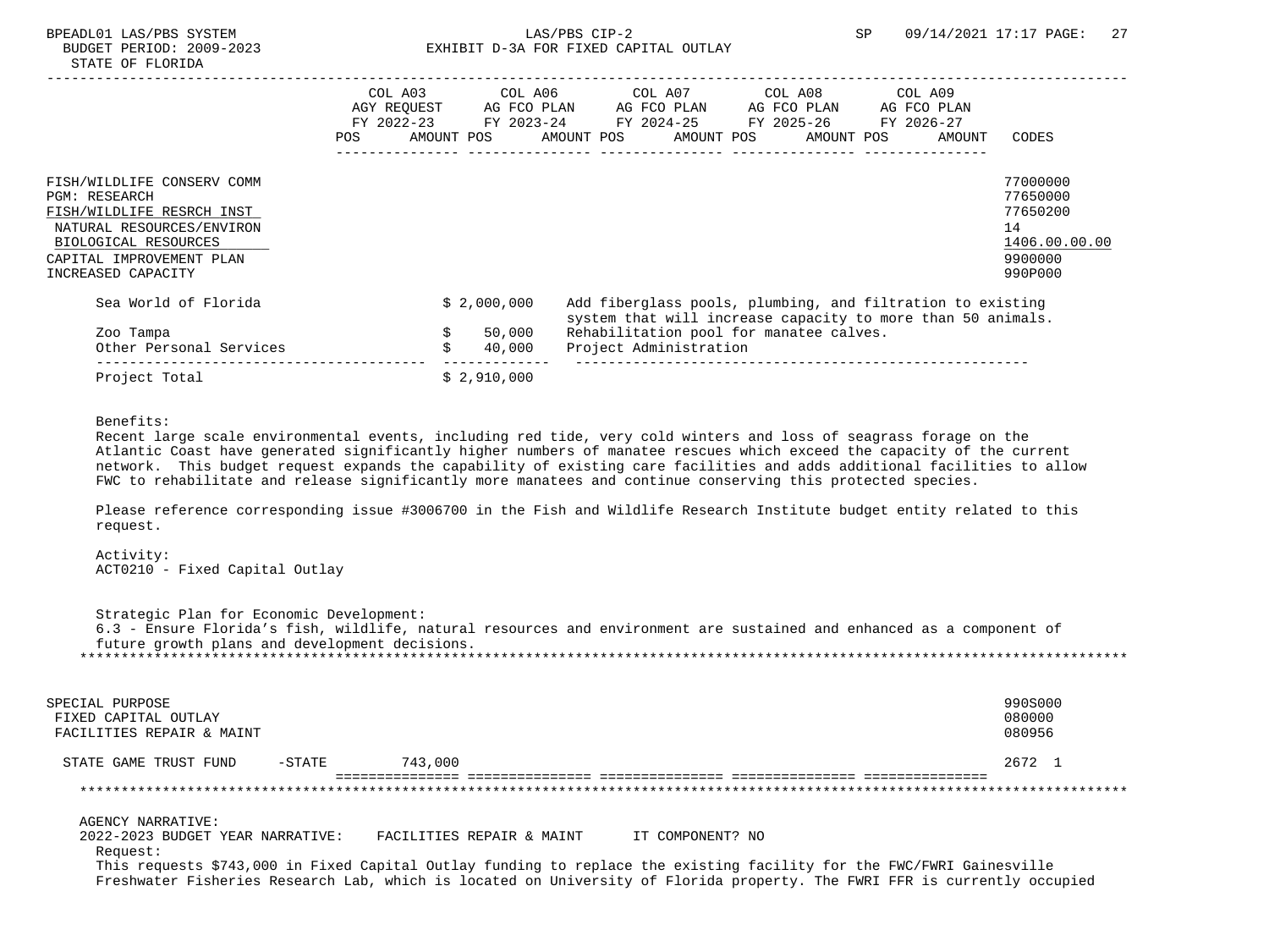|                                                                                                                                                                                        | COL A03<br>AGY REOUEST<br>FY 2022-23<br><b>POS</b> | AMOUNT POS |             | COL A06<br>AG FCO PLAN<br>FY 2023-24 | AMOUNT POS | COL A07<br>AG FCO PLAN<br>FY 2024-25 | AMOUNT POS | COL A08<br>AG FCO PLAN<br>FY 2025-26<br>AMOUNT POS                                                                                                                   | COL A09<br>FY 2026-27 | AG FCO PLAN<br>AMOUNT | CODES                                                                         |
|----------------------------------------------------------------------------------------------------------------------------------------------------------------------------------------|----------------------------------------------------|------------|-------------|--------------------------------------|------------|--------------------------------------|------------|----------------------------------------------------------------------------------------------------------------------------------------------------------------------|-----------------------|-----------------------|-------------------------------------------------------------------------------|
| FISH/WILDLIFE CONSERV COMM<br><b>PGM: RESEARCH</b><br>FISH/WILDLIFE RESRCH INST<br>NATURAL RESOURCES/ENVIRON<br>BIOLOGICAL RESOURCES<br>CAPITAL IMPROVEMENT PLAN<br>INCREASED CAPACITY |                                                    |            |             |                                      |            |                                      |            |                                                                                                                                                                      |                       |                       | 77000000<br>77650000<br>77650200<br>14<br>1406.00.00.00<br>9900000<br>990P000 |
| Sea World of Florida<br>Zoo Tampa                                                                                                                                                      |                                                    |            | \$2,000,000 | 50,000                               |            |                                      |            | Add fiberglass pools, plumbing, and filtration to existing<br>system that will increase capacity to more than 50 animals.<br>Rehabilitation pool for manatee calves. |                       |                       |                                                                               |
| Other Personal Services                                                                                                                                                                |                                                    | Ŝ.         |             | 40,000                               |            | Project Administration               |            |                                                                                                                                                                      |                       |                       |                                                                               |
| Project Total                                                                                                                                                                          |                                                    |            | \$2,910,000 |                                      |            |                                      |            |                                                                                                                                                                      |                       |                       |                                                                               |

## Benefits:

 Recent large scale environmental events, including red tide, very cold winters and loss of seagrass forage on the Atlantic Coast have generated significantly higher numbers of manatee rescues which exceed the capacity of the current network. This budget request expands the capability of existing care facilities and adds additional facilities to allow FWC to rehabilitate and release significantly more manatees and continue conserving this protected species.

 Please reference corresponding issue #3006700 in the Fish and Wildlife Research Institute budget entity related to this request.

 Activity: ACT0210 - Fixed Capital Outlay

 Strategic Plan for Economic Development: 6.3 - Ensure Florida's fish, wildlife, natural resources and environment are sustained and enhanced as a component of future growth plans and development decisions. \*\*\*\*\*\*\*\*\*\*\*\*\*\*\*\*\*\*\*\*\*\*\*\*\*\*\*\*\*\*\*\*\*\*\*\*\*\*\*\*\*\*\*\*\*\*\*\*\*\*\*\*\*\*\*\*\*\*\*\*\*\*\*\*\*\*\*\*\*\*\*\*\*\*\*\*\*\*\*\*\*\*\*\*\*\*\*\*\*\*\*\*\*\*\*\*\*\*\*\*\*\*\*\*\*\*\*\*\*\*\*\*\*\*\*\*\*\*\*\*\*\*\*\*\*\*\*

| SPECIAL PURPOSE<br>FIXED CAPITAL OUTLAY<br>FACILITIES REPAIR & MAINT |          |                           |                                                                                                                                                                                                                                                    | 990S000<br>080000<br>080956 |
|----------------------------------------------------------------------|----------|---------------------------|----------------------------------------------------------------------------------------------------------------------------------------------------------------------------------------------------------------------------------------------------|-----------------------------|
| STATE GAME TRUST FUND                                                | $-STATE$ | 743,000                   |                                                                                                                                                                                                                                                    | 2672 1                      |
|                                                                      |          |                           |                                                                                                                                                                                                                                                    |                             |
| AGENCY NARRATIVE:                                                    |          |                           |                                                                                                                                                                                                                                                    |                             |
| 2022-2023 BUDGET YEAR NARRATIVE:<br>Request:                         |          | FACILITIES REPAIR & MAINT | IT COMPONENT? NO                                                                                                                                                                                                                                   |                             |
|                                                                      |          |                           | This requests \$743,000 in Fixed Capital Outlay funding to replace the existing facility for the FWC/FWRI Gainesville<br>Freshwater Fisheries Research Lab, which is located on University of Florida property. The FWRI FFR is currently occupied |                             |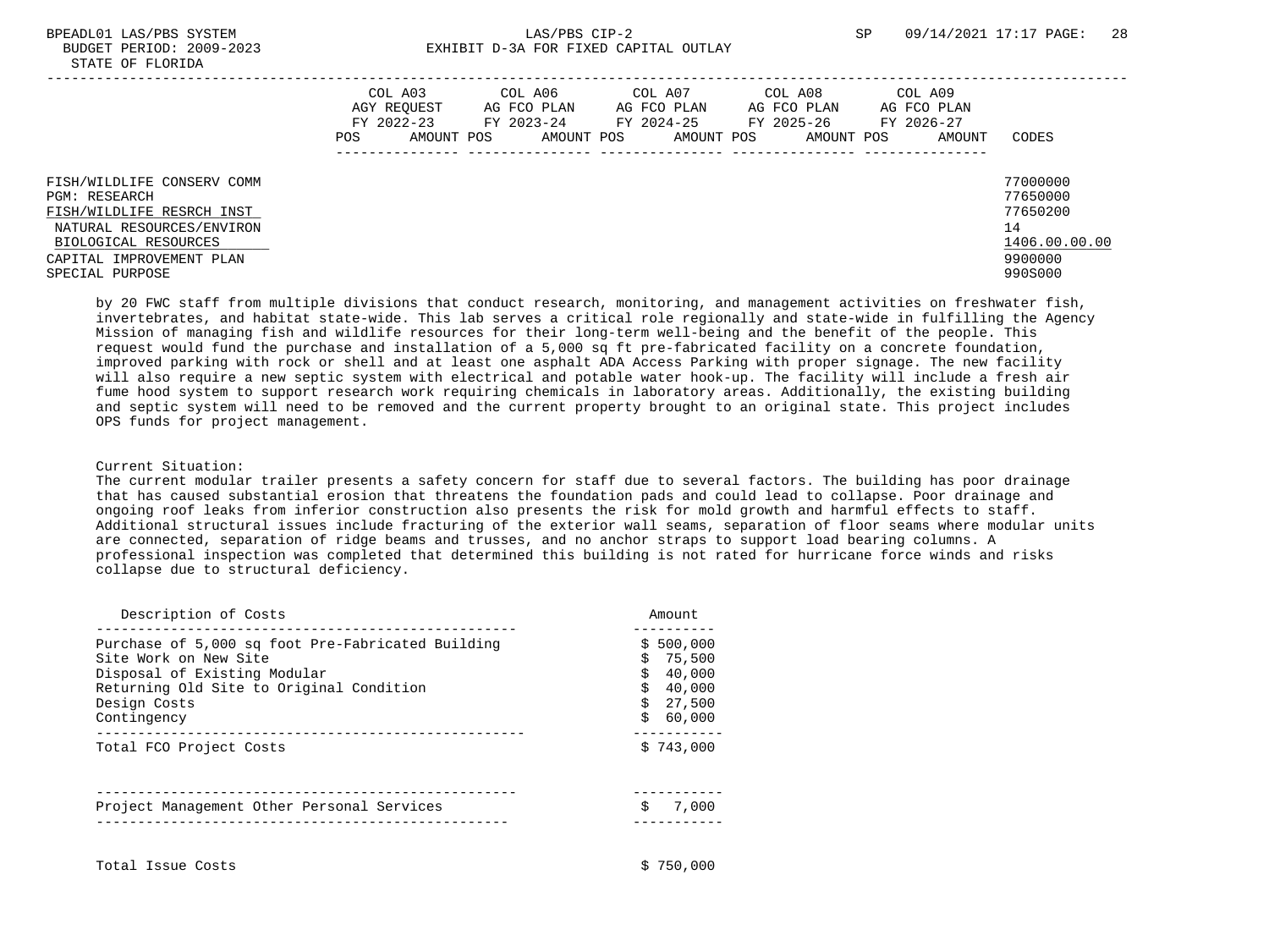## BPEADL01 LAS/PBS SYSTEM SALLAS/PBS CIP-2 SP 09/14/2021 17:17 PAGE: 28 BUDGET PERIOD: 2009-2023 EXHIBIT D-3A FOR FIXED CAPITAL OUTLAY

|                                                                                                                                                                                     | COL A03<br>AGY REOUEST<br>FY 2022-23<br>AMOUNT POS<br>POS | COL A06<br>AG FCO PLAN<br>FY 2023-24<br>AMOUNT POS | COL A07<br>AG FCO PLAN<br>FY 2024-25<br>AMOUNT POS | COL A08<br>AG FCO PLAN<br>FY 2025-26<br>AMOUNT POS | COL A09<br>AG FCO PLAN<br>FY 2026-27<br>AMOUNT | CODES                                                                         |
|-------------------------------------------------------------------------------------------------------------------------------------------------------------------------------------|-----------------------------------------------------------|----------------------------------------------------|----------------------------------------------------|----------------------------------------------------|------------------------------------------------|-------------------------------------------------------------------------------|
| FISH/WILDLIFE CONSERV COMM<br><b>PGM: RESEARCH</b><br>FISH/WILDLIFE RESRCH INST<br>NATURAL RESOURCES/ENVIRON<br>BIOLOGICAL RESOURCES<br>CAPITAL IMPROVEMENT PLAN<br>SPECIAL PURPOSE |                                                           |                                                    |                                                    |                                                    |                                                | 77000000<br>77650000<br>77650200<br>14<br>1406.00.00.00<br>9900000<br>990S000 |

 by 20 FWC staff from multiple divisions that conduct research, monitoring, and management activities on freshwater fish, invertebrates, and habitat state-wide. This lab serves a critical role regionally and state-wide in fulfilling the Agency Mission of managing fish and wildlife resources for their long-term well-being and the benefit of the people. This request would fund the purchase and installation of a 5,000 sq ft pre-fabricated facility on a concrete foundation, improved parking with rock or shell and at least one asphalt ADA Access Parking with proper signage. The new facility will also require a new septic system with electrical and potable water hook-up. The facility will include a fresh air fume hood system to support research work requiring chemicals in laboratory areas. Additionally, the existing building and septic system will need to be removed and the current property brought to an original state. This project includes OPS funds for project management.

### Current Situation:

 The current modular trailer presents a safety concern for staff due to several factors. The building has poor drainage that has caused substantial erosion that threatens the foundation pads and could lead to collapse. Poor drainage and ongoing roof leaks from inferior construction also presents the risk for mold growth and harmful effects to staff. Additional structural issues include fracturing of the exterior wall seams, separation of floor seams where modular units are connected, separation of ridge beams and trusses, and no anchor straps to support load bearing columns. A professional inspection was completed that determined this building is not rated for hurricane force winds and risks collapse due to structural deficiency.

| Description of Costs                                                                                                                                                                  | Amount                                                                |
|---------------------------------------------------------------------------------------------------------------------------------------------------------------------------------------|-----------------------------------------------------------------------|
| Purchase of 5,000 sq foot Pre-Fabricated Building<br>Site Work on New Site<br>Disposal of Existing Modular<br>Returning Old Site to Original Condition<br>Design Costs<br>Contingency | \$500.000<br>\$75,500<br>40,000<br>\$40.000<br>27,500<br>Ś.<br>60,000 |
| Total FCO Project Costs                                                                                                                                                               | \$743.000                                                             |
| Project Management Other Personal Services                                                                                                                                            | S<br>7,000                                                            |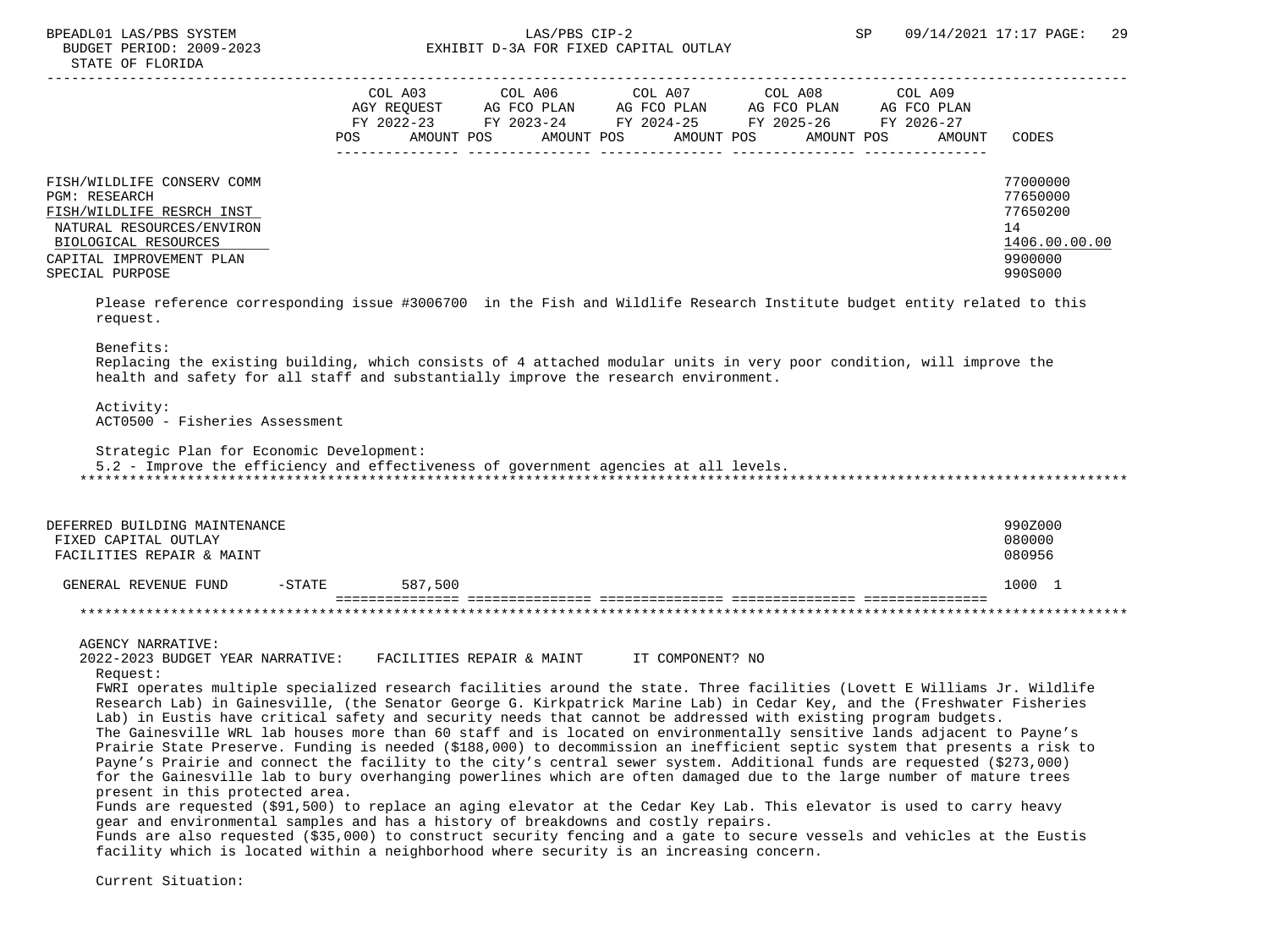|                                                                                                                                                                                     | POS | COL A03<br>AGY REOUEST<br>FY 2022-23<br>AMOUNT POS | COL A06<br>AG FCO PLAN<br>FY 2023-24<br>AMOUNT POS | COL A07<br>AG FCO PLAN<br>FY 2024-25<br>AMOUNT POS | COL A08<br>AG FCO PLAN<br>FY 2025-26<br>AMOUNT POS | COL A09<br>AG FCO PLAN<br>FY 2026-27<br>AMOUNT | CODES                                                                         |
|-------------------------------------------------------------------------------------------------------------------------------------------------------------------------------------|-----|----------------------------------------------------|----------------------------------------------------|----------------------------------------------------|----------------------------------------------------|------------------------------------------------|-------------------------------------------------------------------------------|
| FISH/WILDLIFE CONSERV COMM<br><b>PGM: RESEARCH</b><br>FISH/WILDLIFE RESRCH INST<br>NATURAL RESOURCES/ENVIRON<br>BIOLOGICAL RESOURCES<br>CAPITAL IMPROVEMENT PLAN<br>SPECIAL PURPOSE |     |                                                    |                                                    |                                                    |                                                    |                                                | 77000000<br>77650000<br>77650200<br>14<br>1406.00.00.00<br>9900000<br>990S000 |

 Please reference corresponding issue #3006700 in the Fish and Wildlife Research Institute budget entity related to this request.

#### Benefits:

 Replacing the existing building, which consists of 4 attached modular units in very poor condition, will improve the health and safety for all staff and substantially improve the research environment.

 Activity: ACT0500 - Fisheries Assessment

Strategic Plan for Economic Development:

5.2 - Improve the efficiency and effectiveness of government agencies at all levels.

\*\*\*\*\*\*\*\*\*\*\*\*\*\*\*\*\*\*\*\*\*\*\*\*\*\*\*\*\*\*\*\*\*\*\*\*\*\*\*\*\*\*\*\*\*\*\*\*\*\*\*\*\*\*\*\*\*\*\*\*\*\*\*\*\*\*\*\*\*\*\*\*\*\*\*\*\*\*\*\*\*\*\*\*\*\*\*\*\*\*\*\*\*\*\*\*\*\*\*\*\*\*\*\*\*\*\*\*\*\*\*\*\*\*\*\*\*\*\*\*\*\*\*\*\*\*\*

| DEFERRED BUILDING MAINTENANCE<br>FIXED CAPITAL OUTLAY<br>FACILITIES REPAIR & MAINT |           |         | 990Z000<br>080000<br>080956 |
|------------------------------------------------------------------------------------|-----------|---------|-----------------------------|
| GENERAL REVENUE FUND                                                               | $-$ STATE | 587,500 | 1000                        |
|                                                                                    |           |         |                             |

AGENCY NARRATIVE:

 2022-2023 BUDGET YEAR NARRATIVE: FACILITIES REPAIR & MAINT IT COMPONENT? NO Request:

 FWRI operates multiple specialized research facilities around the state. Three facilities (Lovett E Williams Jr. Wildlife Research Lab) in Gainesville, (the Senator George G. Kirkpatrick Marine Lab) in Cedar Key, and the (Freshwater Fisheries Lab) in Eustis have critical safety and security needs that cannot be addressed with existing program budgets.

 The Gainesville WRL lab houses more than 60 staff and is located on environmentally sensitive lands adjacent to Payne's Prairie State Preserve. Funding is needed (\$188,000) to decommission an inefficient septic system that presents a risk to Payne's Prairie and connect the facility to the city's central sewer system. Additional funds are requested (\$273,000) for the Gainesville lab to bury overhanging powerlines which are often damaged due to the large number of mature trees present in this protected area.

 Funds are requested (\$91,500) to replace an aging elevator at the Cedar Key Lab. This elevator is used to carry heavy gear and environmental samples and has a history of breakdowns and costly repairs.

 Funds are also requested (\$35,000) to construct security fencing and a gate to secure vessels and vehicles at the Eustis facility which is located within a neighborhood where security is an increasing concern.

Current Situation: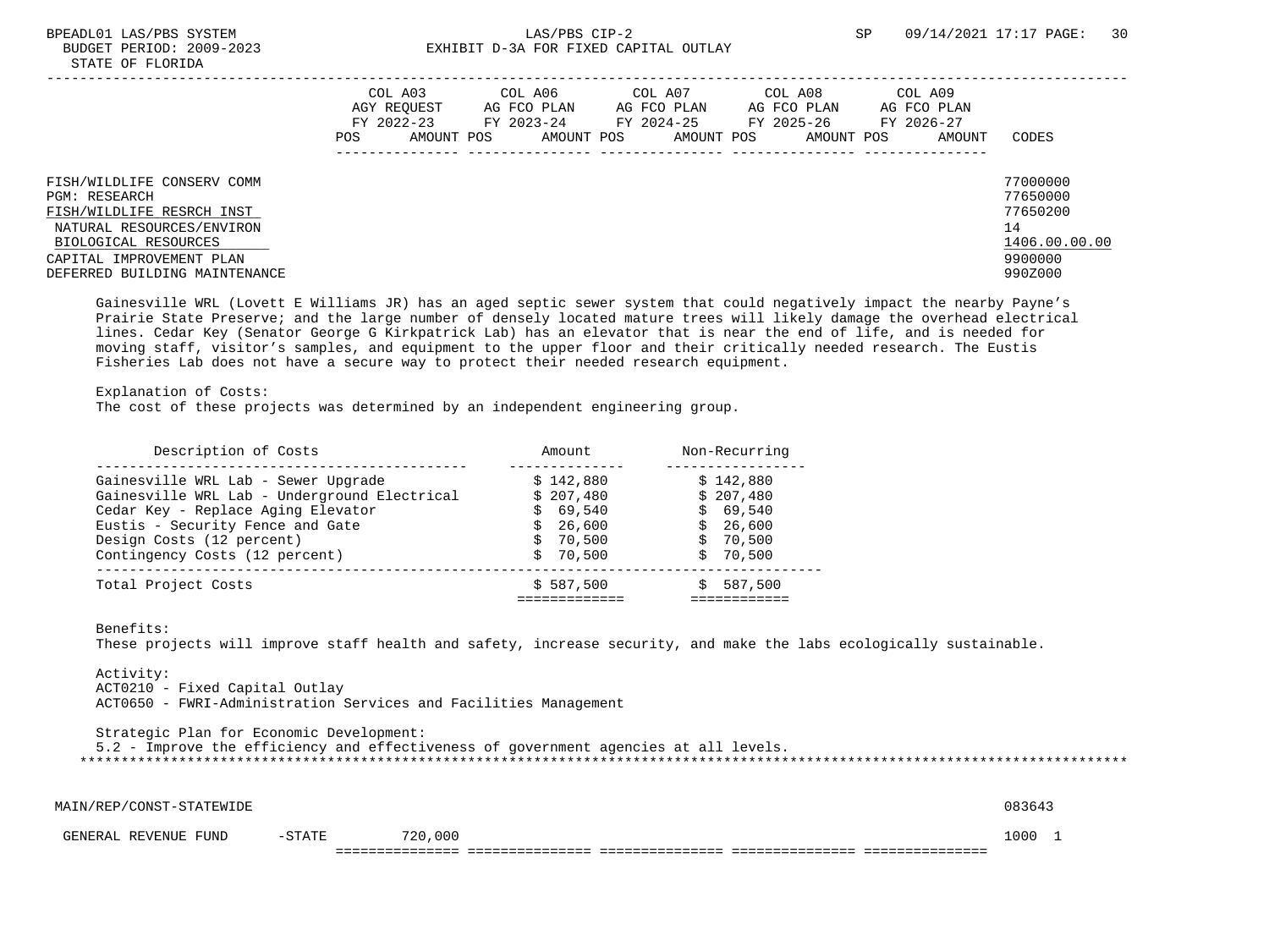|                                                                                                                                                                                                   | POS | COL A03<br>AGY REOUEST<br>FY 2022-23<br>AMOUNT POS | COL A06<br>AG FCO PLAN<br>FY 2023-24<br>AMOUNT POS | COL A07<br>AG FCO PLAN<br>FY 2024-25<br>AMOUNT POS | COL A08<br>AG FCO PLAN<br>FY 2025-26<br>AMOUNT POS | COL A09<br>AG FCO PLAN<br>FY 2026-27<br>AMOUNT | CODES                                                                         |
|---------------------------------------------------------------------------------------------------------------------------------------------------------------------------------------------------|-----|----------------------------------------------------|----------------------------------------------------|----------------------------------------------------|----------------------------------------------------|------------------------------------------------|-------------------------------------------------------------------------------|
| FISH/WILDLIFE CONSERV COMM<br><b>PGM: RESEARCH</b><br>FISH/WILDLIFE RESRCH INST<br>NATURAL RESOURCES/ENVIRON<br>BIOLOGICAL RESOURCES<br>CAPITAL IMPROVEMENT PLAN<br>DEFERRED BUILDING MAINTENANCE |     |                                                    |                                                    |                                                    |                                                    |                                                | 77000000<br>77650000<br>77650200<br>14<br>1406.00.00.00<br>9900000<br>990Z000 |

 Gainesville WRL (Lovett E Williams JR) has an aged septic sewer system that could negatively impact the nearby Payne's Prairie State Preserve; and the large number of densely located mature trees will likely damage the overhead electrical lines. Cedar Key (Senator George G Kirkpatrick Lab) has an elevator that is near the end of life, and is needed for moving staff, visitor's samples, and equipment to the upper floor and their critically needed research. The Eustis Fisheries Lab does not have a secure way to protect their needed research equipment.

## Explanation of Costs:

The cost of these projects was determined by an independent engineering group.

| Description of Costs                         | Amount    | Non-Recurring |
|----------------------------------------------|-----------|---------------|
| Gainesville WRL Lab - Sewer Upgrade          | \$142.880 | \$142.880     |
| Gainesville WRL Lab - Underground Electrical | \$207,480 | \$207.480     |
| Cedar Key - Replace Aging Elevator           | \$69.540  | \$69.540      |
| Eustis - Security Fence and Gate             | \$26,600  | \$26,600      |
| Design Costs (12 percent)                    | \$70.500  | \$70.500      |
| Contingency Costs (12 percent)               | \$70.500  | \$70.500      |
| Total Project Costs                          | \$587,500 | 587,500       |

Benefits:

These projects will improve staff health and safety, increase security, and make the labs ecologically sustainable.

 Activity: ACT0210 - Fixed Capital Outlay ACT0650 - FWRI-Administration Services and Facilities Management

 Strategic Plan for Economic Development: 5.2 - Improve the efficiency and effectiveness of government agencies at all levels. \*\*\*\*\*\*\*\*\*\*\*\*\*\*\*\*\*\*\*\*\*\*\*\*\*\*\*\*\*\*\*\*\*\*\*\*\*\*\*\*\*\*\*\*\*\*\*\*\*\*\*\*\*\*\*\*\*\*\*\*\*\*\*\*\*\*\*\*\*\*\*\*\*\*\*\*\*\*\*\*\*\*\*\*\*\*\*\*\*\*\*\*\*\*\*\*\*\*\*\*\*\*\*\*\*\*\*\*\*\*\*\*\*\*\*\*\*\*\*\*\*\*\*\*\*\*\*

| MAIN/REP/CONST-STATEWIDE |        |         | 083643 |  |
|--------------------------|--------|---------|--------|--|
| GENERAL REVENUE FUND     | -STATE | 720,000 | 1000   |  |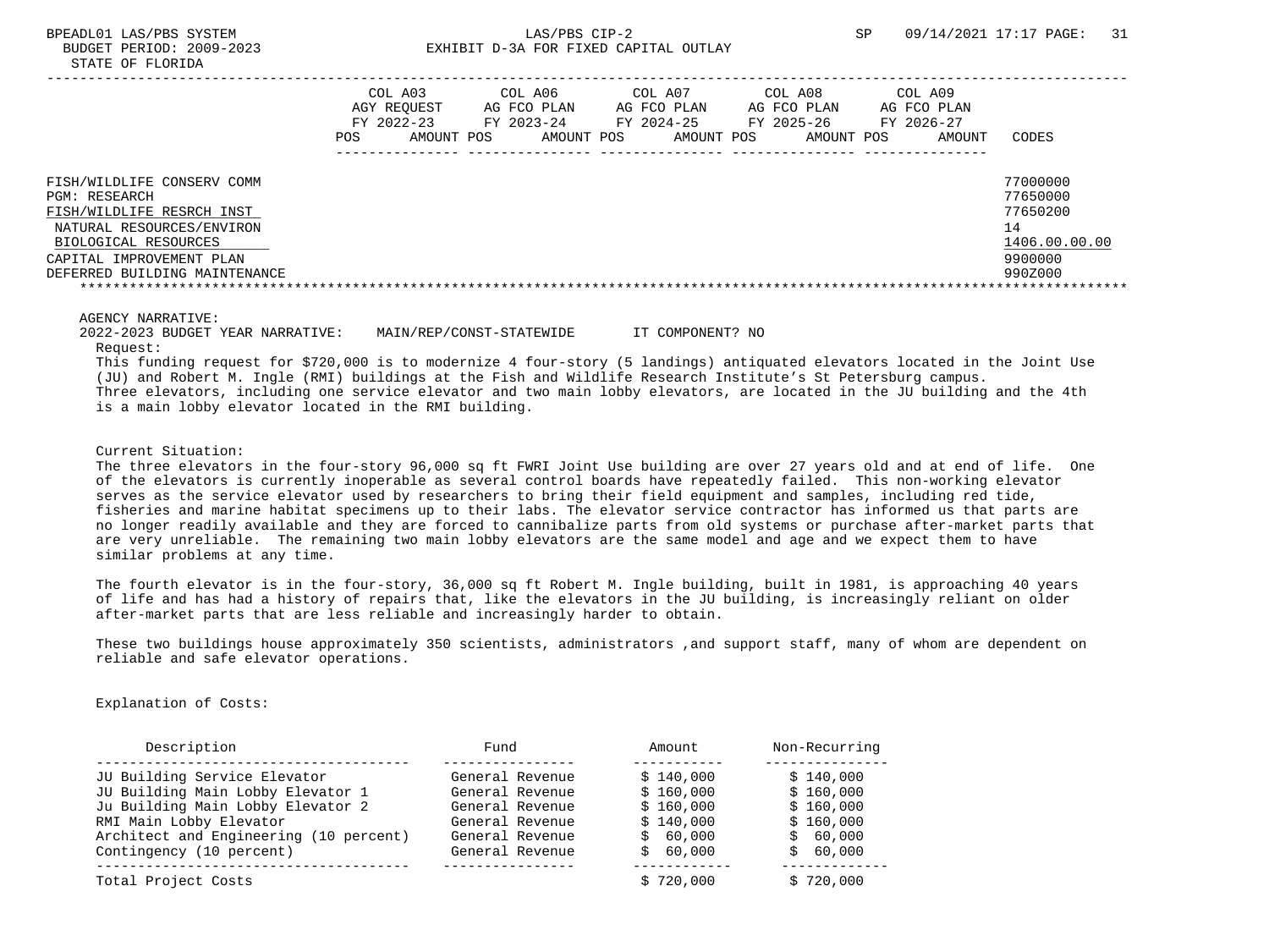|                                                                                                                                                                                            | COL A03<br>AGY REOUEST<br>FY 2022-23<br>POS. | AMOUNT POS | COL A06<br>AG FCO PLAN<br>FY 2023-24<br>AMOUNT POS | COL A07<br>AG FCO PLAN<br>FY 2024-25<br>AMOUNT POS | COL A08<br>AG FCO PLAN<br>FY 2025-26<br>AMOUNT POS | COL A09<br>AG FCO PLAN<br>FY 2026-27<br>AMOUNT | CODES                                                                         |
|--------------------------------------------------------------------------------------------------------------------------------------------------------------------------------------------|----------------------------------------------|------------|----------------------------------------------------|----------------------------------------------------|----------------------------------------------------|------------------------------------------------|-------------------------------------------------------------------------------|
| FISH/WILDLIFE CONSERV COMM<br>PGM: RESEARCH<br>FISH/WILDLIFE RESRCH INST<br>NATURAL RESOURCES/ENVIRON<br>BIOLOGICAL RESOURCES<br>CAPITAL IMPROVEMENT PLAN<br>DEFERRED BUILDING MAINTENANCE |                                              |            |                                                    |                                                    |                                                    |                                                | 77000000<br>77650000<br>77650200<br>14<br>1406.00.00.00<br>9900000<br>990Z000 |

AGENCY NARRATIVE:

 2022-2023 BUDGET YEAR NARRATIVE: MAIN/REP/CONST-STATEWIDE IT COMPONENT? NO Request:

 This funding request for \$720,000 is to modernize 4 four-story (5 landings) antiquated elevators located in the Joint Use (JU) and Robert M. Ingle (RMI) buildings at the Fish and Wildlife Research Institute's St Petersburg campus. Three elevators, including one service elevator and two main lobby elevators, are located in the JU building and the 4th is a main lobby elevator located in the RMI building.

Current Situation:

 The three elevators in the four-story 96,000 sq ft FWRI Joint Use building are over 27 years old and at end of life. One of the elevators is currently inoperable as several control boards have repeatedly failed. This non-working elevator serves as the service elevator used by researchers to bring their field equipment and samples, including red tide, fisheries and marine habitat specimens up to their labs. The elevator service contractor has informed us that parts are no longer readily available and they are forced to cannibalize parts from old systems or purchase after-market parts that are very unreliable. The remaining two main lobby elevators are the same model and age and we expect them to have similar problems at any time.

 The fourth elevator is in the four-story, 36,000 sq ft Robert M. Ingle building, built in 1981, is approaching 40 years of life and has had a history of repairs that, like the elevators in the JU building, is increasingly reliant on older after-market parts that are less reliable and increasingly harder to obtain.

 These two buildings house approximately 350 scientists, administrators ,and support staff, many of whom are dependent on reliable and safe elevator operations.

Explanation of Costs:

| Description                            | Fund            | Amount    | Non-Recurring |
|----------------------------------------|-----------------|-----------|---------------|
| JU Building Service Elevator           | General Revenue | \$140,000 | \$140.000     |
| JU Building Main Lobby Elevator 1      | General Revenue | \$160,000 | \$160.000     |
| Ju Building Main Lobby Elevator 2      | General Revenue | \$160.000 | \$160.000     |
| RMI Main Lobby Elevator                | General Revenue | \$140.000 | \$160.000     |
| Architect and Engineering (10 percent) | General Revenue | \$60.000  | \$60,000      |
| Contingency (10 percent)               | General Revenue | \$60,000  | \$60,000      |
| Total Project Costs                    |                 | \$720.000 | \$720.000     |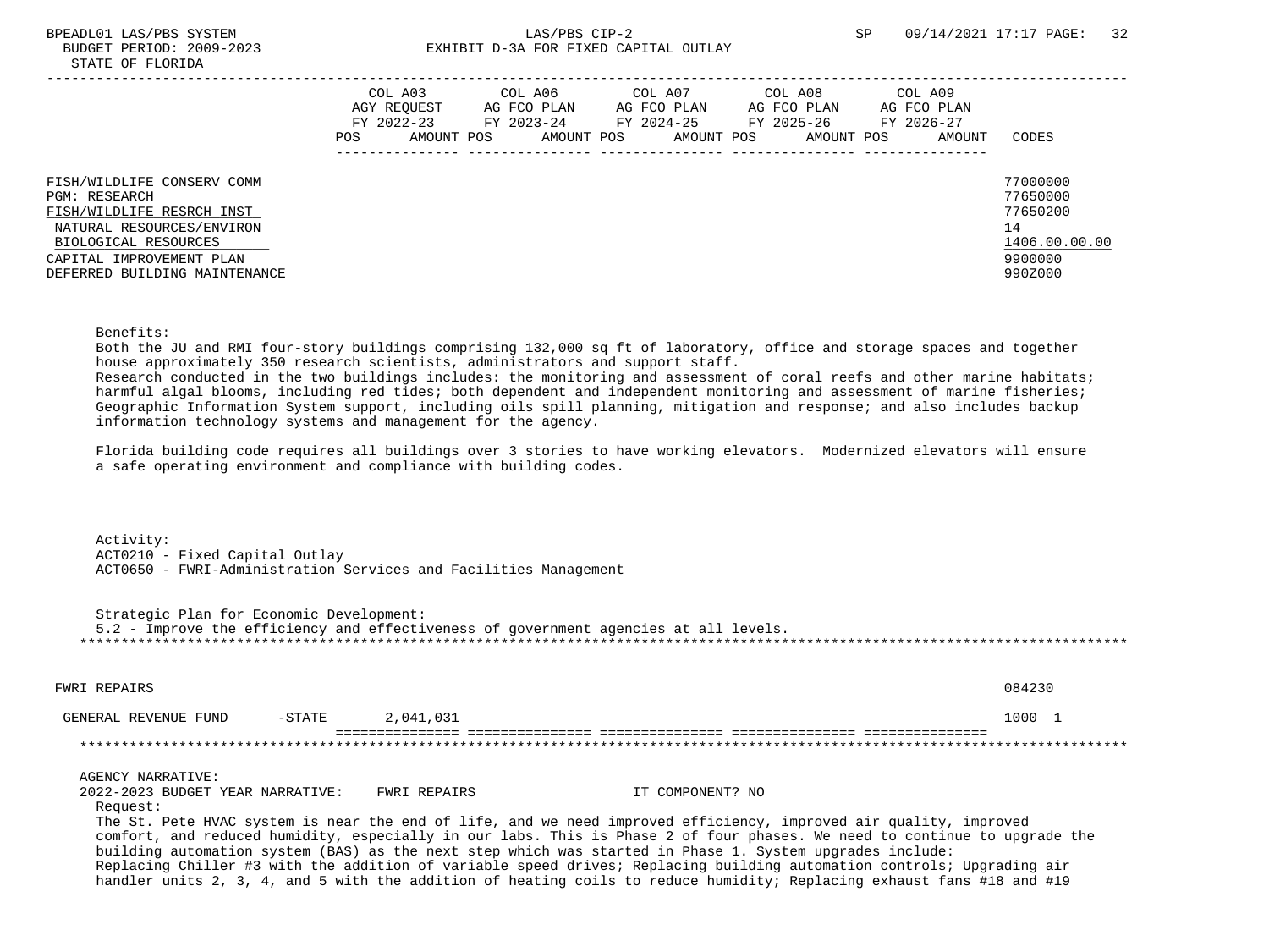# BPEADL01 LAS/PBS SYSTEM SALLAS/PBS CIP-2 SP 09/14/2021 17:17 PAGE: 32 BUDGET PERIOD: 2009-2023 EXHIBIT D-3A FOR FIXED CAPITAL OUTLAY

|                                                                                                                                                                                                   | POS. | COL A03<br>AGY REOUEST<br>FY 2022-23<br>AMOUNT POS | COL A06<br>AG FCO PLAN<br>FY 2023-24<br>AMOUNT POS | COL A07<br>AG FCO PLAN<br>FY 2024-25<br>AMOUNT POS | COL A08<br>AG FCO PLAN<br>FY 2025-26<br>AMOUNT POS | COL A09<br>AG FCO PLAN<br>FY 2026-27<br>AMOUNT | CODES                                                                         |
|---------------------------------------------------------------------------------------------------------------------------------------------------------------------------------------------------|------|----------------------------------------------------|----------------------------------------------------|----------------------------------------------------|----------------------------------------------------|------------------------------------------------|-------------------------------------------------------------------------------|
| FISH/WILDLIFE CONSERV COMM<br><b>PGM: RESEARCH</b><br>FISH/WILDLIFE RESRCH INST<br>NATURAL RESOURCES/ENVIRON<br>BIOLOGICAL RESOURCES<br>CAPITAL IMPROVEMENT PLAN<br>DEFERRED BUILDING MAINTENANCE |      |                                                    |                                                    |                                                    |                                                    |                                                | 77000000<br>77650000<br>77650200<br>14<br>1406.00.00.00<br>9900000<br>990Z000 |

### Benefits:

 Both the JU and RMI four-story buildings comprising 132,000 sq ft of laboratory, office and storage spaces and together house approximately 350 research scientists, administrators and support staff.

 Research conducted in the two buildings includes: the monitoring and assessment of coral reefs and other marine habitats; harmful algal blooms, including red tides; both dependent and independent monitoring and assessment of marine fisheries; Geographic Information System support, including oils spill planning, mitigation and response; and also includes backup information technology systems and management for the agency.

 Florida building code requires all buildings over 3 stories to have working elevators. Modernized elevators will ensure a safe operating environment and compliance with building codes.

 Activity: ACT0210 - Fixed Capital Outlay ACT0650 - FWRI-Administration Services and Facilities Management

 Strategic Plan for Economic Development: 5.2 - Improve the efficiency and effectiveness of government agencies at all levels. \*\*\*\*\*\*\*\*\*\*\*\*\*\*\*\*\*\*\*\*\*\*\*\*\*\*\*\*\*\*\*\*\*\*\*\*\*\*\*\*\*\*\*\*\*\*\*\*\*\*\*\*\*\*\*\*\*\*\*\*\*\*\*\*\*\*\*\*\*\*\*\*\*\*\*\*\*\*\*\*\*\*\*\*\*\*\*\*\*\*\*\*\*\*\*\*\*\*\*\*\*\*\*\*\*\*\*\*\*\*\*\*\*\*\*\*\*\*\*\*\*\*\*\*\*\*\*

| FWRI REPAIRS         |           |           | 084230 |
|----------------------|-----------|-----------|--------|
| GENERAL REVENUE FUND | $-$ STATE | 2,041,031 | 1000   |
|                      |           |           |        |

### AGENCY NARRATIVE:

2022-2023 BUDGET YEAR NARRATIVE: FWRI REPAIRS THE SENSITE OMPONENT? NO Request:

 The St. Pete HVAC system is near the end of life, and we need improved efficiency, improved air quality, improved comfort, and reduced humidity, especially in our labs. This is Phase 2 of four phases. We need to continue to upgrade the building automation system (BAS) as the next step which was started in Phase 1. System upgrades include: Replacing Chiller #3 with the addition of variable speed drives; Replacing building automation controls; Upgrading air handler units 2, 3, 4, and 5 with the addition of heating coils to reduce humidity; Replacing exhaust fans #18 and #19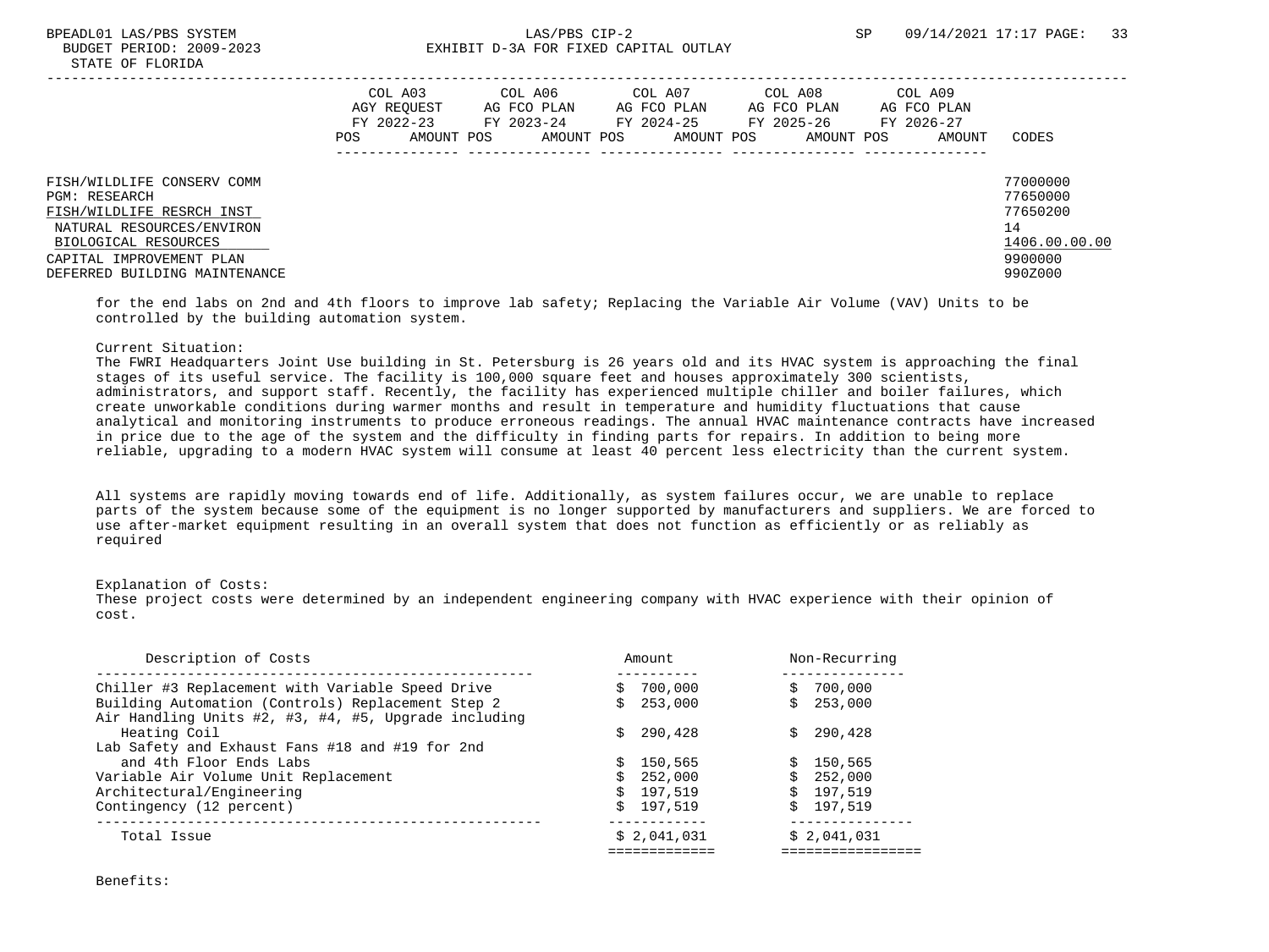|                                                                                                                                                                                                   | POS | COL A03<br>AGY REOUEST<br>FY 2022-23<br>AMOUNT POS | COL A06<br>AG FCO PLAN<br>FY 2023-24<br>AMOUNT POS | COL A07<br>AG FCO PLAN<br>FY 2024-25<br>AMOUNT POS | COL A08<br>AG FCO PLAN<br>FY 2025-26<br>AMOUNT POS | COL A09<br>AG FCO PLAN<br>FY 2026-27<br>AMOUNT | CODES                                                                         |
|---------------------------------------------------------------------------------------------------------------------------------------------------------------------------------------------------|-----|----------------------------------------------------|----------------------------------------------------|----------------------------------------------------|----------------------------------------------------|------------------------------------------------|-------------------------------------------------------------------------------|
| FISH/WILDLIFE CONSERV COMM<br><b>PGM: RESEARCH</b><br>FISH/WILDLIFE RESRCH INST<br>NATURAL RESOURCES/ENVIRON<br>BIOLOGICAL RESOURCES<br>CAPITAL IMPROVEMENT PLAN<br>DEFERRED BUILDING MAINTENANCE |     |                                                    |                                                    |                                                    |                                                    |                                                | 77000000<br>77650000<br>77650200<br>14<br>1406.00.00.00<br>9900000<br>990Z000 |

 for the end labs on 2nd and 4th floors to improve lab safety; Replacing the Variable Air Volume (VAV) Units to be controlled by the building automation system.

## Current Situation:

 The FWRI Headquarters Joint Use building in St. Petersburg is 26 years old and its HVAC system is approaching the final stages of its useful service. The facility is 100,000 square feet and houses approximately 300 scientists, administrators, and support staff. Recently, the facility has experienced multiple chiller and boiler failures, which create unworkable conditions during warmer months and result in temperature and humidity fluctuations that cause analytical and monitoring instruments to produce erroneous readings. The annual HVAC maintenance contracts have increased in price due to the age of the system and the difficulty in finding parts for repairs. In addition to being more reliable, upgrading to a modern HVAC system will consume at least 40 percent less electricity than the current system.

 All systems are rapidly moving towards end of life. Additionally, as system failures occur, we are unable to replace parts of the system because some of the equipment is no longer supported by manufacturers and suppliers. We are forced to use after-market equipment resulting in an overall system that does not function as efficiently or as reliably as required

### Explanation of Costs:

 These project costs were determined by an independent engineering company with HVAC experience with their opinion of cost.

| Description of Costs                                                                                      | Amount                   | Non-Recurring                          |
|-----------------------------------------------------------------------------------------------------------|--------------------------|----------------------------------------|
| Chiller #3 Replacement with Variable Speed Drive                                                          | 700,000<br>Ŝ.            | 700,000                                |
| Building Automation (Controls) Replacement Step 2<br>Air Handling Units #2, #3, #4, #5, Upgrade including | 253,000                  | 253,000                                |
| Heating Coil                                                                                              | 290,428<br>S.            | 290,428                                |
| Lab Safety and Exhaust Fans #18 and #19 for 2nd                                                           |                          |                                        |
| and 4th Floor Ends Labs                                                                                   | 150,565<br>S.            | \$150.565                              |
| Variable Air Volume Unit Replacement                                                                      | \$252,000                | \$252,000                              |
| Architectural/Engineering                                                                                 | \$197.519                | \$197.519                              |
| Contingency (12 percent)                                                                                  | $\mathcal{S}$<br>197,519 | \$197.519                              |
| Total Issue                                                                                               | \$2,041,031              | . - - - - - - - - - - -<br>\$2,041,031 |
|                                                                                                           |                          |                                        |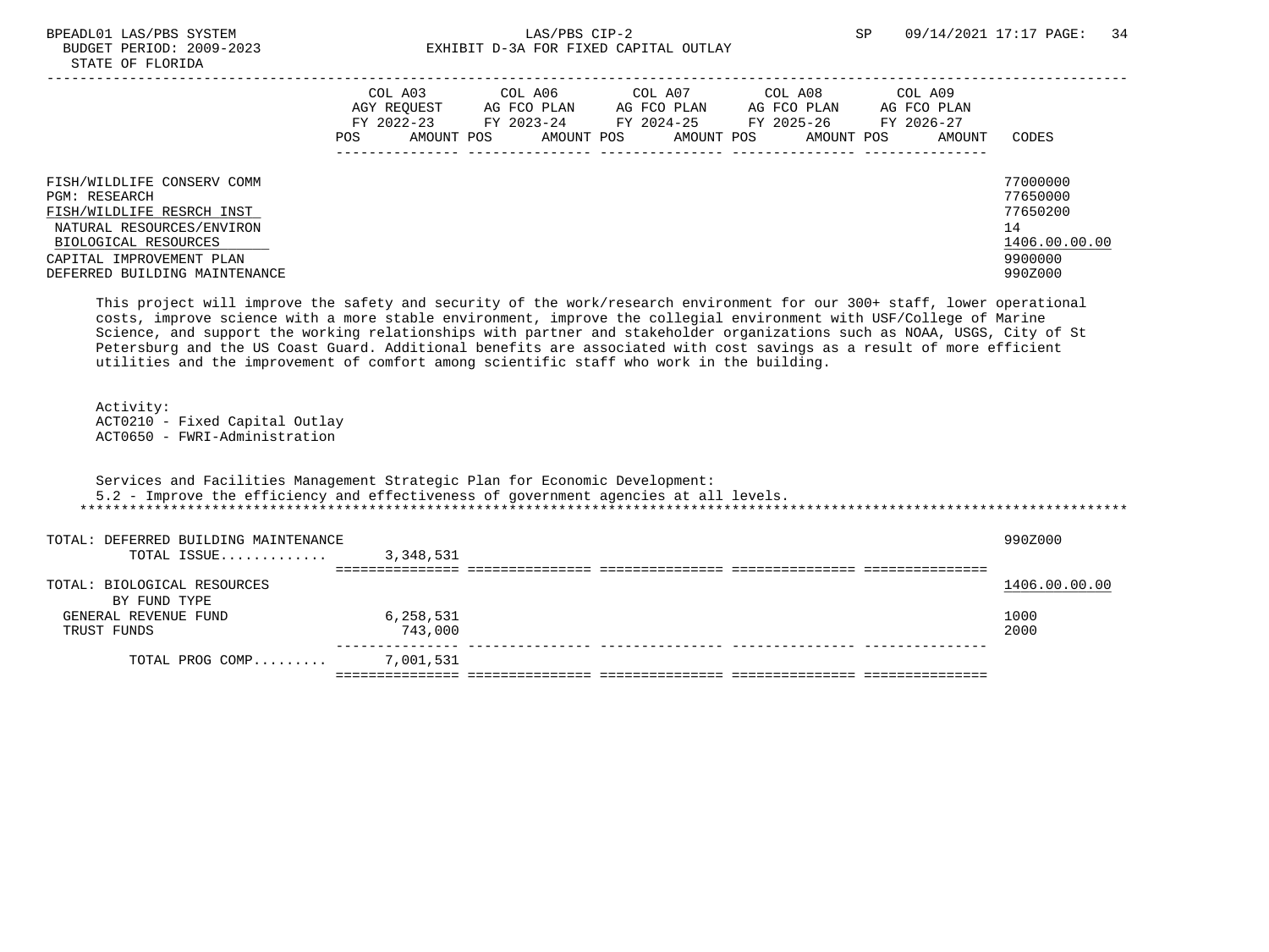|                                                                                                                                                                                                   | COL A03<br>AGY REOUEST<br>FY 2022-23<br>POS. | AMOUNT POS | COL A06<br>AG FCO PLAN<br>FY 2023-24 | AMOUNT POS | COL A07<br>AG FCO PLAN<br>FY 2024-25<br>AMOUNT POS | COL A08<br>AG FCO PLAN<br>FY 2025-26<br>AMOUNT POS | COL A09<br>AG FCO PLAN<br>FY 2026-27<br>AMOUNT | CODES                                                                         |
|---------------------------------------------------------------------------------------------------------------------------------------------------------------------------------------------------|----------------------------------------------|------------|--------------------------------------|------------|----------------------------------------------------|----------------------------------------------------|------------------------------------------------|-------------------------------------------------------------------------------|
| FISH/WILDLIFE CONSERV COMM<br><b>PGM: RESEARCH</b><br>FISH/WILDLIFE RESRCH INST<br>NATURAL RESOURCES/ENVIRON<br>BIOLOGICAL RESOURCES<br>CAPITAL IMPROVEMENT PLAN<br>DEFERRED BUILDING MAINTENANCE |                                              |            |                                      |            |                                                    |                                                    |                                                | 77000000<br>77650000<br>77650200<br>14<br>1406.00.00.00<br>9900000<br>990Z000 |

 This project will improve the safety and security of the work/research environment for our 300+ staff, lower operational costs, improve science with a more stable environment, improve the collegial environment with USF/College of Marine Science, and support the working relationships with partner and stakeholder organizations such as NOAA, USGS, City of St Petersburg and the US Coast Guard. Additional benefits are associated with cost savings as a result of more efficient utilities and the improvement of comfort among scientific staff who work in the building.

 Activity: ACT0210 - Fixed Capital Outlay ACT0650 - FWRI-Administration

 Services and Facilities Management Strategic Plan for Economic Development: 5.2 - Improve the efficiency and effectiveness of government agencies at all levels. \*\*\*\*\*\*\*\*\*\*\*\*\*\*\*\*\*\*\*\*\*\*\*\*\*\*\*\*\*\*\*\*\*\*\*\*\*\*\*\*\*\*\*\*\*\*\*\*\*\*\*\*\*\*\*\*\*\*\*\*\*\*\*\*\*\*\*\*\*\*\*\*\*\*\*\*\*\*\*\*\*\*\*\*\*\*\*\*\*\*\*\*\*\*\*\*\*\*\*\*\*\*\*\*\*\*\*\*\*\*\*\*\*\*\*\*\*\*\*\*\*\*\*\*\*\*\* TOTAL: DEFERRED BUILDING MAINTENANCE 990Z000 TOTAL ISSUE............. 3,348,531 =============== =============== =============== =============== ===============

| TOTAL: BIOLOGICAL RESOURCES |           | 1406.00.00.00 |
|-----------------------------|-----------|---------------|
| BY FUND TYPE                |           |               |
| GENERAL REVENUE FUND        | 6,258,531 | 1000          |
| TRUST FUNDS                 | 743,000   | 2000          |
|                             |           |               |
| TOTAL PROG COMP             | 7,001,531 |               |
|                             |           |               |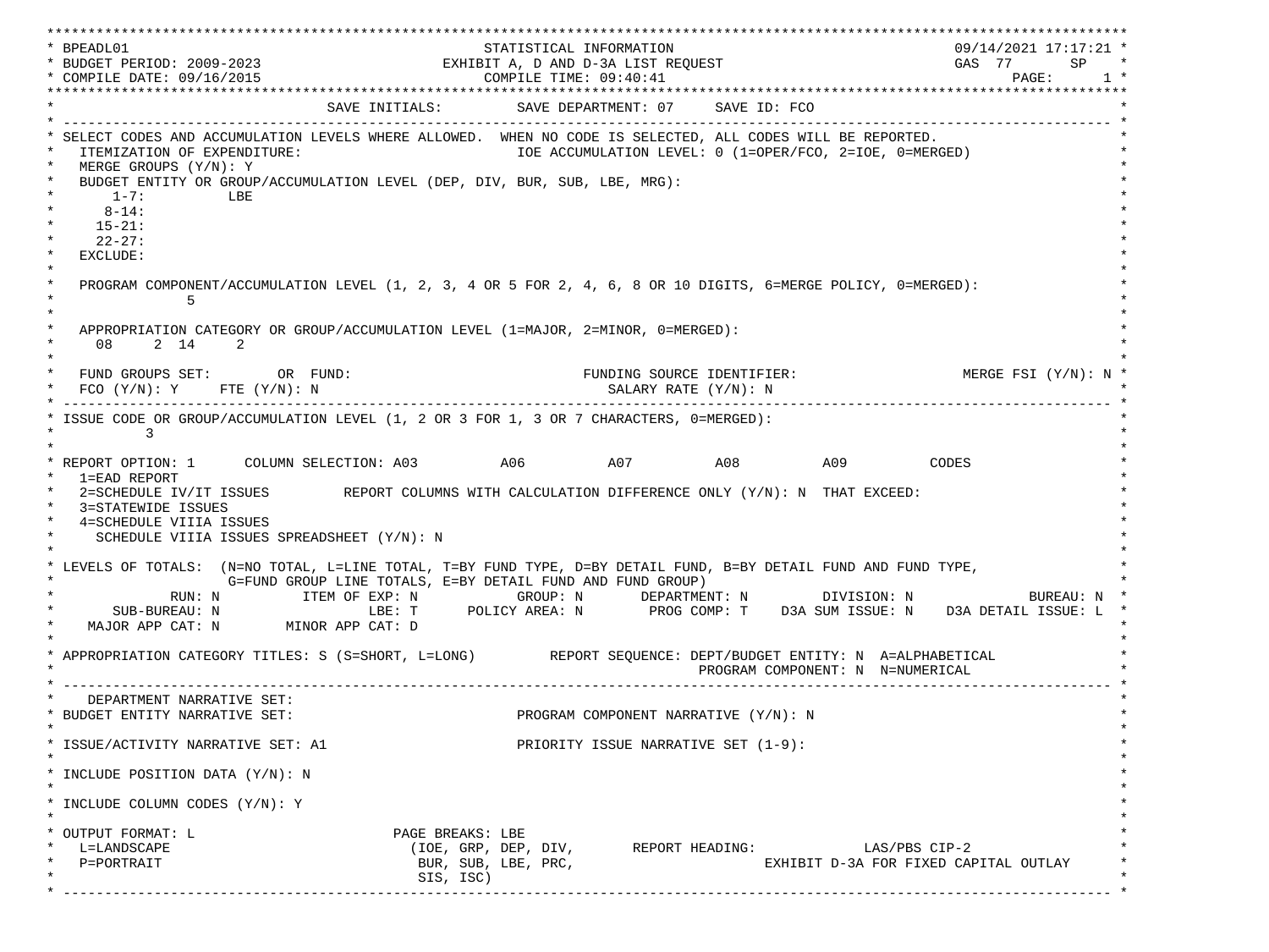\*\*\*\*\*\*\*\*\*\*\*\*\*\*\*\*\*\*\*\*\*\*\*\*\*\*\*\*\*\*\*\*\*\*\*\*\*\*\*\*\*\*\*\*\*\*\*\*\*\*\*\*\*\*\*\*\*\*\*\*\*\*\*\*\*\*\*\*\*\*\*\*\*\*\*\*\*\*\*\*\*\*\*\*\*\*\*\*\*\*\*\*\*\*\*\*\*\*\*\*\*\*\*\*\*\*\*\*\*\*\*\*\*\*\*\*\*\*\*\*\*\*\*\*\*\*\*\*\*\*\* \* BPEADL01 STATISTICAL INFORMATION 09/14/2021 17:17:21 \* \* BUDGET PERIOD: 2009-2023 EXHIBIT A, D AND D-3A LIST REQUEST GAS 77 SP \* \* COMPILE DATE: 09/16/2015 COMPILE TIME: 09:40:41 PAGE: 1 \* \*\*\*\*\*\*\*\*\*\*\*\*\*\*\*\*\*\*\*\*\*\*\*\*\*\*\*\*\*\*\*\*\*\*\*\*\*\*\*\*\*\*\*\*\*\*\*\*\*\*\*\*\*\*\*\*\*\*\*\*\*\*\*\*\*\*\*\*\*\*\*\*\*\*\*\*\*\*\*\*\*\*\*\*\*\*\*\*\*\*\*\*\*\*\*\*\*\*\*\*\*\*\*\*\*\*\*\*\*\*\*\*\*\*\*\*\*\*\*\*\*\*\*\*\*\*\*\*\*\*\* SAVE INITIALS: SAVE DEPARTMENT: 07 SAVE ID: FCO \* ------------------------------------------------------------------------------------------------------------------------------- \* SELECT CODES AND ACCUMULATION LEVELS WHERE ALLOWED. WHEN NO CODE IS SELECTED, ALL CODES WILL BE REPORTED. ITEMIZATION OF EXPENDITURE:  $\overline{10E}$  accumulation level: 0 (1=OPER/FCO, 2=IOE, 0=MERGED) MERGE GROUPS (Y/N): Y BUDGET ENTITY OR GROUP/ACCUMULATION LEVEL (DEP, DIV, BUR, SUB, LBE, MRG):  $*$  1-7: LBE  $*$  $*$  8-14:  $*$  $*$  15-21:  $*$  $*$  22-27: \* \* EXCLUDE: \*  $\star$   $\star$  \* PROGRAM COMPONENT/ACCUMULATION LEVEL (1, 2, 3, 4 OR 5 FOR 2, 4, 6, 8 OR 10 DIGITS, 6=MERGE POLICY, 0=MERGED): \*  $\star$  5  $\star$  $\star$   $\star$ APPROPRIATION CATEGORY OR GROUP/ACCUMULATION LEVEL (1=MAJOR, 2=MINOR, 0=MERGED):  $\star$  08 2 14 2  $\star$  $\star$   $\star$ FUND GROUPS SET: OR FUND: THE SOURCE IDENTIFIER: MERGE FSI (Y/N): N  $FCO (Y/N): Y$  FTE  $(Y/N): N$  SALARY RATE  $(Y/N): N$  \* ------------------------------------------------------------------------------------------------------------------------------- \* ISSUE CODE OR GROUP/ACCUMULATION LEVEL (1, 2 OR 3 FOR 1, 3 OR 7 CHARACTERS, 0=MERGED):  $\star$  3  $\star$  $\star$   $\star$ \* REPORT OPTION: 1 COLUMN SELECTION: A03 A06 A07 A08 A09 CODES \* 1=EAD REPORT \* 2=SCHEDULE IV/IT ISSUES REPORT COLUMNS WITH CALCULATION DIFFERENCE ONLY (Y/N): N THAT EXCEED: 3=STATEWIDE ISSUES 4=SCHEDULE VIIIA ISSUES SCHEDULE VIIIA ISSUES SPREADSHEET (Y/N): N \* \* \* LEVELS OF TOTALS: (N=NO TOTAL, L=LINE TOTAL, T=BY FUND TYPE, D=BY DETAIL FUND, B=BY DETAIL FUND AND FUND TYPE, \* G=FUND GROUP LINE TOTALS, E=BY DETAIL FUND AND FUND GROUP) \* RUN: N ITEM OF EXP: N GROUP: N DEPARTMENT: N DIVISION: N BUREAU: N \* \* SUB-BUREAU: N LBE: T POLICY AREA: N PROG COMP: T D3A SUM ISSUE: N D3A DETAIL ISSUE: L \* MAJOR APP CAT: N MINOR APP CAT: D \* \* APPROPRIATION CATEGORY TITLES: S (S=SHORT, L=LONG) REPORT SEQUENCE: DEPT/BUDGET ENTITY: N A=ALPHABETICAL PROGRAM COMPONENT: N N=NUMERICAL \* ------------------------------------------------------------------------------------------------------------------------------- \* DEPARTMENT NARRATIVE SET:<br>BUDGET ENTITY NARRATIVE SET: PROGRAM COMPONENT NARRATIVE (Y/N): N \* \* \* ISSUE/ACTIVITY NARRATIVE SET: A1 PRIORITY ISSUE NARRATIVE SET (1-9): \*  $\star$   $\star$  \* INCLUDE POSITION DATA (Y/N): N \* \* \* INCLUDE COLUMN CODES  $(Y/N): Y$  \* \* \* OUTPUT FORMAT: L PAGE BREAKS: LBE \* \* L=LANDSCAPE (IOE, GRP, DEP, DIV, REPORT HEADING: LAS/PBS CIP-2 \* \* P=PORTRAIT BUR, SUB, LBE, PRC, EXHIBIT D-3A FOR FIXED CAPITAL OUTLAY \* \* SIS, ISC) \* \* ------------------------------------------------------------------------------------------------------------------------------- \*